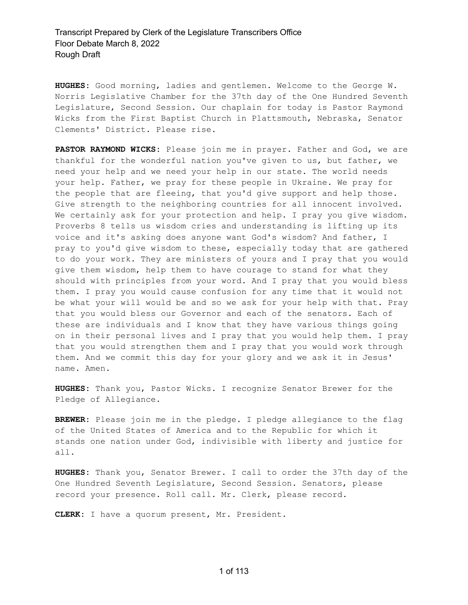**HUGHES:** Good morning, ladies and gentlemen. Welcome to the George W. Norris Legislative Chamber for the 37th day of the One Hundred Seventh Legislature, Second Session. Our chaplain for today is Pastor Raymond Wicks from the First Baptist Church in Plattsmouth, Nebraska, Senator Clements' District. Please rise.

**PASTOR RAYMOND WICKS:** Please join me in prayer. Father and God, we are thankful for the wonderful nation you've given to us, but father, we need your help and we need your help in our state. The world needs your help. Father, we pray for these people in Ukraine. We pray for the people that are fleeing, that you'd give support and help those. Give strength to the neighboring countries for all innocent involved. We certainly ask for your protection and help. I pray you give wisdom. Proverbs 8 tells us wisdom cries and understanding is lifting up its voice and it's asking does anyone want God's wisdom? And father, I pray to you'd give wisdom to these, especially today that are gathered to do your work. They are ministers of yours and I pray that you would give them wisdom, help them to have courage to stand for what they should with principles from your word. And I pray that you would bless them. I pray you would cause confusion for any time that it would not be what your will would be and so we ask for your help with that. Pray that you would bless our Governor and each of the senators. Each of these are individuals and I know that they have various things going on in their personal lives and I pray that you would help them. I pray that you would strengthen them and I pray that you would work through them. And we commit this day for your glory and we ask it in Jesus' name. Amen.

**HUGHES:** Thank you, Pastor Wicks. I recognize Senator Brewer for the Pledge of Allegiance.

**BREWER:** Please join me in the pledge. I pledge allegiance to the flag of the United States of America and to the Republic for which it stands one nation under God, indivisible with liberty and justice for all.

**HUGHES:** Thank you, Senator Brewer. I call to order the 37th day of the One Hundred Seventh Legislature, Second Session. Senators, please record your presence. Roll call. Mr. Clerk, please record.

**CLERK:** I have a quorum present, Mr. President.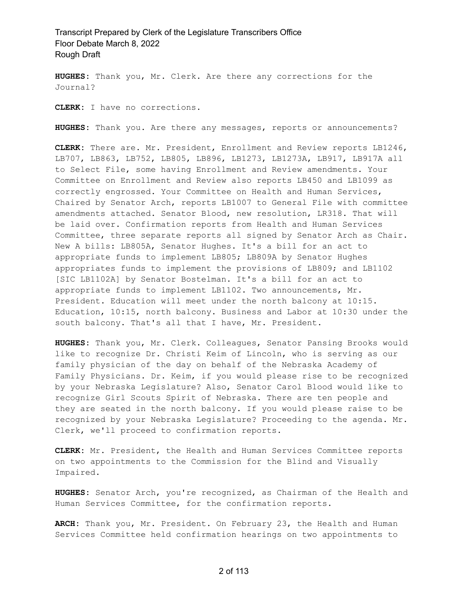**HUGHES:** Thank you, Mr. Clerk. Are there any corrections for the Journal?

**CLERK:** I have no corrections.

**HUGHES:** Thank you. Are there any messages, reports or announcements?

**CLERK:** There are. Mr. President, Enrollment and Review reports LB1246, LB707, LB863, LB752, LB805, LB896, LB1273, LB1273A, LB917, LB917A all to Select File, some having Enrollment and Review amendments. Your Committee on Enrollment and Review also reports LB450 and LB1099 as correctly engrossed. Your Committee on Health and Human Services, Chaired by Senator Arch, reports LB1007 to General File with committee amendments attached. Senator Blood, new resolution, LR318. That will be laid over. Confirmation reports from Health and Human Services Committee, three separate reports all signed by Senator Arch as Chair. New A bills: LB805A, Senator Hughes. It's a bill for an act to appropriate funds to implement LB805; LB809A by Senator Hughes appropriates funds to implement the provisions of LB809; and LB1102 [SIC LB1102A] by Senator Bostelman. It's a bill for an act to appropriate funds to implement LB1102. Two announcements, Mr. President. Education will meet under the north balcony at 10:15. Education, 10:15, north balcony. Business and Labor at 10:30 under the south balcony. That's all that I have, Mr. President.

**HUGHES:** Thank you, Mr. Clerk. Colleagues, Senator Pansing Brooks would like to recognize Dr. Christi Keim of Lincoln, who is serving as our family physician of the day on behalf of the Nebraska Academy of Family Physicians. Dr. Keim, if you would please rise to be recognized by your Nebraska Legislature? Also, Senator Carol Blood would like to recognize Girl Scouts Spirit of Nebraska. There are ten people and they are seated in the north balcony. If you would please raise to be recognized by your Nebraska Legislature? Proceeding to the agenda. Mr. Clerk, we'll proceed to confirmation reports.

**CLERK:** Mr. President, the Health and Human Services Committee reports on two appointments to the Commission for the Blind and Visually Impaired.

**HUGHES:** Senator Arch, you're recognized, as Chairman of the Health and Human Services Committee, for the confirmation reports.

**ARCH:** Thank you, Mr. President. On February 23, the Health and Human Services Committee held confirmation hearings on two appointments to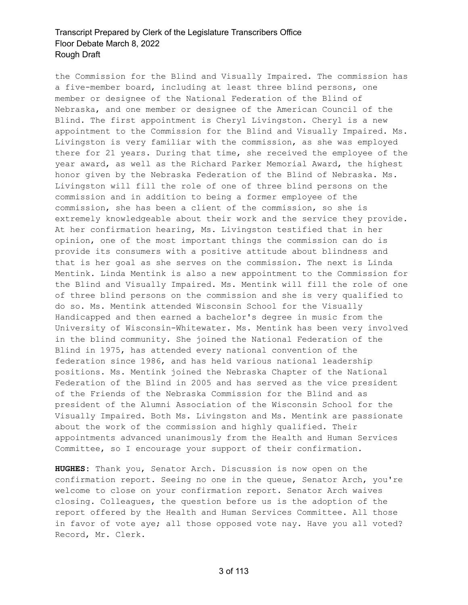the Commission for the Blind and Visually Impaired. The commission has a five-member board, including at least three blind persons, one member or designee of the National Federation of the Blind of Nebraska, and one member or designee of the American Council of the Blind. The first appointment is Cheryl Livingston. Cheryl is a new appointment to the Commission for the Blind and Visually Impaired. Ms. Livingston is very familiar with the commission, as she was employed there for 21 years. During that time, she received the employee of the year award, as well as the Richard Parker Memorial Award, the highest honor given by the Nebraska Federation of the Blind of Nebraska. Ms. Livingston will fill the role of one of three blind persons on the commission and in addition to being a former employee of the commission, she has been a client of the commission, so she is extremely knowledgeable about their work and the service they provide. At her confirmation hearing, Ms. Livingston testified that in her opinion, one of the most important things the commission can do is provide its consumers with a positive attitude about blindness and that is her goal as she serves on the commission. The next is Linda Mentink. Linda Mentink is also a new appointment to the Commission for the Blind and Visually Impaired. Ms. Mentink will fill the role of one of three blind persons on the commission and she is very qualified to do so. Ms. Mentink attended Wisconsin School for the Visually Handicapped and then earned a bachelor's degree in music from the University of Wisconsin-Whitewater. Ms. Mentink has been very involved in the blind community. She joined the National Federation of the Blind in 1975, has attended every national convention of the federation since 1986, and has held various national leadership positions. Ms. Mentink joined the Nebraska Chapter of the National Federation of the Blind in 2005 and has served as the vice president of the Friends of the Nebraska Commission for the Blind and as president of the Alumni Association of the Wisconsin School for the Visually Impaired. Both Ms. Livingston and Ms. Mentink are passionate about the work of the commission and highly qualified. Their appointments advanced unanimously from the Health and Human Services Committee, so I encourage your support of their confirmation.

**HUGHES:** Thank you, Senator Arch. Discussion is now open on the confirmation report. Seeing no one in the queue, Senator Arch, you're welcome to close on your confirmation report. Senator Arch waives closing. Colleagues, the question before us is the adoption of the report offered by the Health and Human Services Committee. All those in favor of vote aye; all those opposed vote nay. Have you all voted? Record, Mr. Clerk.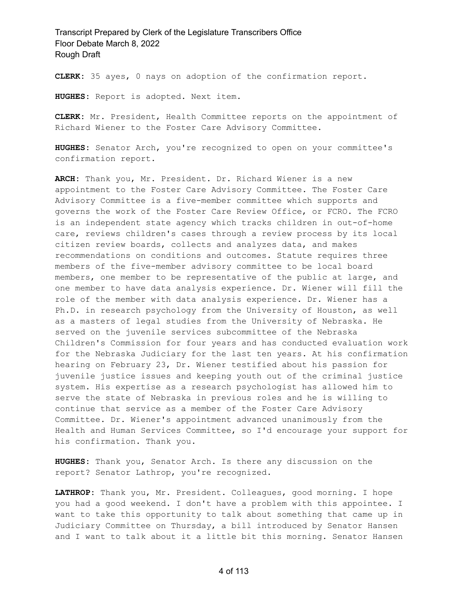**CLERK:** 35 ayes, 0 nays on adoption of the confirmation report.

**HUGHES:** Report is adopted. Next item.

**CLERK:** Mr. President, Health Committee reports on the appointment of Richard Wiener to the Foster Care Advisory Committee.

**HUGHES:** Senator Arch, you're recognized to open on your committee's confirmation report.

**ARCH:** Thank you, Mr. President. Dr. Richard Wiener is a new appointment to the Foster Care Advisory Committee. The Foster Care Advisory Committee is a five-member committee which supports and governs the work of the Foster Care Review Office, or FCRO. The FCRO is an independent state agency which tracks children in out-of-home care, reviews children's cases through a review process by its local citizen review boards, collects and analyzes data, and makes recommendations on conditions and outcomes. Statute requires three members of the five-member advisory committee to be local board members, one member to be representative of the public at large, and one member to have data analysis experience. Dr. Wiener will fill the role of the member with data analysis experience. Dr. Wiener has a Ph.D. in research psychology from the University of Houston, as well as a masters of legal studies from the University of Nebraska. He served on the juvenile services subcommittee of the Nebraska Children's Commission for four years and has conducted evaluation work for the Nebraska Judiciary for the last ten years. At his confirmation hearing on February 23, Dr. Wiener testified about his passion for juvenile justice issues and keeping youth out of the criminal justice system. His expertise as a research psychologist has allowed him to serve the state of Nebraska in previous roles and he is willing to continue that service as a member of the Foster Care Advisory Committee. Dr. Wiener's appointment advanced unanimously from the Health and Human Services Committee, so I'd encourage your support for his confirmation. Thank you.

**HUGHES:** Thank you, Senator Arch. Is there any discussion on the report? Senator Lathrop, you're recognized.

**LATHROP:** Thank you, Mr. President. Colleagues, good morning. I hope you had a good weekend. I don't have a problem with this appointee. I want to take this opportunity to talk about something that came up in Judiciary Committee on Thursday, a bill introduced by Senator Hansen and I want to talk about it a little bit this morning. Senator Hansen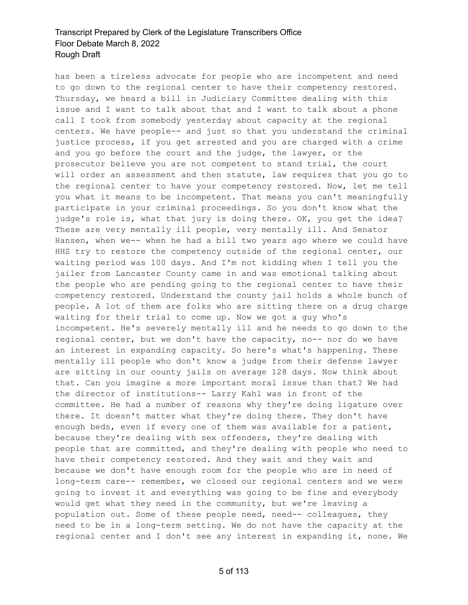has been a tireless advocate for people who are incompetent and need to go down to the regional center to have their competency restored. Thursday, we heard a bill in Judiciary Committee dealing with this issue and I want to talk about that and I want to talk about a phone call I took from somebody yesterday about capacity at the regional centers. We have people-- and just so that you understand the criminal justice process, if you get arrested and you are charged with a crime and you go before the court and the judge, the lawyer, or the prosecutor believe you are not competent to stand trial, the court will order an assessment and then statute, law requires that you go to the regional center to have your competency restored. Now, let me tell you what it means to be incompetent. That means you can't meaningfully participate in your criminal proceedings. So you don't know what the judge's role is, what that jury is doing there. OK, you get the idea? These are very mentally ill people, very mentally ill. And Senator Hansen, when we-- when he had a bill two years ago where we could have HHS try to restore the competency outside of the regional center, our waiting period was 100 days. And I'm not kidding when I tell you the jailer from Lancaster County came in and was emotional talking about the people who are pending going to the regional center to have their competency restored. Understand the county jail holds a whole bunch of people. A lot of them are folks who are sitting there on a drug charge waiting for their trial to come up. Now we got a guy who's incompetent. He's severely mentally ill and he needs to go down to the regional center, but we don't have the capacity, no-- nor do we have an interest in expanding capacity. So here's what's happening. These mentally ill people who don't know a judge from their defense lawyer are sitting in our county jails on average 128 days. Now think about that. Can you imagine a more important moral issue than that? We had the director of institutions-- Larry Kahl was in front of the committee. He had a number of reasons why they're doing ligature over there. It doesn't matter what they're doing there. They don't have enough beds, even if every one of them was available for a patient, because they're dealing with sex offenders, they're dealing with people that are committed, and they're dealing with people who need to have their competency restored. And they wait and they wait and because we don't have enough room for the people who are in need of long-term care-- remember, we closed our regional centers and we were going to invest it and everything was going to be fine and everybody would get what they need in the community, but we're leaving a population out. Some of these people need, need-- colleagues, they need to be in a long-term setting. We do not have the capacity at the regional center and I don't see any interest in expanding it, none. We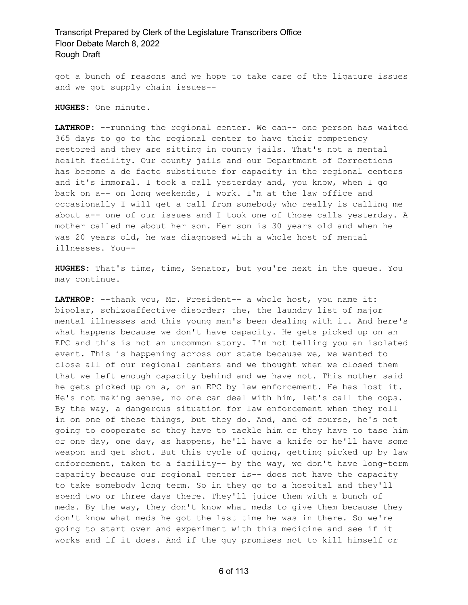got a bunch of reasons and we hope to take care of the ligature issues and we got supply chain issues--

**HUGHES:** One minute.

**LATHROP:** --running the regional center. We can-- one person has waited 365 days to go to the regional center to have their competency restored and they are sitting in county jails. That's not a mental health facility. Our county jails and our Department of Corrections has become a de facto substitute for capacity in the regional centers and it's immoral. I took a call yesterday and, you know, when I go back on a-- on long weekends, I work. I'm at the law office and occasionally I will get a call from somebody who really is calling me about a-- one of our issues and I took one of those calls yesterday. A mother called me about her son. Her son is 30 years old and when he was 20 years old, he was diagnosed with a whole host of mental illnesses. You--

**HUGHES:** That's time, time, Senator, but you're next in the queue. You may continue.

**LATHROP:** --thank you, Mr. President-- a whole host, you name it: bipolar, schizoaffective disorder; the, the laundry list of major mental illnesses and this young man's been dealing with it. And here's what happens because we don't have capacity. He gets picked up on an EPC and this is not an uncommon story. I'm not telling you an isolated event. This is happening across our state because we, we wanted to close all of our regional centers and we thought when we closed them that we left enough capacity behind and we have not. This mother said he gets picked up on a, on an EPC by law enforcement. He has lost it. He's not making sense, no one can deal with him, let's call the cops. By the way, a dangerous situation for law enforcement when they roll in on one of these things, but they do. And, and of course, he's not going to cooperate so they have to tackle him or they have to tase him or one day, one day, as happens, he'll have a knife or he'll have some weapon and get shot. But this cycle of going, getting picked up by law enforcement, taken to a facility-- by the way, we don't have long-term capacity because our regional center is-- does not have the capacity to take somebody long term. So in they go to a hospital and they'll spend two or three days there. They'll juice them with a bunch of meds. By the way, they don't know what meds to give them because they don't know what meds he got the last time he was in there. So we're going to start over and experiment with this medicine and see if it works and if it does. And if the guy promises not to kill himself or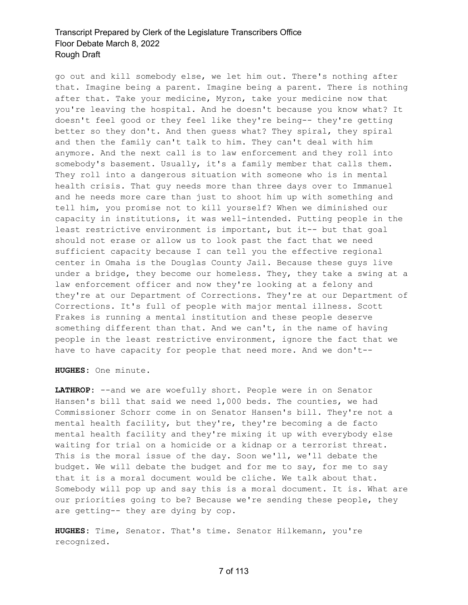go out and kill somebody else, we let him out. There's nothing after that. Imagine being a parent. Imagine being a parent. There is nothing after that. Take your medicine, Myron, take your medicine now that you're leaving the hospital. And he doesn't because you know what? It doesn't feel good or they feel like they're being-- they're getting better so they don't. And then guess what? They spiral, they spiral and then the family can't talk to him. They can't deal with him anymore. And the next call is to law enforcement and they roll into somebody's basement. Usually, it's a family member that calls them. They roll into a dangerous situation with someone who is in mental health crisis. That guy needs more than three days over to Immanuel and he needs more care than just to shoot him up with something and tell him, you promise not to kill yourself? When we diminished our capacity in institutions, it was well-intended. Putting people in the least restrictive environment is important, but it-- but that goal should not erase or allow us to look past the fact that we need sufficient capacity because I can tell you the effective regional center in Omaha is the Douglas County Jail. Because these guys live under a bridge, they become our homeless. They, they take a swing at a law enforcement officer and now they're looking at a felony and they're at our Department of Corrections. They're at our Department of Corrections. It's full of people with major mental illness. Scott Frakes is running a mental institution and these people deserve something different than that. And we can't, in the name of having people in the least restrictive environment, ignore the fact that we have to have capacity for people that need more. And we don't--

**HUGHES:** One minute.

LATHROP: --and we are woefully short. People were in on Senator Hansen's bill that said we need 1,000 beds. The counties, we had Commissioner Schorr come in on Senator Hansen's bill. They're not a mental health facility, but they're, they're becoming a de facto mental health facility and they're mixing it up with everybody else waiting for trial on a homicide or a kidnap or a terrorist threat. This is the moral issue of the day. Soon we'll, we'll debate the budget. We will debate the budget and for me to say, for me to say that it is a moral document would be cliche. We talk about that. Somebody will pop up and say this is a moral document. It is. What are our priorities going to be? Because we're sending these people, they are getting-- they are dying by cop.

**HUGHES:** Time, Senator. That's time. Senator Hilkemann, you're recognized.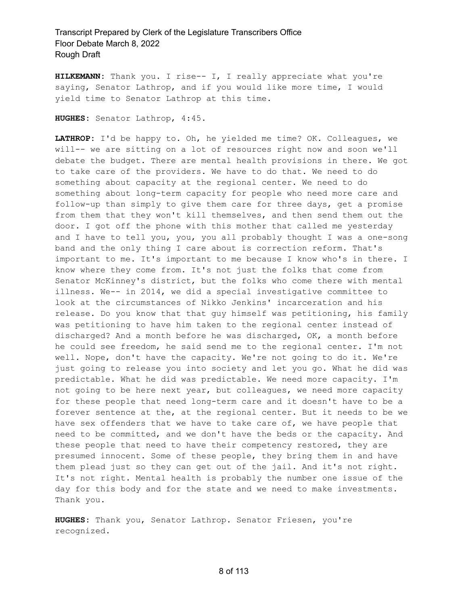**HILKEMANN:** Thank you. I rise-- I, I really appreciate what you're saying, Senator Lathrop, and if you would like more time, I would yield time to Senator Lathrop at this time.

**HUGHES:** Senator Lathrop, 4:45.

**LATHROP:** I'd be happy to. Oh, he yielded me time? OK. Colleagues, we will-- we are sitting on a lot of resources right now and soon we'll debate the budget. There are mental health provisions in there. We got to take care of the providers. We have to do that. We need to do something about capacity at the regional center. We need to do something about long-term capacity for people who need more care and follow-up than simply to give them care for three days, get a promise from them that they won't kill themselves, and then send them out the door. I got off the phone with this mother that called me yesterday and I have to tell you, you, you all probably thought I was a one-song band and the only thing I care about is correction reform. That's important to me. It's important to me because I know who's in there. I know where they come from. It's not just the folks that come from Senator McKinney's district, but the folks who come there with mental illness. We-- in 2014, we did a special investigative committee to look at the circumstances of Nikko Jenkins' incarceration and his release. Do you know that that guy himself was petitioning, his family was petitioning to have him taken to the regional center instead of discharged? And a month before he was discharged, OK, a month before he could see freedom, he said send me to the regional center. I'm not well. Nope, don't have the capacity. We're not going to do it. We're just going to release you into society and let you go. What he did was predictable. What he did was predictable. We need more capacity. I'm not going to be here next year, but colleagues, we need more capacity for these people that need long-term care and it doesn't have to be a forever sentence at the, at the regional center. But it needs to be we have sex offenders that we have to take care of, we have people that need to be committed, and we don't have the beds or the capacity. And these people that need to have their competency restored, they are presumed innocent. Some of these people, they bring them in and have them plead just so they can get out of the jail. And it's not right. It's not right. Mental health is probably the number one issue of the day for this body and for the state and we need to make investments. Thank you.

**HUGHES:** Thank you, Senator Lathrop. Senator Friesen, you're recognized.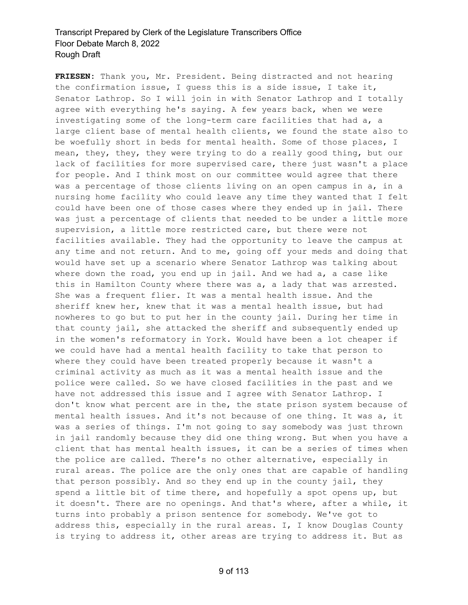**FRIESEN:** Thank you, Mr. President. Being distracted and not hearing the confirmation issue, I guess this is a side issue, I take it, Senator Lathrop. So I will join in with Senator Lathrop and I totally agree with everything he's saying. A few years back, when we were investigating some of the long-term care facilities that had a, a large client base of mental health clients, we found the state also to be woefully short in beds for mental health. Some of those places, I mean, they, they, they were trying to do a really good thing, but our lack of facilities for more supervised care, there just wasn't a place for people. And I think most on our committee would agree that there was a percentage of those clients living on an open campus in a, in a nursing home facility who could leave any time they wanted that I felt could have been one of those cases where they ended up in jail. There was just a percentage of clients that needed to be under a little more supervision, a little more restricted care, but there were not facilities available. They had the opportunity to leave the campus at any time and not return. And to me, going off your meds and doing that would have set up a scenario where Senator Lathrop was talking about where down the road, you end up in jail. And we had a, a case like this in Hamilton County where there was a, a lady that was arrested. She was a frequent flier. It was a mental health issue. And the sheriff knew her, knew that it was a mental health issue, but had nowheres to go but to put her in the county jail. During her time in that county jail, she attacked the sheriff and subsequently ended up in the women's reformatory in York. Would have been a lot cheaper if we could have had a mental health facility to take that person to where they could have been treated properly because it wasn't a criminal activity as much as it was a mental health issue and the police were called. So we have closed facilities in the past and we have not addressed this issue and I agree with Senator Lathrop. I don't know what percent are in the, the state prison system because of mental health issues. And it's not because of one thing. It was a, it was a series of things. I'm not going to say somebody was just thrown in jail randomly because they did one thing wrong. But when you have a client that has mental health issues, it can be a series of times when the police are called. There's no other alternative, especially in rural areas. The police are the only ones that are capable of handling that person possibly. And so they end up in the county jail, they spend a little bit of time there, and hopefully a spot opens up, but it doesn't. There are no openings. And that's where, after a while, it turns into probably a prison sentence for somebody. We've got to address this, especially in the rural areas. I, I know Douglas County is trying to address it, other areas are trying to address it. But as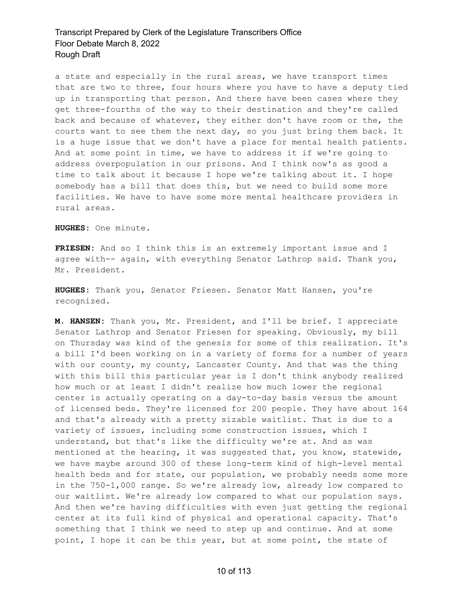a state and especially in the rural areas, we have transport times that are two to three, four hours where you have to have a deputy tied up in transporting that person. And there have been cases where they get three-fourths of the way to their destination and they're called back and because of whatever, they either don't have room or the, the courts want to see them the next day, so you just bring them back. It is a huge issue that we don't have a place for mental health patients. And at some point in time, we have to address it if we're going to address overpopulation in our prisons. And I think now's as good a time to talk about it because I hope we're talking about it. I hope somebody has a bill that does this, but we need to build some more facilities. We have to have some more mental healthcare providers in rural areas.

**HUGHES:** One minute.

**FRIESEN:** And so I think this is an extremely important issue and I agree with-- again, with everything Senator Lathrop said. Thank you, Mr. President.

**HUGHES:** Thank you, Senator Friesen. Senator Matt Hansen, you're recognized.

**M. HANSEN:** Thank you, Mr. President, and I'll be brief. I appreciate Senator Lathrop and Senator Friesen for speaking. Obviously, my bill on Thursday was kind of the genesis for some of this realization. It's a bill I'd been working on in a variety of forms for a number of years with our county, my county, Lancaster County. And that was the thing with this bill this particular year is I don't think anybody realized how much or at least I didn't realize how much lower the regional center is actually operating on a day-to-day basis versus the amount of licensed beds. They're licensed for 200 people. They have about 164 and that's already with a pretty sizable waitlist. That is due to a variety of issues, including some construction issues, which I understand, but that's like the difficulty we're at. And as was mentioned at the hearing, it was suggested that, you know, statewide, we have maybe around 300 of these long-term kind of high-level mental health beds and for state, our population, we probably needs some more in the 750-1,000 range. So we're already low, already low compared to our waitlist. We're already low compared to what our population says. And then we're having difficulties with even just getting the regional center at its full kind of physical and operational capacity. That's something that I think we need to step up and continue. And at some point, I hope it can be this year, but at some point, the state of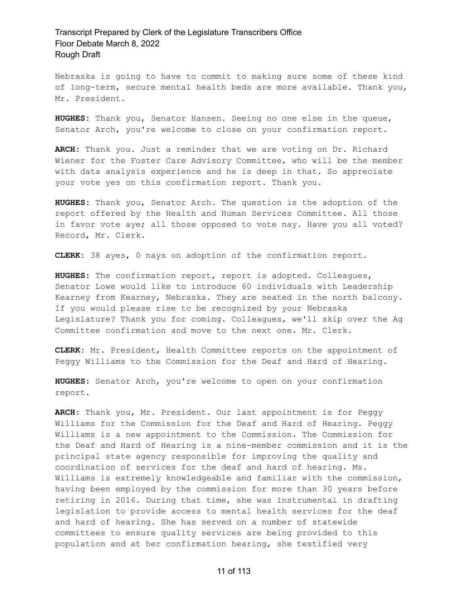Nebraska is going to have to commit to making sure some of these kind of long-term, secure mental health beds are more available. Thank you, Mr. President.

**HUGHES:** Thank you, Senator Hansen. Seeing no one else in the queue, Senator Arch, you're welcome to close on your confirmation report.

**ARCH:** Thank you. Just a reminder that we are voting on Dr. Richard Wiener for the Foster Care Advisory Committee, who will be the member with data analysis experience and he is deep in that. So appreciate your vote yes on this confirmation report. Thank you.

**HUGHES:** Thank you, Senator Arch. The question is the adoption of the report offered by the Health and Human Services Committee. All those in favor vote aye; all those opposed to vote nay. Have you all voted? Record, Mr. Clerk.

**CLERK:** 38 ayes, 0 nays on adoption of the confirmation report.

**HUGHES:** The confirmation report, report is adopted. Colleagues, Senator Lowe would like to introduce 60 individuals with Leadership Kearney from Kearney, Nebraska. They are seated in the north balcony. If you would please rise to be recognized by your Nebraska Legislature? Thank you for coming. Colleagues, we'll skip over the Ag Committee confirmation and move to the next one. Mr. Clerk.

**CLERK:** Mr. President, Health Committee reports on the appointment of Peggy Williams to the Commission for the Deaf and Hard of Hearing.

**HUGHES:** Senator Arch, you're welcome to open on your confirmation report.

**ARCH:** Thank you, Mr. President. Our last appointment is for Peggy Williams for the Commission for the Deaf and Hard of Hearing. Peggy Williams is a new appointment to the Commission. The Commission for the Deaf and Hard of Hearing is a nine-member commission and it is the principal state agency responsible for improving the quality and coordination of services for the deaf and hard of hearing. Ms. Williams is extremely knowledgeable and familiar with the commission, having been employed by the commission for more than 30 years before retiring in 2016. During that time, she was instrumental in drafting legislation to provide access to mental health services for the deaf and hard of hearing. She has served on a number of statewide committees to ensure quality services are being provided to this population and at her confirmation hearing, she testified very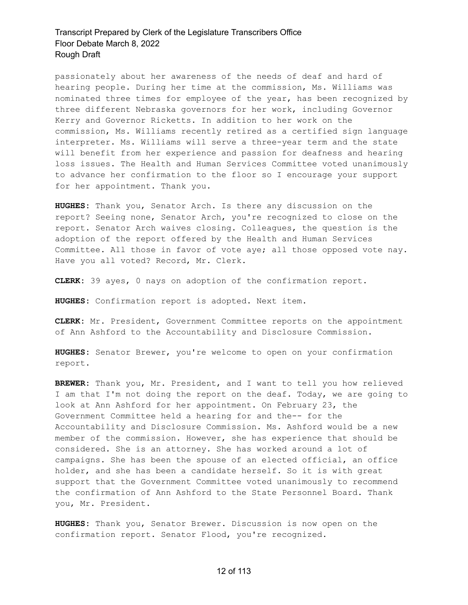passionately about her awareness of the needs of deaf and hard of hearing people. During her time at the commission, Ms. Williams was nominated three times for employee of the year, has been recognized by three different Nebraska governors for her work, including Governor Kerry and Governor Ricketts. In addition to her work on the commission, Ms. Williams recently retired as a certified sign language interpreter. Ms. Williams will serve a three-year term and the state will benefit from her experience and passion for deafness and hearing loss issues. The Health and Human Services Committee voted unanimously to advance her confirmation to the floor so I encourage your support for her appointment. Thank you.

**HUGHES:** Thank you, Senator Arch. Is there any discussion on the report? Seeing none, Senator Arch, you're recognized to close on the report. Senator Arch waives closing. Colleagues, the question is the adoption of the report offered by the Health and Human Services Committee. All those in favor of vote aye; all those opposed vote nay. Have you all voted? Record, Mr. Clerk.

**CLERK:** 39 ayes, 0 nays on adoption of the confirmation report.

**HUGHES:** Confirmation report is adopted. Next item.

**CLERK:** Mr. President, Government Committee reports on the appointment of Ann Ashford to the Accountability and Disclosure Commission.

**HUGHES:** Senator Brewer, you're welcome to open on your confirmation report.

**BREWER:** Thank you, Mr. President, and I want to tell you how relieved I am that I'm not doing the report on the deaf. Today, we are going to look at Ann Ashford for her appointment. On February 23, the Government Committee held a hearing for and the-- for the Accountability and Disclosure Commission. Ms. Ashford would be a new member of the commission. However, she has experience that should be considered. She is an attorney. She has worked around a lot of campaigns. She has been the spouse of an elected official, an office holder, and she has been a candidate herself. So it is with great support that the Government Committee voted unanimously to recommend the confirmation of Ann Ashford to the State Personnel Board. Thank you, Mr. President.

**HUGHES:** Thank you, Senator Brewer. Discussion is now open on the confirmation report. Senator Flood, you're recognized.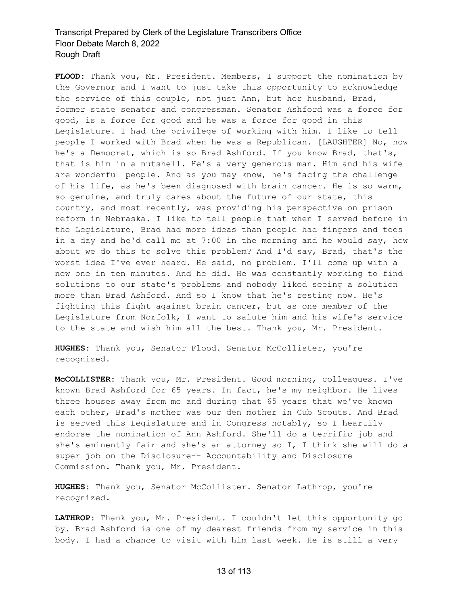**FLOOD:** Thank you, Mr. President. Members, I support the nomination by the Governor and I want to just take this opportunity to acknowledge the service of this couple, not just Ann, but her husband, Brad, former state senator and congressman. Senator Ashford was a force for good, is a force for good and he was a force for good in this Legislature. I had the privilege of working with him. I like to tell people I worked with Brad when he was a Republican. [LAUGHTER] No, now he's a Democrat, which is so Brad Ashford. If you know Brad, that's, that is him in a nutshell. He's a very generous man. Him and his wife are wonderful people. And as you may know, he's facing the challenge of his life, as he's been diagnosed with brain cancer. He is so warm, so genuine, and truly cares about the future of our state, this country, and most recently, was providing his perspective on prison reform in Nebraska. I like to tell people that when I served before in the Legislature, Brad had more ideas than people had fingers and toes in a day and he'd call me at 7:00 in the morning and he would say, how about we do this to solve this problem? And I'd say, Brad, that's the worst idea I've ever heard. He said, no problem. I'll come up with a new one in ten minutes. And he did. He was constantly working to find solutions to our state's problems and nobody liked seeing a solution more than Brad Ashford. And so I know that he's resting now. He's fighting this fight against brain cancer, but as one member of the Legislature from Norfolk, I want to salute him and his wife's service to the state and wish him all the best. Thank you, Mr. President.

**HUGHES:** Thank you, Senator Flood. Senator McCollister, you're recognized.

**McCOLLISTER:** Thank you, Mr. President. Good morning, colleagues. I've known Brad Ashford for 65 years. In fact, he's my neighbor. He lives three houses away from me and during that 65 years that we've known each other, Brad's mother was our den mother in Cub Scouts. And Brad is served this Legislature and in Congress notably, so I heartily endorse the nomination of Ann Ashford. She'll do a terrific job and she's eminently fair and she's an attorney so I, I think she will do a super job on the Disclosure-- Accountability and Disclosure Commission. Thank you, Mr. President.

**HUGHES:** Thank you, Senator McCollister. Senator Lathrop, you're recognized.

**LATHROP:** Thank you, Mr. President. I couldn't let this opportunity go by. Brad Ashford is one of my dearest friends from my service in this body. I had a chance to visit with him last week. He is still a very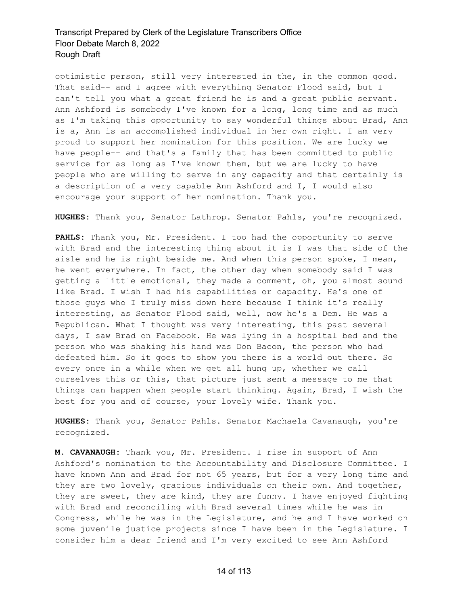optimistic person, still very interested in the, in the common good. That said-- and I agree with everything Senator Flood said, but I can't tell you what a great friend he is and a great public servant. Ann Ashford is somebody I've known for a long, long time and as much as I'm taking this opportunity to say wonderful things about Brad, Ann is a, Ann is an accomplished individual in her own right. I am very proud to support her nomination for this position. We are lucky we have people-- and that's a family that has been committed to public service for as long as I've known them, but we are lucky to have people who are willing to serve in any capacity and that certainly is a description of a very capable Ann Ashford and I, I would also encourage your support of her nomination. Thank you.

**HUGHES:** Thank you, Senator Lathrop. Senator Pahls, you're recognized.

**PAHLS:** Thank you, Mr. President. I too had the opportunity to serve with Brad and the interesting thing about it is I was that side of the aisle and he is right beside me. And when this person spoke, I mean, he went everywhere. In fact, the other day when somebody said I was getting a little emotional, they made a comment, oh, you almost sound like Brad. I wish I had his capabilities or capacity. He's one of those guys who I truly miss down here because I think it's really interesting, as Senator Flood said, well, now he's a Dem. He was a Republican. What I thought was very interesting, this past several days, I saw Brad on Facebook. He was lying in a hospital bed and the person who was shaking his hand was Don Bacon, the person who had defeated him. So it goes to show you there is a world out there. So every once in a while when we get all hung up, whether we call ourselves this or this, that picture just sent a message to me that things can happen when people start thinking. Again, Brad, I wish the best for you and of course, your lovely wife. Thank you.

**HUGHES:** Thank you, Senator Pahls. Senator Machaela Cavanaugh, you're recognized.

**M. CAVANAUGH:** Thank you, Mr. President. I rise in support of Ann Ashford's nomination to the Accountability and Disclosure Committee. I have known Ann and Brad for not 65 years, but for a very long time and they are two lovely, gracious individuals on their own. And together, they are sweet, they are kind, they are funny. I have enjoyed fighting with Brad and reconciling with Brad several times while he was in Congress, while he was in the Legislature, and he and I have worked on some juvenile justice projects since I have been in the Legislature. I consider him a dear friend and I'm very excited to see Ann Ashford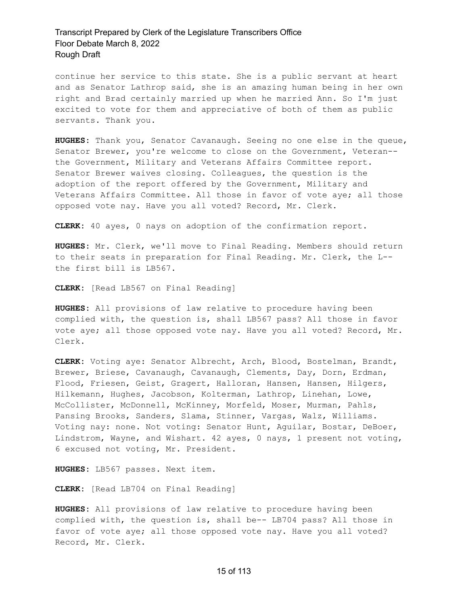continue her service to this state. She is a public servant at heart and as Senator Lathrop said, she is an amazing human being in her own right and Brad certainly married up when he married Ann. So I'm just excited to vote for them and appreciative of both of them as public servants. Thank you.

**HUGHES:** Thank you, Senator Cavanaugh. Seeing no one else in the queue, Senator Brewer, you're welcome to close on the Government, Veteran- the Government, Military and Veterans Affairs Committee report. Senator Brewer waives closing. Colleagues, the question is the adoption of the report offered by the Government, Military and Veterans Affairs Committee. All those in favor of vote aye; all those opposed vote nay. Have you all voted? Record, Mr. Clerk.

**CLERK:** 40 ayes, 0 nays on adoption of the confirmation report.

**HUGHES:** Mr. Clerk, we'll move to Final Reading. Members should return to their seats in preparation for Final Reading. Mr. Clerk, the L- the first bill is LB567.

**CLERK:** [Read LB567 on Final Reading]

**HUGHES:** All provisions of law relative to procedure having been complied with, the question is, shall LB567 pass? All those in favor vote aye; all those opposed vote nay. Have you all voted? Record, Mr. Clerk.

**CLERK:** Voting aye: Senator Albrecht, Arch, Blood, Bostelman, Brandt, Brewer, Briese, Cavanaugh, Cavanaugh, Clements, Day, Dorn, Erdman, Flood, Friesen, Geist, Gragert, Halloran, Hansen, Hansen, Hilgers, Hilkemann, Hughes, Jacobson, Kolterman, Lathrop, Linehan, Lowe, McCollister, McDonnell, McKinney, Morfeld, Moser, Murman, Pahls, Pansing Brooks, Sanders, Slama, Stinner, Vargas, Walz, Williams. Voting nay: none. Not voting: Senator Hunt, Aguilar, Bostar, DeBoer, Lindstrom, Wayne, and Wishart. 42 ayes, 0 nays, 1 present not voting, 6 excused not voting, Mr. President.

**HUGHES:** LB567 passes. Next item.

**CLERK:** [Read LB704 on Final Reading]

**HUGHES:** All provisions of law relative to procedure having been complied with, the question is, shall be-- LB704 pass? All those in favor of vote aye; all those opposed vote nay. Have you all voted? Record, Mr. Clerk.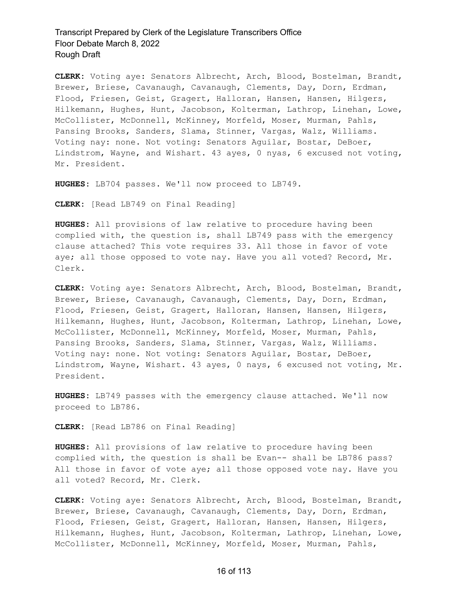**CLERK:** Voting aye: Senators Albrecht, Arch, Blood, Bostelman, Brandt, Brewer, Briese, Cavanaugh, Cavanaugh, Clements, Day, Dorn, Erdman, Flood, Friesen, Geist, Gragert, Halloran, Hansen, Hansen, Hilgers, Hilkemann, Hughes, Hunt, Jacobson, Kolterman, Lathrop, Linehan, Lowe, McCollister, McDonnell, McKinney, Morfeld, Moser, Murman, Pahls, Pansing Brooks, Sanders, Slama, Stinner, Vargas, Walz, Williams. Voting nay: none. Not voting: Senators Aguilar, Bostar, DeBoer, Lindstrom, Wayne, and Wishart. 43 ayes, 0 nyas, 6 excused not voting, Mr. President.

**HUGHES:** LB704 passes. We'll now proceed to LB749.

**CLERK:** [Read LB749 on Final Reading]

**HUGHES:** All provisions of law relative to procedure having been complied with, the question is, shall LB749 pass with the emergency clause attached? This vote requires 33. All those in favor of vote aye; all those opposed to vote nay. Have you all voted? Record, Mr. Clerk.

**CLERK:** Voting aye: Senators Albrecht, Arch, Blood, Bostelman, Brandt, Brewer, Briese, Cavanaugh, Cavanaugh, Clements, Day, Dorn, Erdman, Flood, Friesen, Geist, Gragert, Halloran, Hansen, Hansen, Hilgers, Hilkemann, Hughes, Hunt, Jacobson, Kolterman, Lathrop, Linehan, Lowe, McCollister, McDonnell, McKinney, Morfeld, Moser, Murman, Pahls, Pansing Brooks, Sanders, Slama, Stinner, Vargas, Walz, Williams. Voting nay: none. Not voting: Senators Aguilar, Bostar, DeBoer, Lindstrom, Wayne, Wishart. 43 ayes, 0 nays, 6 excused not voting, Mr. President.

**HUGHES:** LB749 passes with the emergency clause attached. We'll now proceed to LB786.

**CLERK:** [Read LB786 on Final Reading]

**HUGHES:** All provisions of law relative to procedure having been complied with, the question is shall be Evan-- shall be LB786 pass? All those in favor of vote aye; all those opposed vote nay. Have you all voted? Record, Mr. Clerk.

**CLERK:** Voting aye: Senators Albrecht, Arch, Blood, Bostelman, Brandt, Brewer, Briese, Cavanaugh, Cavanaugh, Clements, Day, Dorn, Erdman, Flood, Friesen, Geist, Gragert, Halloran, Hansen, Hansen, Hilgers, Hilkemann, Hughes, Hunt, Jacobson, Kolterman, Lathrop, Linehan, Lowe, McCollister, McDonnell, McKinney, Morfeld, Moser, Murman, Pahls,

#### 16 of 113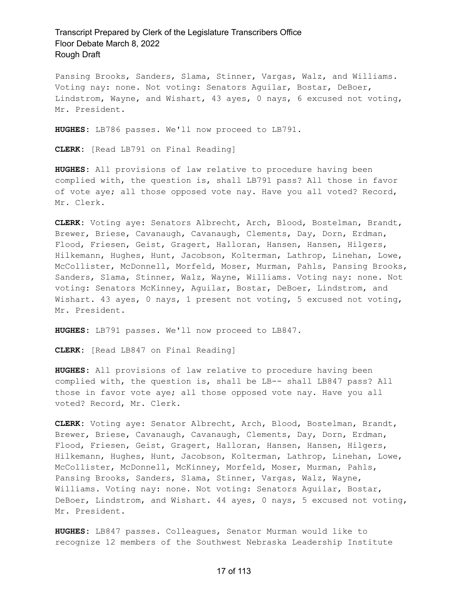Pansing Brooks, Sanders, Slama, Stinner, Vargas, Walz, and Williams. Voting nay: none. Not voting: Senators Aguilar, Bostar, DeBoer, Lindstrom, Wayne, and Wishart, 43 ayes, 0 nays, 6 excused not voting, Mr. President.

**HUGHES:** LB786 passes. We'll now proceed to LB791.

**CLERK:** [Read LB791 on Final Reading]

**HUGHES:** All provisions of law relative to procedure having been complied with, the question is, shall LB791 pass? All those in favor of vote aye; all those opposed vote nay. Have you all voted? Record, Mr. Clerk.

**CLERK:** Voting aye: Senators Albrecht, Arch, Blood, Bostelman, Brandt, Brewer, Briese, Cavanaugh, Cavanaugh, Clements, Day, Dorn, Erdman, Flood, Friesen, Geist, Gragert, Halloran, Hansen, Hansen, Hilgers, Hilkemann, Hughes, Hunt, Jacobson, Kolterman, Lathrop, Linehan, Lowe, McCollister, McDonnell, Morfeld, Moser, Murman, Pahls, Pansing Brooks, Sanders, Slama, Stinner, Walz, Wayne, Williams. Voting nay: none. Not voting: Senators McKinney, Aguilar, Bostar, DeBoer, Lindstrom, and Wishart. 43 ayes, 0 nays, 1 present not voting, 5 excused not voting, Mr. President.

**HUGHES:** LB791 passes. We'll now proceed to LB847.

**CLERK:** [Read LB847 on Final Reading]

**HUGHES:** All provisions of law relative to procedure having been complied with, the question is, shall be LB-- shall LB847 pass? All those in favor vote aye; all those opposed vote nay. Have you all voted? Record, Mr. Clerk.

**CLERK:** Voting aye: Senator Albrecht, Arch, Blood, Bostelman, Brandt, Brewer, Briese, Cavanaugh, Cavanaugh, Clements, Day, Dorn, Erdman, Flood, Friesen, Geist, Gragert, Halloran, Hansen, Hansen, Hilgers, Hilkemann, Hughes, Hunt, Jacobson, Kolterman, Lathrop, Linehan, Lowe, McCollister, McDonnell, McKinney, Morfeld, Moser, Murman, Pahls, Pansing Brooks, Sanders, Slama, Stinner, Vargas, Walz, Wayne, Williams. Voting nay: none. Not voting: Senators Aguilar, Bostar, DeBoer, Lindstrom, and Wishart. 44 ayes, 0 nays, 5 excused not voting, Mr. President.

**HUGHES:** LB847 passes. Colleagues, Senator Murman would like to recognize 12 members of the Southwest Nebraska Leadership Institute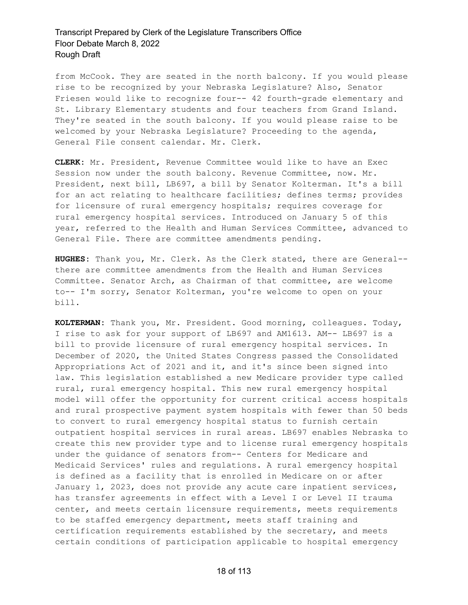from McCook. They are seated in the north balcony. If you would please rise to be recognized by your Nebraska Legislature? Also, Senator Friesen would like to recognize four-- 42 fourth-grade elementary and St. Library Elementary students and four teachers from Grand Island. They're seated in the south balcony. If you would please raise to be welcomed by your Nebraska Legislature? Proceeding to the agenda, General File consent calendar. Mr. Clerk.

**CLERK:** Mr. President, Revenue Committee would like to have an Exec Session now under the south balcony. Revenue Committee, now. Mr. President, next bill, LB697, a bill by Senator Kolterman. It's a bill for an act relating to healthcare facilities; defines terms; provides for licensure of rural emergency hospitals; requires coverage for rural emergency hospital services. Introduced on January 5 of this year, referred to the Health and Human Services Committee, advanced to General File. There are committee amendments pending.

**HUGHES:** Thank you, Mr. Clerk. As the Clerk stated, there are General- there are committee amendments from the Health and Human Services Committee. Senator Arch, as Chairman of that committee, are welcome to-- I'm sorry, Senator Kolterman, you're welcome to open on your bill.

**KOLTERMAN:** Thank you, Mr. President. Good morning, colleagues. Today, I rise to ask for your support of LB697 and AM1613. AM-- LB697 is a bill to provide licensure of rural emergency hospital services. In December of 2020, the United States Congress passed the Consolidated Appropriations Act of 2021 and it, and it's since been signed into law. This legislation established a new Medicare provider type called rural, rural emergency hospital. This new rural emergency hospital model will offer the opportunity for current critical access hospitals and rural prospective payment system hospitals with fewer than 50 beds to convert to rural emergency hospital status to furnish certain outpatient hospital services in rural areas. LB697 enables Nebraska to create this new provider type and to license rural emergency hospitals under the guidance of senators from-- Centers for Medicare and Medicaid Services' rules and regulations. A rural emergency hospital is defined as a facility that is enrolled in Medicare on or after January 1, 2023, does not provide any acute care inpatient services, has transfer agreements in effect with a Level I or Level II trauma center, and meets certain licensure requirements, meets requirements to be staffed emergency department, meets staff training and certification requirements established by the secretary, and meets certain conditions of participation applicable to hospital emergency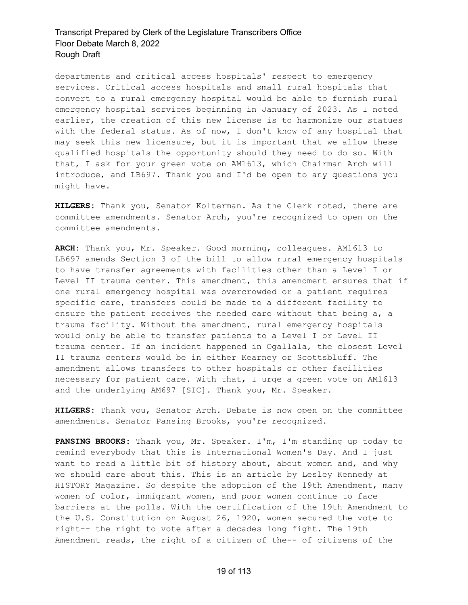departments and critical access hospitals' respect to emergency services. Critical access hospitals and small rural hospitals that convert to a rural emergency hospital would be able to furnish rural emergency hospital services beginning in January of 2023. As I noted earlier, the creation of this new license is to harmonize our statues with the federal status. As of now, I don't know of any hospital that may seek this new licensure, but it is important that we allow these qualified hospitals the opportunity should they need to do so. With that, I ask for your green vote on AM1613, which Chairman Arch will introduce, and LB697. Thank you and I'd be open to any questions you might have.

**HILGERS:** Thank you, Senator Kolterman. As the Clerk noted, there are committee amendments. Senator Arch, you're recognized to open on the committee amendments.

**ARCH:** Thank you, Mr. Speaker. Good morning, colleagues. AM1613 to LB697 amends Section 3 of the bill to allow rural emergency hospitals to have transfer agreements with facilities other than a Level I or Level II trauma center. This amendment, this amendment ensures that if one rural emergency hospital was overcrowded or a patient requires specific care, transfers could be made to a different facility to ensure the patient receives the needed care without that being a, a trauma facility. Without the amendment, rural emergency hospitals would only be able to transfer patients to a Level I or Level II trauma center. If an incident happened in Ogallala, the closest Level II trauma centers would be in either Kearney or Scottsbluff. The amendment allows transfers to other hospitals or other facilities necessary for patient care. With that, I urge a green vote on AM1613 and the underlying AM697 [SIC]. Thank you, Mr. Speaker.

**HILGERS:** Thank you, Senator Arch. Debate is now open on the committee amendments. Senator Pansing Brooks, you're recognized.

**PANSING BROOKS:** Thank you, Mr. Speaker. I'm, I'm standing up today to remind everybody that this is International Women's Day. And I just want to read a little bit of history about, about women and, and why we should care about this. This is an article by Lesley Kennedy at HISTORY Magazine. So despite the adoption of the 19th Amendment, many women of color, immigrant women, and poor women continue to face barriers at the polls. With the certification of the 19th Amendment to the U.S. Constitution on August 26, 1920, women secured the vote to right-- the right to vote after a decades long fight. The 19th Amendment reads, the right of a citizen of the-- of citizens of the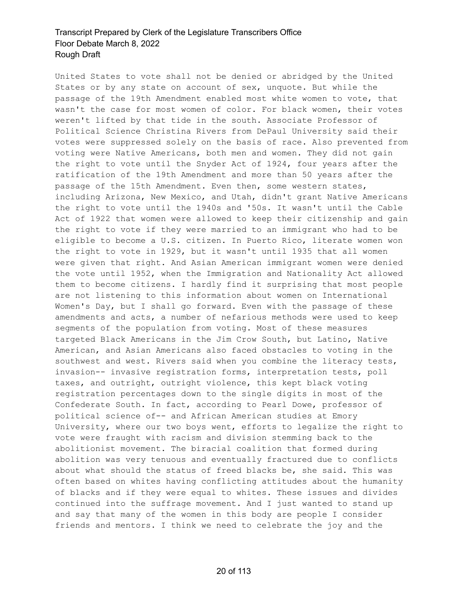United States to vote shall not be denied or abridged by the United States or by any state on account of sex, unquote. But while the passage of the 19th Amendment enabled most white women to vote, that wasn't the case for most women of color. For black women, their votes weren't lifted by that tide in the south. Associate Professor of Political Science Christina Rivers from DePaul University said their votes were suppressed solely on the basis of race. Also prevented from voting were Native Americans, both men and women. They did not gain the right to vote until the Snyder Act of 1924, four years after the ratification of the 19th Amendment and more than 50 years after the passage of the 15th Amendment. Even then, some western states, including Arizona, New Mexico, and Utah, didn't grant Native Americans the right to vote until the 1940s and '50s. It wasn't until the Cable Act of 1922 that women were allowed to keep their citizenship and gain the right to vote if they were married to an immigrant who had to be eligible to become a U.S. citizen. In Puerto Rico, literate women won the right to vote in 1929, but it wasn't until 1935 that all women were given that right. And Asian American immigrant women were denied the vote until 1952, when the Immigration and Nationality Act allowed them to become citizens. I hardly find it surprising that most people are not listening to this information about women on International Women's Day, but I shall go forward. Even with the passage of these amendments and acts, a number of nefarious methods were used to keep segments of the population from voting. Most of these measures targeted Black Americans in the Jim Crow South, but Latino, Native American, and Asian Americans also faced obstacles to voting in the southwest and west. Rivers said when you combine the literacy tests, invasion-- invasive registration forms, interpretation tests, poll taxes, and outright, outright violence, this kept black voting registration percentages down to the single digits in most of the Confederate South. In fact, according to Pearl Dowe, professor of political science of-- and African American studies at Emory University, where our two boys went, efforts to legalize the right to vote were fraught with racism and division stemming back to the abolitionist movement. The biracial coalition that formed during abolition was very tenuous and eventually fractured due to conflicts about what should the status of freed blacks be, she said. This was often based on whites having conflicting attitudes about the humanity of blacks and if they were equal to whites. These issues and divides continued into the suffrage movement. And I just wanted to stand up and say that many of the women in this body are people I consider friends and mentors. I think we need to celebrate the joy and the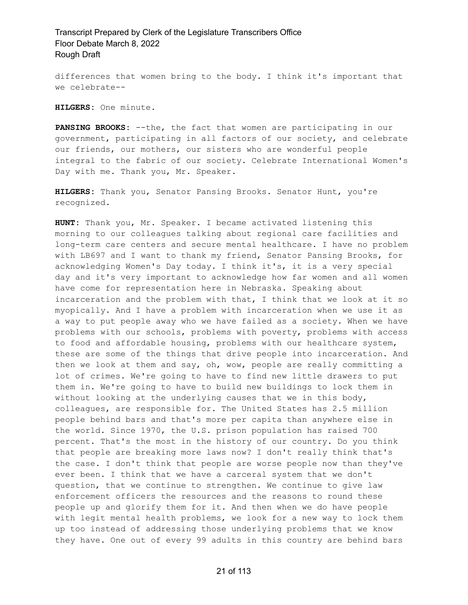differences that women bring to the body. I think it's important that we celebrate--

**HILGERS:** One minute.

**PANSING BROOKS:** --the, the fact that women are participating in our government, participating in all factors of our society, and celebrate our friends, our mothers, our sisters who are wonderful people integral to the fabric of our society. Celebrate International Women's Day with me. Thank you, Mr. Speaker.

**HILGERS:** Thank you, Senator Pansing Brooks. Senator Hunt, you're recognized.

**HUNT:** Thank you, Mr. Speaker. I became activated listening this morning to our colleagues talking about regional care facilities and long-term care centers and secure mental healthcare. I have no problem with LB697 and I want to thank my friend, Senator Pansing Brooks, for acknowledging Women's Day today. I think it's, it is a very special day and it's very important to acknowledge how far women and all women have come for representation here in Nebraska. Speaking about incarceration and the problem with that, I think that we look at it so myopically. And I have a problem with incarceration when we use it as a way to put people away who we have failed as a society. When we have problems with our schools, problems with poverty, problems with access to food and affordable housing, problems with our healthcare system, these are some of the things that drive people into incarceration. And then we look at them and say, oh, wow, people are really committing a lot of crimes. We're going to have to find new little drawers to put them in. We're going to have to build new buildings to lock them in without looking at the underlying causes that we in this body, colleagues, are responsible for. The United States has 2.5 million people behind bars and that's more per capita than anywhere else in the world. Since 1970, the U.S. prison population has raised 700 percent. That's the most in the history of our country. Do you think that people are breaking more laws now? I don't really think that's the case. I don't think that people are worse people now than they've ever been. I think that we have a carceral system that we don't question, that we continue to strengthen. We continue to give law enforcement officers the resources and the reasons to round these people up and glorify them for it. And then when we do have people with legit mental health problems, we look for a new way to lock them up too instead of addressing those underlying problems that we know they have. One out of every 99 adults in this country are behind bars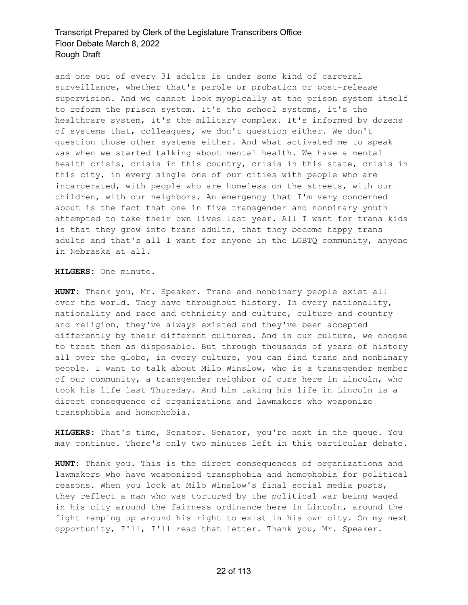and one out of every 31 adults is under some kind of carceral surveillance, whether that's parole or probation or post-release supervision. And we cannot look myopically at the prison system itself to reform the prison system. It's the school systems, it's the healthcare system, it's the military complex. It's informed by dozens of systems that, colleagues, we don't question either. We don't question those other systems either. And what activated me to speak was when we started talking about mental health. We have a mental health crisis, crisis in this country, crisis in this state, crisis in this city, in every single one of our cities with people who are incarcerated, with people who are homeless on the streets, with our children, with our neighbors. An emergency that I'm very concerned about is the fact that one in five transgender and nonbinary youth attempted to take their own lives last year. All I want for trans kids is that they grow into trans adults, that they become happy trans adults and that's all I want for anyone in the LGBTQ community, anyone in Nebraska at all.

**HILGERS:** One minute.

**HUNT:** Thank you, Mr. Speaker. Trans and nonbinary people exist all over the world. They have throughout history. In every nationality, nationality and race and ethnicity and culture, culture and country and religion, they've always existed and they've been accepted differently by their different cultures. And in our culture, we choose to treat them as disposable. But through thousands of years of history all over the globe, in every culture, you can find trans and nonbinary people. I want to talk about Milo Winslow, who is a transgender member of our community, a transgender neighbor of ours here in Lincoln, who took his life last Thursday. And him taking his life in Lincoln is a direct consequence of organizations and lawmakers who weaponize transphobia and homophobia.

**HILGERS:** That's time, Senator. Senator, you're next in the queue. You may continue. There's only two minutes left in this particular debate.

**HUNT:** Thank you. This is the direct consequences of organizations and lawmakers who have weaponized transphobia and homophobia for political reasons. When you look at Milo Winslow's final social media posts, they reflect a man who was tortured by the political war being waged in his city around the fairness ordinance here in Lincoln, around the fight ramping up around his right to exist in his own city. On my next opportunity, I'll, I'll read that letter. Thank you, Mr. Speaker.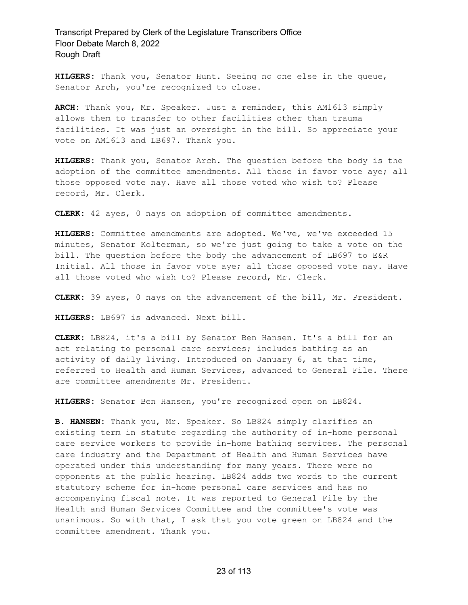**HILGERS:** Thank you, Senator Hunt. Seeing no one else in the queue, Senator Arch, you're recognized to close.

**ARCH:** Thank you, Mr. Speaker. Just a reminder, this AM1613 simply allows them to transfer to other facilities other than trauma facilities. It was just an oversight in the bill. So appreciate your vote on AM1613 and LB697. Thank you.

**HILGERS:** Thank you, Senator Arch. The question before the body is the adoption of the committee amendments. All those in favor vote aye; all those opposed vote nay. Have all those voted who wish to? Please record, Mr. Clerk.

**CLERK:** 42 ayes, 0 nays on adoption of committee amendments.

**HILGERS:** Committee amendments are adopted. We've, we've exceeded 15 minutes, Senator Kolterman, so we're just going to take a vote on the bill. The question before the body the advancement of LB697 to E&R Initial. All those in favor vote aye; all those opposed vote nay. Have all those voted who wish to? Please record, Mr. Clerk.

**CLERK:** 39 ayes, 0 nays on the advancement of the bill, Mr. President.

**HILGERS:** LB697 is advanced. Next bill.

**CLERK:** LB824, it's a bill by Senator Ben Hansen. It's a bill for an act relating to personal care services; includes bathing as an activity of daily living. Introduced on January 6, at that time, referred to Health and Human Services, advanced to General File. There are committee amendments Mr. President.

**HILGERS:** Senator Ben Hansen, you're recognized open on LB824.

**B. HANSEN:** Thank you, Mr. Speaker. So LB824 simply clarifies an existing term in statute regarding the authority of in-home personal care service workers to provide in-home bathing services. The personal care industry and the Department of Health and Human Services have operated under this understanding for many years. There were no opponents at the public hearing. LB824 adds two words to the current statutory scheme for in-home personal care services and has no accompanying fiscal note. It was reported to General File by the Health and Human Services Committee and the committee's vote was unanimous. So with that, I ask that you vote green on LB824 and the committee amendment. Thank you.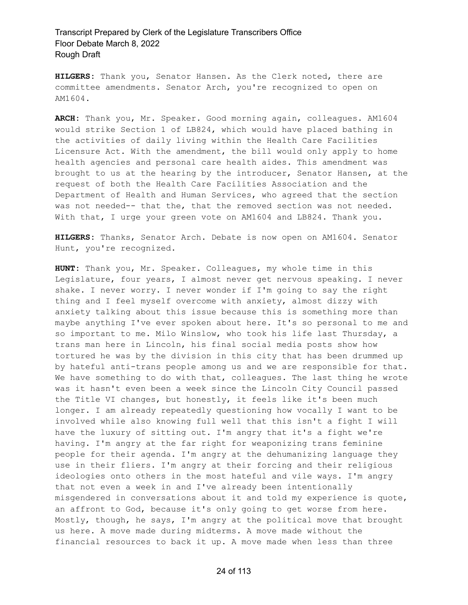**HILGERS:** Thank you, Senator Hansen. As the Clerk noted, there are committee amendments. Senator Arch, you're recognized to open on AM1604.

**ARCH:** Thank you, Mr. Speaker. Good morning again, colleagues. AM1604 would strike Section 1 of LB824, which would have placed bathing in the activities of daily living within the Health Care Facilities Licensure Act. With the amendment, the bill would only apply to home health agencies and personal care health aides. This amendment was brought to us at the hearing by the introducer, Senator Hansen, at the request of both the Health Care Facilities Association and the Department of Health and Human Services, who agreed that the section was not needed-- that the, that the removed section was not needed. With that, I urge your green vote on AM1604 and LB824. Thank you.

**HILGERS:** Thanks, Senator Arch. Debate is now open on AM1604. Senator Hunt, you're recognized.

**HUNT:** Thank you, Mr. Speaker. Colleagues, my whole time in this Legislature, four years, I almost never get nervous speaking. I never shake. I never worry. I never wonder if I'm going to say the right thing and I feel myself overcome with anxiety, almost dizzy with anxiety talking about this issue because this is something more than maybe anything I've ever spoken about here. It's so personal to me and so important to me. Milo Winslow, who took his life last Thursday, a trans man here in Lincoln, his final social media posts show how tortured he was by the division in this city that has been drummed up by hateful anti-trans people among us and we are responsible for that. We have something to do with that, colleagues. The last thing he wrote was it hasn't even been a week since the Lincoln City Council passed the Title VI changes, but honestly, it feels like it's been much longer. I am already repeatedly questioning how vocally I want to be involved while also knowing full well that this isn't a fight I will have the luxury of sitting out. I'm angry that it's a fight we're having. I'm angry at the far right for weaponizing trans feminine people for their agenda. I'm angry at the dehumanizing language they use in their fliers. I'm angry at their forcing and their religious ideologies onto others in the most hateful and vile ways. I'm angry that not even a week in and I've already been intentionally misgendered in conversations about it and told my experience is quote, an affront to God, because it's only going to get worse from here. Mostly, though, he says, I'm angry at the political move that brought us here. A move made during midterms. A move made without the financial resources to back it up. A move made when less than three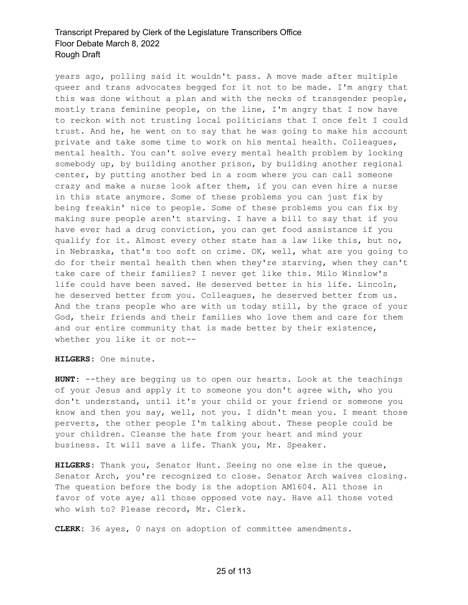years ago, polling said it wouldn't pass. A move made after multiple queer and trans advocates begged for it not to be made. I'm angry that this was done without a plan and with the necks of transgender people, mostly trans feminine people, on the line, I'm angry that I now have to reckon with not trusting local politicians that I once felt I could trust. And he, he went on to say that he was going to make his account private and take some time to work on his mental health. Colleagues, mental health. You can't solve every mental health problem by locking somebody up, by building another prison, by building another regional center, by putting another bed in a room where you can call someone crazy and make a nurse look after them, if you can even hire a nurse in this state anymore. Some of these problems you can just fix by being freakin' nice to people. Some of these problems you can fix by making sure people aren't starving. I have a bill to say that if you have ever had a drug conviction, you can get food assistance if you qualify for it. Almost every other state has a law like this, but no, in Nebraska, that's too soft on crime. OK, well, what are you going to do for their mental health then when they're starving, when they can't take care of their families? I never get like this. Milo Winslow's life could have been saved. He deserved better in his life. Lincoln, he deserved better from you. Colleagues, he deserved better from us. And the trans people who are with us today still, by the grace of your God, their friends and their families who love them and care for them and our entire community that is made better by their existence, whether you like it or not--

**HILGERS:** One minute.

**HUNT:** --they are begging us to open our hearts. Look at the teachings of your Jesus and apply it to someone you don't agree with, who you don't understand, until it's your child or your friend or someone you know and then you say, well, not you. I didn't mean you. I meant those perverts, the other people I'm talking about. These people could be your children. Cleanse the hate from your heart and mind your business. It will save a life. Thank you, Mr. Speaker.

**HILGERS:** Thank you, Senator Hunt. Seeing no one else in the queue, Senator Arch, you're recognized to close. Senator Arch waives closing. The question before the body is the adoption AM1604. All those in favor of vote aye; all those opposed vote nay. Have all those voted who wish to? Please record, Mr. Clerk.

**CLERK:** 36 ayes, 0 nays on adoption of committee amendments.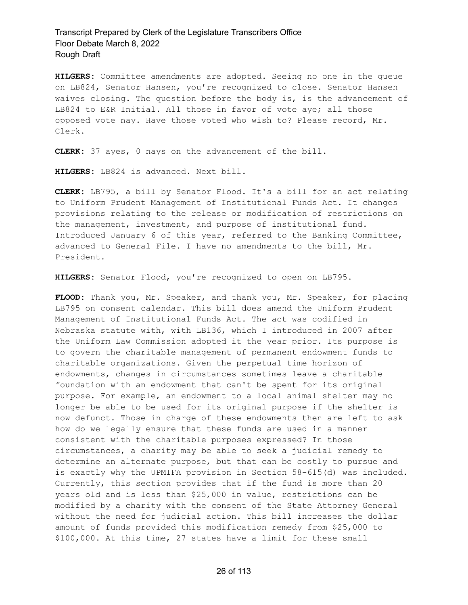**HILGERS:** Committee amendments are adopted. Seeing no one in the queue on LB824, Senator Hansen, you're recognized to close. Senator Hansen waives closing. The question before the body is, is the advancement of LB824 to E&R Initial. All those in favor of vote aye; all those opposed vote nay. Have those voted who wish to? Please record, Mr. Clerk.

**CLERK:** 37 ayes, 0 nays on the advancement of the bill.

**HILGERS:** LB824 is advanced. Next bill.

**CLERK:** LB795, a bill by Senator Flood. It's a bill for an act relating to Uniform Prudent Management of Institutional Funds Act. It changes provisions relating to the release or modification of restrictions on the management, investment, and purpose of institutional fund. Introduced January 6 of this year, referred to the Banking Committee, advanced to General File. I have no amendments to the bill, Mr. President.

**HILGERS:** Senator Flood, you're recognized to open on LB795.

**FLOOD:** Thank you, Mr. Speaker, and thank you, Mr. Speaker, for placing LB795 on consent calendar. This bill does amend the Uniform Prudent Management of Institutional Funds Act. The act was codified in Nebraska statute with, with LB136, which I introduced in 2007 after the Uniform Law Commission adopted it the year prior. Its purpose is to govern the charitable management of permanent endowment funds to charitable organizations. Given the perpetual time horizon of endowments, changes in circumstances sometimes leave a charitable foundation with an endowment that can't be spent for its original purpose. For example, an endowment to a local animal shelter may no longer be able to be used for its original purpose if the shelter is now defunct. Those in charge of these endowments then are left to ask how do we legally ensure that these funds are used in a manner consistent with the charitable purposes expressed? In those circumstances, a charity may be able to seek a judicial remedy to determine an alternate purpose, but that can be costly to pursue and is exactly why the UPMIFA provision in Section 58-615(d) was included. Currently, this section provides that if the fund is more than 20 years old and is less than \$25,000 in value, restrictions can be modified by a charity with the consent of the State Attorney General without the need for judicial action. This bill increases the dollar amount of funds provided this modification remedy from \$25,000 to \$100,000. At this time, 27 states have a limit for these small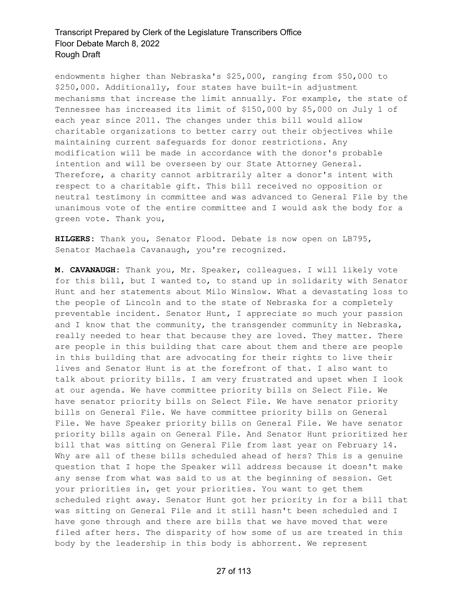endowments higher than Nebraska's \$25,000, ranging from \$50,000 to \$250,000. Additionally, four states have built-in adjustment mechanisms that increase the limit annually. For example, the state of Tennessee has increased its limit of \$150,000 by \$5,000 on July 1 of each year since 2011. The changes under this bill would allow charitable organizations to better carry out their objectives while maintaining current safeguards for donor restrictions. Any modification will be made in accordance with the donor's probable intention and will be overseen by our State Attorney General. Therefore, a charity cannot arbitrarily alter a donor's intent with respect to a charitable gift. This bill received no opposition or neutral testimony in committee and was advanced to General File by the unanimous vote of the entire committee and I would ask the body for a green vote. Thank you,

**HILGERS:** Thank you, Senator Flood. Debate is now open on LB795, Senator Machaela Cavanaugh, you're recognized.

**M. CAVANAUGH:** Thank you, Mr. Speaker, colleagues. I will likely vote for this bill, but I wanted to, to stand up in solidarity with Senator Hunt and her statements about Milo Winslow. What a devastating loss to the people of Lincoln and to the state of Nebraska for a completely preventable incident. Senator Hunt, I appreciate so much your passion and I know that the community, the transgender community in Nebraska, really needed to hear that because they are loved. They matter. There are people in this building that care about them and there are people in this building that are advocating for their rights to live their lives and Senator Hunt is at the forefront of that. I also want to talk about priority bills. I am very frustrated and upset when I look at our agenda. We have committee priority bills on Select File. We have senator priority bills on Select File. We have senator priority bills on General File. We have committee priority bills on General File. We have Speaker priority bills on General File. We have senator priority bills again on General File. And Senator Hunt prioritized her bill that was sitting on General File from last year on February 14. Why are all of these bills scheduled ahead of hers? This is a genuine question that I hope the Speaker will address because it doesn't make any sense from what was said to us at the beginning of session. Get your priorities in, get your priorities. You want to get them scheduled right away. Senator Hunt got her priority in for a bill that was sitting on General File and it still hasn't been scheduled and I have gone through and there are bills that we have moved that were filed after hers. The disparity of how some of us are treated in this body by the leadership in this body is abhorrent. We represent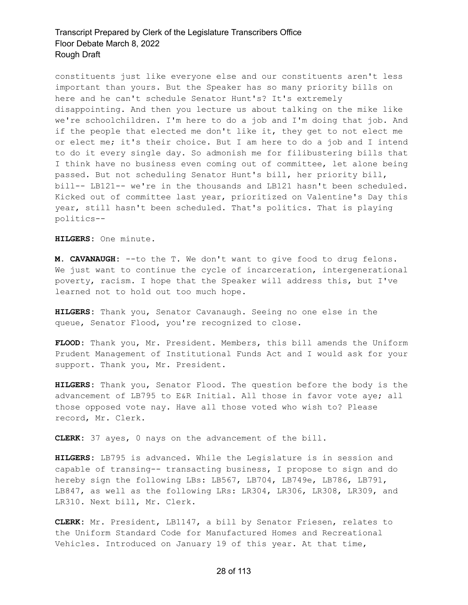constituents just like everyone else and our constituents aren't less important than yours. But the Speaker has so many priority bills on here and he can't schedule Senator Hunt's? It's extremely disappointing. And then you lecture us about talking on the mike like we're schoolchildren. I'm here to do a job and I'm doing that job. And if the people that elected me don't like it, they get to not elect me or elect me; it's their choice. But I am here to do a job and I intend to do it every single day. So admonish me for filibustering bills that I think have no business even coming out of committee, let alone being passed. But not scheduling Senator Hunt's bill, her priority bill, bill-- LB121-- we're in the thousands and LB121 hasn't been scheduled. Kicked out of committee last year, prioritized on Valentine's Day this year, still hasn't been scheduled. That's politics. That is playing politics--

**HILGERS:** One minute.

**M. CAVANAUGH:** --to the T. We don't want to give food to drug felons. We just want to continue the cycle of incarceration, intergenerational poverty, racism. I hope that the Speaker will address this, but I've learned not to hold out too much hope.

**HILGERS:** Thank you, Senator Cavanaugh. Seeing no one else in the queue, Senator Flood, you're recognized to close.

**FLOOD:** Thank you, Mr. President. Members, this bill amends the Uniform Prudent Management of Institutional Funds Act and I would ask for your support. Thank you, Mr. President.

**HILGERS:** Thank you, Senator Flood. The question before the body is the advancement of LB795 to E&R Initial. All those in favor vote aye; all those opposed vote nay. Have all those voted who wish to? Please record, Mr. Clerk.

**CLERK:** 37 ayes, 0 nays on the advancement of the bill.

**HILGERS:** LB795 is advanced. While the Legislature is in session and capable of transing-- transacting business, I propose to sign and do hereby sign the following LBs: LB567, LB704, LB749e, LB786, LB791, LB847, as well as the following LRs: LR304, LR306, LR308, LR309, and LR310. Next bill, Mr. Clerk.

**CLERK:** Mr. President, LB1147, a bill by Senator Friesen, relates to the Uniform Standard Code for Manufactured Homes and Recreational Vehicles. Introduced on January 19 of this year. At that time,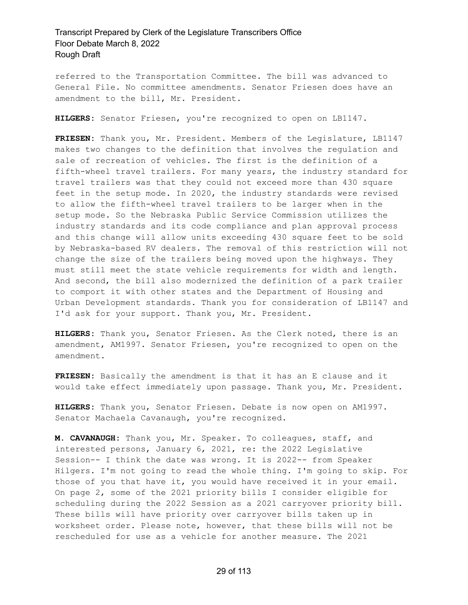referred to the Transportation Committee. The bill was advanced to General File. No committee amendments. Senator Friesen does have an amendment to the bill, Mr. President.

**HILGERS:** Senator Friesen, you're recognized to open on LB1147.

**FRIESEN:** Thank you, Mr. President. Members of the Legislature, LB1147 makes two changes to the definition that involves the regulation and sale of recreation of vehicles. The first is the definition of a fifth-wheel travel trailers. For many years, the industry standard for travel trailers was that they could not exceed more than 430 square feet in the setup mode. In 2020, the industry standards were revised to allow the fifth-wheel travel trailers to be larger when in the setup mode. So the Nebraska Public Service Commission utilizes the industry standards and its code compliance and plan approval process and this change will allow units exceeding 430 square feet to be sold by Nebraska-based RV dealers. The removal of this restriction will not change the size of the trailers being moved upon the highways. They must still meet the state vehicle requirements for width and length. And second, the bill also modernized the definition of a park trailer to comport it with other states and the Department of Housing and Urban Development standards. Thank you for consideration of LB1147 and I'd ask for your support. Thank you, Mr. President.

**HILGERS:** Thank you, Senator Friesen. As the Clerk noted, there is an amendment, AM1997. Senator Friesen, you're recognized to open on the amendment.

**FRIESEN:** Basically the amendment is that it has an E clause and it would take effect immediately upon passage. Thank you, Mr. President.

**HILGERS:** Thank you, Senator Friesen. Debate is now open on AM1997. Senator Machaela Cavanaugh, you're recognized.

**M. CAVANAUGH:** Thank you, Mr. Speaker. To colleagues, staff, and interested persons, January 6, 2021, re: the 2022 Legislative Session-- I think the date was wrong. It is 2022-- from Speaker Hilgers. I'm not going to read the whole thing. I'm going to skip. For those of you that have it, you would have received it in your email. On page 2, some of the 2021 priority bills I consider eligible for scheduling during the 2022 Session as a 2021 carryover priority bill. These bills will have priority over carryover bills taken up in worksheet order. Please note, however, that these bills will not be rescheduled for use as a vehicle for another measure. The 2021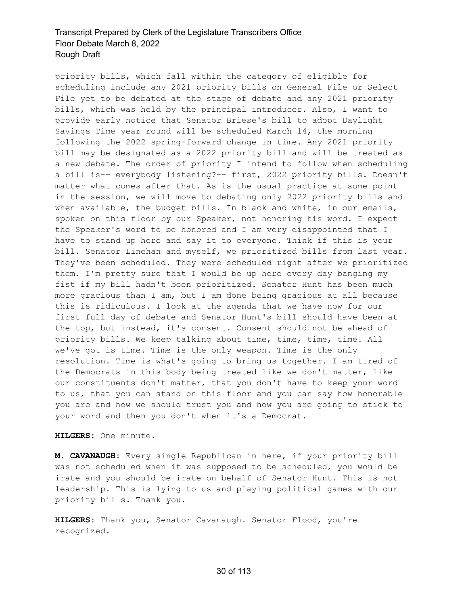priority bills, which fall within the category of eligible for scheduling include any 2021 priority bills on General File or Select File yet to be debated at the stage of debate and any 2021 priority bills, which was held by the principal introducer. Also, I want to provide early notice that Senator Briese's bill to adopt Daylight Savings Time year round will be scheduled March 14, the morning following the 2022 spring-forward change in time. Any 2021 priority bill may be designated as a 2022 priority bill and will be treated as a new debate. The order of priority I intend to follow when scheduling a bill is-- everybody listening?-- first, 2022 priority bills. Doesn't matter what comes after that. As is the usual practice at some point in the session, we will move to debating only 2022 priority bills and when available, the budget bills. In black and white, in our emails, spoken on this floor by our Speaker, not honoring his word. I expect the Speaker's word to be honored and I am very disappointed that I have to stand up here and say it to everyone. Think if this is your bill. Senator Linehan and myself, we prioritized bills from last year. They've been scheduled. They were scheduled right after we prioritized them. I'm pretty sure that I would be up here every day banging my fist if my bill hadn't been prioritized. Senator Hunt has been much more gracious than I am, but I am done being gracious at all because this is ridiculous. I look at the agenda that we have now for our first full day of debate and Senator Hunt's bill should have been at the top, but instead, it's consent. Consent should not be ahead of priority bills. We keep talking about time, time, time, time. All we've got is time. Time is the only weapon. Time is the only resolution. Time is what's going to bring us together. I am tired of the Democrats in this body being treated like we don't matter, like our constituents don't matter, that you don't have to keep your word to us, that you can stand on this floor and you can say how honorable you are and how we should trust you and how you are going to stick to your word and then you don't when it's a Democrat.

**HILGERS:** One minute.

**M. CAVANAUGH:** Every single Republican in here, if your priority bill was not scheduled when it was supposed to be scheduled, you would be irate and you should be irate on behalf of Senator Hunt. This is not leadership. This is lying to us and playing political games with our priority bills. Thank you.

**HILGERS:** Thank you, Senator Cavanaugh. Senator Flood, you're recognized.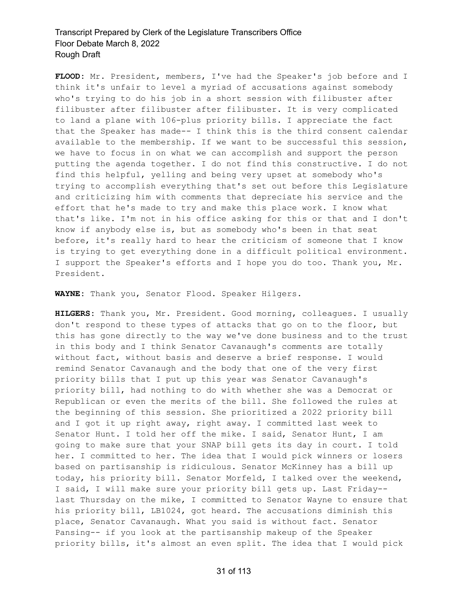**FLOOD:** Mr. President, members, I've had the Speaker's job before and I think it's unfair to level a myriad of accusations against somebody who's trying to do his job in a short session with filibuster after filibuster after filibuster after filibuster. It is very complicated to land a plane with 106-plus priority bills. I appreciate the fact that the Speaker has made-- I think this is the third consent calendar available to the membership. If we want to be successful this session, we have to focus in on what we can accomplish and support the person putting the agenda together. I do not find this constructive. I do not find this helpful, yelling and being very upset at somebody who's trying to accomplish everything that's set out before this Legislature and criticizing him with comments that depreciate his service and the effort that he's made to try and make this place work. I know what that's like. I'm not in his office asking for this or that and I don't know if anybody else is, but as somebody who's been in that seat before, it's really hard to hear the criticism of someone that I know is trying to get everything done in a difficult political environment. I support the Speaker's efforts and I hope you do too. Thank you, Mr. President.

**WAYNE:** Thank you, Senator Flood. Speaker Hilgers.

**HILGERS:** Thank you, Mr. President. Good morning, colleagues. I usually don't respond to these types of attacks that go on to the floor, but this has gone directly to the way we've done business and to the trust in this body and I think Senator Cavanaugh's comments are totally without fact, without basis and deserve a brief response. I would remind Senator Cavanaugh and the body that one of the very first priority bills that I put up this year was Senator Cavanaugh's priority bill, had nothing to do with whether she was a Democrat or Republican or even the merits of the bill. She followed the rules at the beginning of this session. She prioritized a 2022 priority bill and I got it up right away, right away. I committed last week to Senator Hunt. I told her off the mike. I said, Senator Hunt, I am going to make sure that your SNAP bill gets its day in court. I told her. I committed to her. The idea that I would pick winners or losers based on partisanship is ridiculous. Senator McKinney has a bill up today, his priority bill. Senator Morfeld, I talked over the weekend, I said, I will make sure your priority bill gets up. Last Friday- last Thursday on the mike, I committed to Senator Wayne to ensure that his priority bill, LB1024, got heard. The accusations diminish this place, Senator Cavanaugh. What you said is without fact. Senator Pansing-- if you look at the partisanship makeup of the Speaker priority bills, it's almost an even split. The idea that I would pick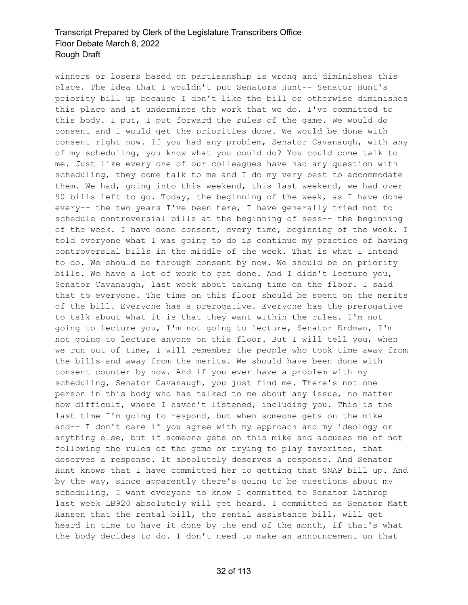winners or losers based on partisanship is wrong and diminishes this place. The idea that I wouldn't put Senators Hunt-- Senator Hunt's priority bill up because I don't like the bill or otherwise diminishes this place and it undermines the work that we do. I've committed to this body. I put, I put forward the rules of the game. We would do consent and I would get the priorities done. We would be done with consent right now. If you had any problem, Senator Cavanaugh, with any of my scheduling, you know what you could do? You could come talk to me. Just like every one of our colleagues have had any question with scheduling, they come talk to me and I do my very best to accommodate them. We had, going into this weekend, this last weekend, we had over 90 bills left to go. Today, the beginning of the week, as I have done every-- the two years I've been here, I have generally tried not to schedule controversial bills at the beginning of sess-- the beginning of the week. I have done consent, every time, beginning of the week. I told everyone what I was going to do is continue my practice of having controversial bills in the middle of the week. That is what I intend to do. We should be through consent by now. We should be on priority bills. We have a lot of work to get done. And I didn't lecture you, Senator Cavanaugh, last week about taking time on the floor. I said that to everyone. The time on this floor should be spent on the merits of the bill. Everyone has a prerogative. Everyone has the prerogative to talk about what it is that they want within the rules. I'm not going to lecture you, I'm not going to lecture, Senator Erdman, I'm not going to lecture anyone on this floor. But I will tell you, when we run out of time, I will remember the people who took time away from the bills and away from the merits. We should have been done with consent counter by now. And if you ever have a problem with my scheduling, Senator Cavanaugh, you just find me. There's not one person in this body who has talked to me about any issue, no matter how difficult, where I haven't listened, including you. This is the last time I'm going to respond, but when someone gets on the mike and-- I don't care if you agree with my approach and my ideology or anything else, but if someone gets on this mike and accuses me of not following the rules of the game or trying to play favorites, that deserves a response. It absolutely deserves a response. And Senator Hunt knows that I have committed her to getting that SNAP bill up. And by the way, since apparently there's going to be questions about my scheduling, I want everyone to know I committed to Senator Lathrop last week LB920 absolutely will get heard. I committed as Senator Matt Hansen that the rental bill, the rental assistance bill, will get heard in time to have it done by the end of the month, if that's what the body decides to do. I don't need to make an announcement on that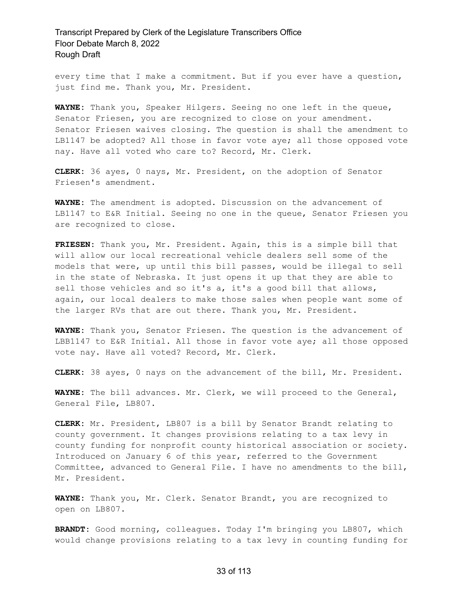every time that I make a commitment. But if you ever have a question, just find me. Thank you, Mr. President.

**WAYNE:** Thank you, Speaker Hilgers. Seeing no one left in the queue, Senator Friesen, you are recognized to close on your amendment. Senator Friesen waives closing. The question is shall the amendment to LB1147 be adopted? All those in favor vote aye; all those opposed vote nay. Have all voted who care to? Record, Mr. Clerk.

**CLERK:** 36 ayes, 0 nays, Mr. President, on the adoption of Senator Friesen's amendment.

**WAYNE:** The amendment is adopted. Discussion on the advancement of LB1147 to E&R Initial. Seeing no one in the queue, Senator Friesen you are recognized to close.

**FRIESEN:** Thank you, Mr. President. Again, this is a simple bill that will allow our local recreational vehicle dealers sell some of the models that were, up until this bill passes, would be illegal to sell in the state of Nebraska. It just opens it up that they are able to sell those vehicles and so it's a, it's a good bill that allows, again, our local dealers to make those sales when people want some of the larger RVs that are out there. Thank you, Mr. President.

**WAYNE:** Thank you, Senator Friesen. The question is the advancement of LBB1147 to E&R Initial. All those in favor vote aye; all those opposed vote nay. Have all voted? Record, Mr. Clerk.

**CLERK:** 38 ayes, 0 nays on the advancement of the bill, Mr. President.

**WAYNE:** The bill advances. Mr. Clerk, we will proceed to the General, General File, LB807.

**CLERK:** Mr. President, LB807 is a bill by Senator Brandt relating to county government. It changes provisions relating to a tax levy in county funding for nonprofit county historical association or society. Introduced on January 6 of this year, referred to the Government Committee, advanced to General File. I have no amendments to the bill, Mr. President.

**WAYNE:** Thank you, Mr. Clerk. Senator Brandt, you are recognized to open on LB807.

**BRANDT:** Good morning, colleagues. Today I'm bringing you LB807, which would change provisions relating to a tax levy in counting funding for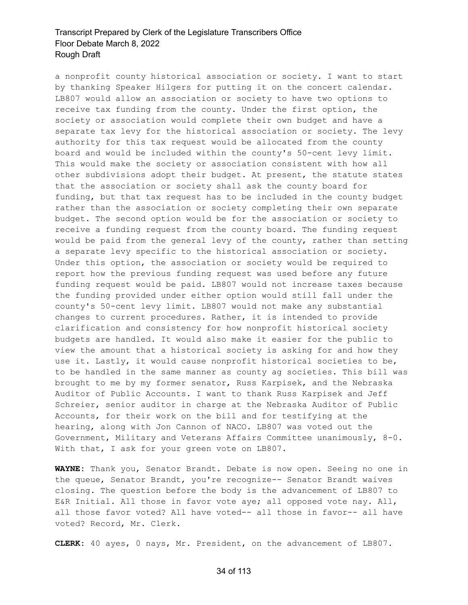a nonprofit county historical association or society. I want to start by thanking Speaker Hilgers for putting it on the concert calendar. LB807 would allow an association or society to have two options to receive tax funding from the county. Under the first option, the society or association would complete their own budget and have a separate tax levy for the historical association or society. The levy authority for this tax request would be allocated from the county board and would be included within the county's 50-cent levy limit. This would make the society or association consistent with how all other subdivisions adopt their budget. At present, the statute states that the association or society shall ask the county board for funding, but that tax request has to be included in the county budget rather than the association or society completing their own separate budget. The second option would be for the association or society to receive a funding request from the county board. The funding request would be paid from the general levy of the county, rather than setting a separate levy specific to the historical association or society. Under this option, the association or society would be required to report how the previous funding request was used before any future funding request would be paid. LB807 would not increase taxes because the funding provided under either option would still fall under the county's 50-cent levy limit. LB807 would not make any substantial changes to current procedures. Rather, it is intended to provide clarification and consistency for how nonprofit historical society budgets are handled. It would also make it easier for the public to view the amount that a historical society is asking for and how they use it. Lastly, it would cause nonprofit historical societies to be, to be handled in the same manner as county ag societies. This bill was brought to me by my former senator, Russ Karpisek, and the Nebraska Auditor of Public Accounts. I want to thank Russ Karpisek and Jeff Schreier, senior auditor in charge at the Nebraska Auditor of Public Accounts, for their work on the bill and for testifying at the hearing, along with Jon Cannon of NACO. LB807 was voted out the Government, Military and Veterans Affairs Committee unanimously, 8-0. With that, I ask for your green vote on LB807.

**WAYNE:** Thank you, Senator Brandt. Debate is now open. Seeing no one in the queue, Senator Brandt, you're recognize-- Senator Brandt waives closing. The question before the body is the advancement of LB807 to E&R Initial. All those in favor vote aye; all opposed vote nay. All, all those favor voted? All have voted-- all those in favor-- all have voted? Record, Mr. Clerk.

**CLERK:** 40 ayes, 0 nays, Mr. President, on the advancement of LB807.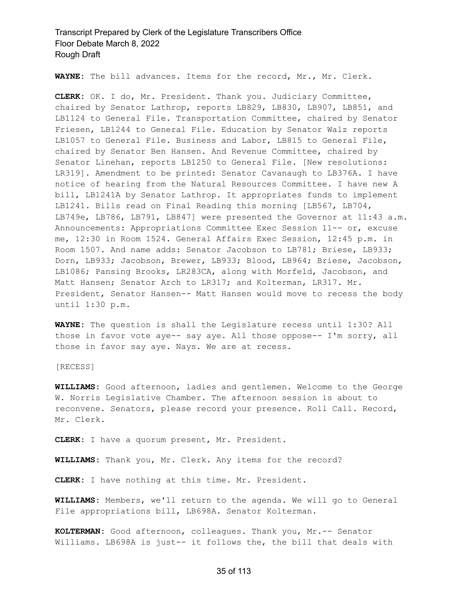**WAYNE:** The bill advances. Items for the record, Mr., Mr. Clerk.

**CLERK:** OK. I do, Mr. President. Thank you. Judiciary Committee, chaired by Senator Lathrop, reports LB829, LB830, LB907, LB851, and LB1124 to General File. Transportation Committee, chaired by Senator Friesen, LB1244 to General File. Education by Senator Walz reports LB1057 to General File. Business and Labor, LB815 to General File, chaired by Senator Ben Hansen. And Revenue Committee, chaired by Senator Linehan, reports LB1250 to General File. [New resolutions: LR319]. Amendment to be printed: Senator Cavanaugh to LB376A. I have notice of hearing from the Natural Resources Committee. I have new A bill, LB1241A by Senator Lathrop. It appropriates funds to implement LB1241. Bills read on Final Reading this morning [LB567, LB704, LB749e, LB786, LB791, LB847] were presented the Governor at 11:43 a.m. Announcements: Appropriations Committee Exec Session 11-- or, excuse me, 12:30 in Room 1524. General Affairs Exec Session, 12:45 p.m. in Room 1507. And name adds: Senator Jacobson to LB781; Briese, LB933; Dorn, LB933; Jacobson, Brewer, LB933; Blood, LB964; Briese, Jacobson, LB1086; Pansing Brooks, LR283CA, along with Morfeld, Jacobson, and Matt Hansen; Senator Arch to LR317; and Kolterman, LR317. Mr. President, Senator Hansen-- Matt Hansen would move to recess the body until 1:30 p.m.

**WAYNE:** The question is shall the Legislature recess until 1:30? All those in favor vote aye-- say aye. All those oppose-- I'm sorry, all those in favor say aye. Nays. We are at recess.

[RECESS]

**WILLIAMS:** Good afternoon, ladies and gentlemen. Welcome to the George W. Norris Legislative Chamber. The afternoon session is about to reconvene. Senators, please record your presence. Roll Call. Record, Mr. Clerk.

**CLERK:** I have a quorum present, Mr. President.

**WILLIAMS:** Thank you, Mr. Clerk. Any items for the record?

**CLERK:** I have nothing at this time. Mr. President.

**WILLIAMS:** Members, we'll return to the agenda. We will go to General File appropriations bill, LB698A. Senator Kolterman.

**KOLTERMAN:** Good afternoon, colleagues. Thank you, Mr.-- Senator Williams. LB698A is just-- it follows the, the bill that deals with

#### 35 of 113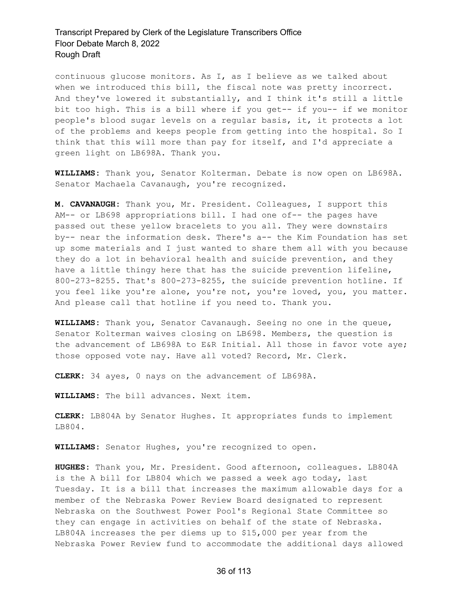continuous glucose monitors. As I, as I believe as we talked about when we introduced this bill, the fiscal note was pretty incorrect. And they've lowered it substantially, and I think it's still a little bit too high. This is a bill where if you get-- if you-- if we monitor people's blood sugar levels on a regular basis, it, it protects a lot of the problems and keeps people from getting into the hospital. So I think that this will more than pay for itself, and I'd appreciate a green light on LB698A. Thank you.

**WILLIAMS:** Thank you, Senator Kolterman. Debate is now open on LB698A. Senator Machaela Cavanaugh, you're recognized.

**M. CAVANAUGH:** Thank you, Mr. President. Colleagues, I support this AM-- or LB698 appropriations bill. I had one of-- the pages have passed out these yellow bracelets to you all. They were downstairs by-- near the information desk. There's a-- the Kim Foundation has set up some materials and I just wanted to share them all with you because they do a lot in behavioral health and suicide prevention, and they have a little thingy here that has the suicide prevention lifeline, 800-273-8255. That's 800-273-8255, the suicide prevention hotline. If you feel like you're alone, you're not, you're loved, you, you matter. And please call that hotline if you need to. Thank you.

**WILLIAMS:** Thank you, Senator Cavanaugh. Seeing no one in the queue, Senator Kolterman waives closing on LB698. Members, the question is the advancement of LB698A to E&R Initial. All those in favor vote aye; those opposed vote nay. Have all voted? Record, Mr. Clerk.

**CLERK:** 34 ayes, 0 nays on the advancement of LB698A.

**WILLIAMS:** The bill advances. Next item.

**CLERK:** LB804A by Senator Hughes. It appropriates funds to implement LB804.

**WILLIAMS:** Senator Hughes, you're recognized to open.

**HUGHES:** Thank you, Mr. President. Good afternoon, colleagues. LB804A is the A bill for LB804 which we passed a week ago today, last Tuesday. It is a bill that increases the maximum allowable days for a member of the Nebraska Power Review Board designated to represent Nebraska on the Southwest Power Pool's Regional State Committee so they can engage in activities on behalf of the state of Nebraska. LB804A increases the per diems up to \$15,000 per year from the Nebraska Power Review fund to accommodate the additional days allowed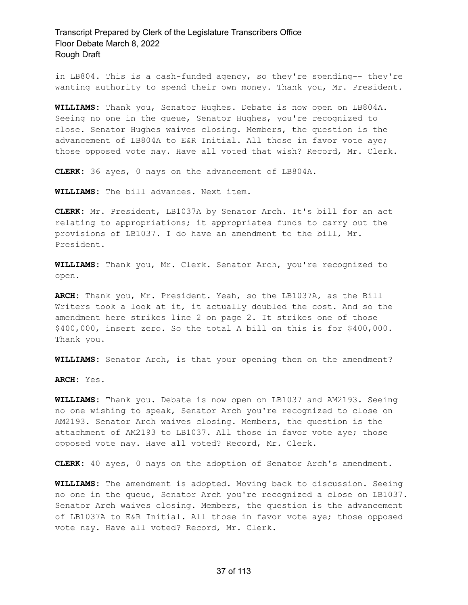in LB804. This is a cash-funded agency, so they're spending-- they're wanting authority to spend their own money. Thank you, Mr. President.

**WILLIAMS:** Thank you, Senator Hughes. Debate is now open on LB804A. Seeing no one in the queue, Senator Hughes, you're recognized to close. Senator Hughes waives closing. Members, the question is the advancement of LB804A to E&R Initial. All those in favor vote aye; those opposed vote nay. Have all voted that wish? Record, Mr. Clerk.

**CLERK:** 36 ayes, 0 nays on the advancement of LB804A.

**WILLIAMS:** The bill advances. Next item.

**CLERK:** Mr. President, LB1037A by Senator Arch. It's bill for an act relating to appropriations; it appropriates funds to carry out the provisions of LB1037. I do have an amendment to the bill, Mr. President.

**WILLIAMS:** Thank you, Mr. Clerk. Senator Arch, you're recognized to open.

**ARCH:** Thank you, Mr. President. Yeah, so the LB1037A, as the Bill Writers took a look at it, it actually doubled the cost. And so the amendment here strikes line 2 on page 2. It strikes one of those \$400,000, insert zero. So the total A bill on this is for \$400,000. Thank you.

**WILLIAMS:** Senator Arch, is that your opening then on the amendment?

**ARCH:** Yes.

**WILLIAMS:** Thank you. Debate is now open on LB1037 and AM2193. Seeing no one wishing to speak, Senator Arch you're recognized to close on AM2193. Senator Arch waives closing. Members, the question is the attachment of AM2193 to LB1037. All those in favor vote aye; those opposed vote nay. Have all voted? Record, Mr. Clerk.

**CLERK:** 40 ayes, 0 nays on the adoption of Senator Arch's amendment.

**WILLIAMS:** The amendment is adopted. Moving back to discussion. Seeing no one in the queue, Senator Arch you're recognized a close on LB1037. Senator Arch waives closing. Members, the question is the advancement of LB1037A to E&R Initial. All those in favor vote aye; those opposed vote nay. Have all voted? Record, Mr. Clerk.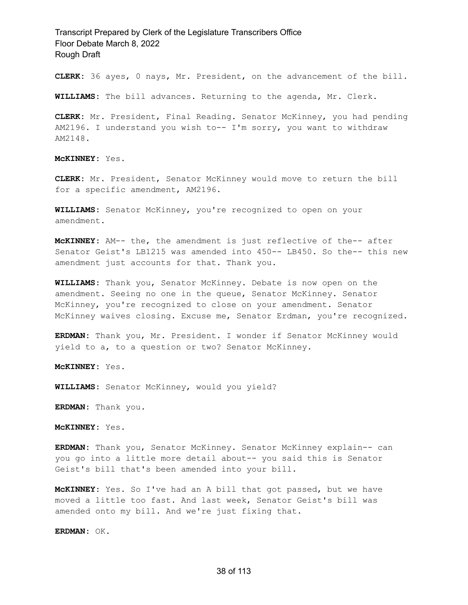**CLERK:** 36 ayes, 0 nays, Mr. President, on the advancement of the bill.

**WILLIAMS:** The bill advances. Returning to the agenda, Mr. Clerk.

**CLERK:** Mr. President, Final Reading. Senator McKinney, you had pending AM2196. I understand you wish to-- I'm sorry, you want to withdraw AM2148.

**McKINNEY:** Yes.

**CLERK:** Mr. President, Senator McKinney would move to return the bill for a specific amendment, AM2196.

**WILLIAMS:** Senator McKinney, you're recognized to open on your amendment.

**McKINNEY:** AM-- the, the amendment is just reflective of the-- after Senator Geist's LB1215 was amended into 450-- LB450. So the-- this new amendment just accounts for that. Thank you.

**WILLIAMS:** Thank you, Senator McKinney. Debate is now open on the amendment. Seeing no one in the queue, Senator McKinney. Senator McKinney, you're recognized to close on your amendment. Senator McKinney waives closing. Excuse me, Senator Erdman, you're recognized.

**ERDMAN:** Thank you, Mr. President. I wonder if Senator McKinney would yield to a, to a question or two? Senator McKinney.

**McKINNEY:** Yes.

**WILLIAMS:** Senator McKinney, would you yield?

**ERDMAN:** Thank you.

**McKINNEY:** Yes.

**ERDMAN:** Thank you, Senator McKinney. Senator McKinney explain-- can you go into a little more detail about-- you said this is Senator Geist's bill that's been amended into your bill.

**McKINNEY:** Yes. So I've had an A bill that got passed, but we have moved a little too fast. And last week, Senator Geist's bill was amended onto my bill. And we're just fixing that.

**ERDMAN:** OK.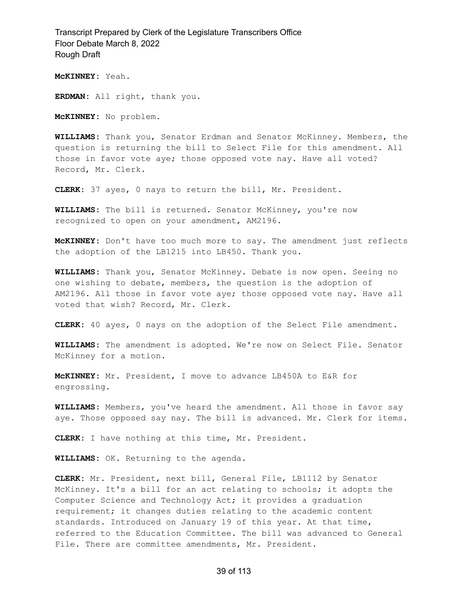**McKINNEY:** Yeah.

**ERDMAN:** All right, thank you.

**McKINNEY:** No problem.

**WILLIAMS:** Thank you, Senator Erdman and Senator McKinney. Members, the question is returning the bill to Select File for this amendment. All those in favor vote aye; those opposed vote nay. Have all voted? Record, Mr. Clerk.

**CLERK:** 37 ayes, 0 nays to return the bill, Mr. President.

**WILLIAMS:** The bill is returned. Senator McKinney, you're now recognized to open on your amendment, AM2196.

**McKINNEY:** Don't have too much more to say. The amendment just reflects the adoption of the LB1215 into LB450. Thank you.

**WILLIAMS:** Thank you, Senator McKinney. Debate is now open. Seeing no one wishing to debate, members, the question is the adoption of AM2196. All those in favor vote aye; those opposed vote nay. Have all voted that wish? Record, Mr. Clerk.

**CLERK:** 40 ayes, 0 nays on the adoption of the Select File amendment.

**WILLIAMS:** The amendment is adopted. We're now on Select File. Senator McKinney for a motion.

**McKINNEY:** Mr. President, I move to advance LB450A to E&R for engrossing.

**WILLIAMS:** Members, you've heard the amendment. All those in favor say aye. Those opposed say nay. The bill is advanced. Mr. Clerk for items.

**CLERK:** I have nothing at this time, Mr. President.

**WILLIAMS:** OK. Returning to the agenda.

**CLERK:** Mr. President, next bill, General File, LB1112 by Senator McKinney. It's a bill for an act relating to schools; it adopts the Computer Science and Technology Act; it provides a graduation requirement; it changes duties relating to the academic content standards. Introduced on January 19 of this year. At that time, referred to the Education Committee. The bill was advanced to General File. There are committee amendments, Mr. President.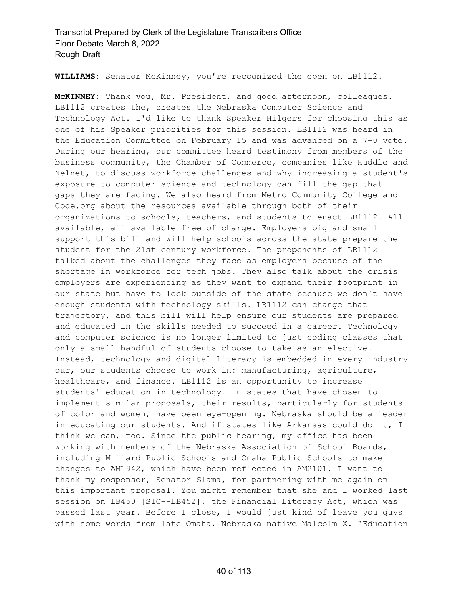**WILLIAMS:** Senator McKinney, you're recognized the open on LB1112.

**McKINNEY:** Thank you, Mr. President, and good afternoon, colleagues. LB1112 creates the, creates the Nebraska Computer Science and Technology Act. I'd like to thank Speaker Hilgers for choosing this as one of his Speaker priorities for this session. LB1112 was heard in the Education Committee on February 15 and was advanced on a 7-0 vote. During our hearing, our committee heard testimony from members of the business community, the Chamber of Commerce, companies like Huddle and Nelnet, to discuss workforce challenges and why increasing a student's exposure to computer science and technology can fill the gap that- gaps they are facing. We also heard from Metro Community College and Code.org about the resources available through both of their organizations to schools, teachers, and students to enact LB1112. All available, all available free of charge. Employers big and small support this bill and will help schools across the state prepare the student for the 21st century workforce. The proponents of LB1112 talked about the challenges they face as employers because of the shortage in workforce for tech jobs. They also talk about the crisis employers are experiencing as they want to expand their footprint in our state but have to look outside of the state because we don't have enough students with technology skills. LB1112 can change that trajectory, and this bill will help ensure our students are prepared and educated in the skills needed to succeed in a career. Technology and computer science is no longer limited to just coding classes that only a small handful of students choose to take as an elective. Instead, technology and digital literacy is embedded in every industry our, our students choose to work in: manufacturing, agriculture, healthcare, and finance. LB1112 is an opportunity to increase students' education in technology. In states that have chosen to implement similar proposals, their results, particularly for students of color and women, have been eye-opening. Nebraska should be a leader in educating our students. And if states like Arkansas could do it, I think we can, too. Since the public hearing, my office has been working with members of the Nebraska Association of School Boards, including Millard Public Schools and Omaha Public Schools to make changes to AM1942, which have been reflected in AM2101. I want to thank my cosponsor, Senator Slama, for partnering with me again on this important proposal. You might remember that she and I worked last session on LB450 [SIC--LB452], the Financial Literacy Act, which was passed last year. Before I close, I would just kind of leave you guys with some words from late Omaha, Nebraska native Malcolm X. "Education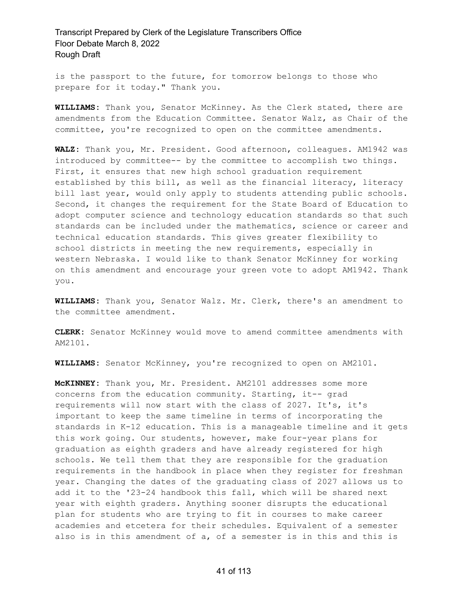is the passport to the future, for tomorrow belongs to those who prepare for it today." Thank you.

**WILLIAMS:** Thank you, Senator McKinney. As the Clerk stated, there are amendments from the Education Committee. Senator Walz, as Chair of the committee, you're recognized to open on the committee amendments.

**WALZ:** Thank you, Mr. President. Good afternoon, colleagues. AM1942 was introduced by committee-- by the committee to accomplish two things. First, it ensures that new high school graduation requirement established by this bill, as well as the financial literacy, literacy bill last year, would only apply to students attending public schools. Second, it changes the requirement for the State Board of Education to adopt computer science and technology education standards so that such standards can be included under the mathematics, science or career and technical education standards. This gives greater flexibility to school districts in meeting the new requirements, especially in western Nebraska. I would like to thank Senator McKinney for working on this amendment and encourage your green vote to adopt AM1942. Thank you.

**WILLIAMS:** Thank you, Senator Walz. Mr. Clerk, there's an amendment to the committee amendment.

**CLERK:** Senator McKinney would move to amend committee amendments with AM2101.

**WILLIAMS:** Senator McKinney, you're recognized to open on AM2101.

**McKINNEY:** Thank you, Mr. President. AM2101 addresses some more concerns from the education community. Starting, it-- grad requirements will now start with the class of 2027. It's, it's important to keep the same timeline in terms of incorporating the standards in K-12 education. This is a manageable timeline and it gets this work going. Our students, however, make four-year plans for graduation as eighth graders and have already registered for high schools. We tell them that they are responsible for the graduation requirements in the handbook in place when they register for freshman year. Changing the dates of the graduating class of 2027 allows us to add it to the '23-24 handbook this fall, which will be shared next year with eighth graders. Anything sooner disrupts the educational plan for students who are trying to fit in courses to make career academies and etcetera for their schedules. Equivalent of a semester also is in this amendment of a, of a semester is in this and this is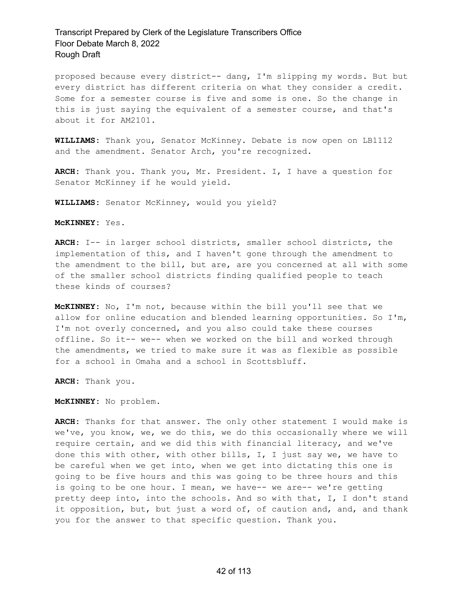proposed because every district-- dang, I'm slipping my words. But but every district has different criteria on what they consider a credit. Some for a semester course is five and some is one. So the change in this is just saying the equivalent of a semester course, and that's about it for AM2101.

**WILLIAMS:** Thank you, Senator McKinney. Debate is now open on LB1112 and the amendment. Senator Arch, you're recognized.

**ARCH:** Thank you. Thank you, Mr. President. I, I have a question for Senator McKinney if he would yield.

**WILLIAMS:** Senator McKinney, would you yield?

**McKINNEY:** Yes.

**ARCH:** I-- in larger school districts, smaller school districts, the implementation of this, and I haven't gone through the amendment to the amendment to the bill, but are, are you concerned at all with some of the smaller school districts finding qualified people to teach these kinds of courses?

**McKINNEY:** No, I'm not, because within the bill you'll see that we allow for online education and blended learning opportunities. So I'm, I'm not overly concerned, and you also could take these courses offline. So it-- we-- when we worked on the bill and worked through the amendments, we tried to make sure it was as flexible as possible for a school in Omaha and a school in Scottsbluff.

**ARCH:** Thank you.

**McKINNEY:** No problem.

**ARCH:** Thanks for that answer. The only other statement I would make is we've, you know, we, we do this, we do this occasionally where we will require certain, and we did this with financial literacy, and we've done this with other, with other bills, I, I just say we, we have to be careful when we get into, when we get into dictating this one is going to be five hours and this was going to be three hours and this is going to be one hour. I mean, we have-- we are-- we're getting pretty deep into, into the schools. And so with that, I, I don't stand it opposition, but, but just a word of, of caution and, and, and thank you for the answer to that specific question. Thank you.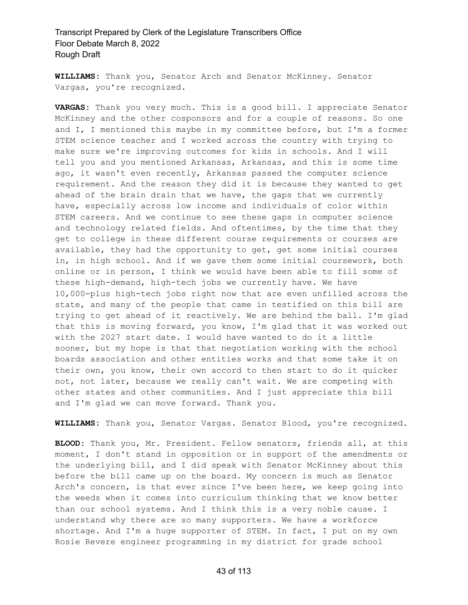**WILLIAMS:** Thank you, Senator Arch and Senator McKinney. Senator Vargas, you're recognized.

**VARGAS:** Thank you very much. This is a good bill. I appreciate Senator McKinney and the other cosponsors and for a couple of reasons. So one and I, I mentioned this maybe in my committee before, but I'm a former STEM science teacher and I worked across the country with trying to make sure we're improving outcomes for kids in schools. And I will tell you and you mentioned Arkansas, Arkansas, and this is some time ago, it wasn't even recently, Arkansas passed the computer science requirement. And the reason they did it is because they wanted to get ahead of the brain drain that we have, the gaps that we currently have, especially across low income and individuals of color within STEM careers. And we continue to see these gaps in computer science and technology related fields. And oftentimes, by the time that they get to college in these different course requirements or courses are available, they had the opportunity to get, get some initial courses in, in high school. And if we gave them some initial coursework, both online or in person, I think we would have been able to fill some of these high-demand, high-tech jobs we currently have. We have 10,000-plus high-tech jobs right now that are even unfilled across the state, and many of the people that came in testified on this bill are trying to get ahead of it reactively. We are behind the ball. I'm glad that this is moving forward, you know, I'm glad that it was worked out with the 2027 start date. I would have wanted to do it a little sooner, but my hope is that that negotiation working with the school boards association and other entities works and that some take it on their own, you know, their own accord to then start to do it quicker not, not later, because we really can't wait. We are competing with other states and other communities. And I just appreciate this bill and I'm glad we can move forward. Thank you.

**WILLIAMS:** Thank you, Senator Vargas. Senator Blood, you're recognized.

**BLOOD:** Thank you, Mr. President. Fellow senators, friends all, at this moment, I don't stand in opposition or in support of the amendments or the underlying bill, and I did speak with Senator McKinney about this before the bill came up on the board. My concern is much as Senator Arch's concern, is that ever since I've been here, we keep going into the weeds when it comes into curriculum thinking that we know better than our school systems. And I think this is a very noble cause. I understand why there are so many supporters. We have a workforce shortage. And I'm a huge supporter of STEM. In fact, I put on my own Rosie Revere engineer programming in my district for grade school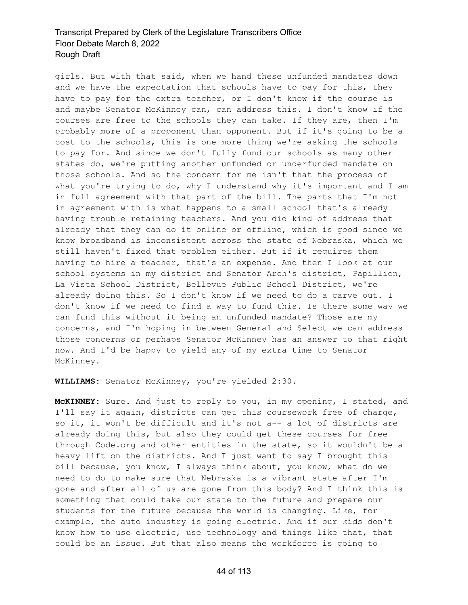girls. But with that said, when we hand these unfunded mandates down and we have the expectation that schools have to pay for this, they have to pay for the extra teacher, or I don't know if the course is and maybe Senator McKinney can, can address this. I don't know if the courses are free to the schools they can take. If they are, then I'm probably more of a proponent than opponent. But if it's going to be a cost to the schools, this is one more thing we're asking the schools to pay for. And since we don't fully fund our schools as many other states do, we're putting another unfunded or underfunded mandate on those schools. And so the concern for me isn't that the process of what you're trying to do, why I understand why it's important and I am in full agreement with that part of the bill. The parts that I'm not in agreement with is what happens to a small school that's already having trouble retaining teachers. And you did kind of address that already that they can do it online or offline, which is good since we know broadband is inconsistent across the state of Nebraska, which we still haven't fixed that problem either. But if it requires them having to hire a teacher, that's an expense. And then I look at our school systems in my district and Senator Arch's district, Papillion, La Vista School District, Bellevue Public School District, we're already doing this. So I don't know if we need to do a carve out. I don't know if we need to find a way to fund this. Is there some way we can fund this without it being an unfunded mandate? Those are my concerns, and I'm hoping in between General and Select we can address those concerns or perhaps Senator McKinney has an answer to that right now. And I'd be happy to yield any of my extra time to Senator McKinney.

**WILLIAMS:** Senator McKinney, you're yielded 2:30.

**McKINNEY:** Sure. And just to reply to you, in my opening, I stated, and I'll say it again, districts can get this coursework free of charge, so it, it won't be difficult and it's not a-- a lot of districts are already doing this, but also they could get these courses for free through Code.org and other entities in the state, so it wouldn't be a heavy lift on the districts. And I just want to say I brought this bill because, you know, I always think about, you know, what do we need to do to make sure that Nebraska is a vibrant state after I'm gone and after all of us are gone from this body? And I think this is something that could take our state to the future and prepare our students for the future because the world is changing. Like, for example, the auto industry is going electric. And if our kids don't know how to use electric, use technology and things like that, that could be an issue. But that also means the workforce is going to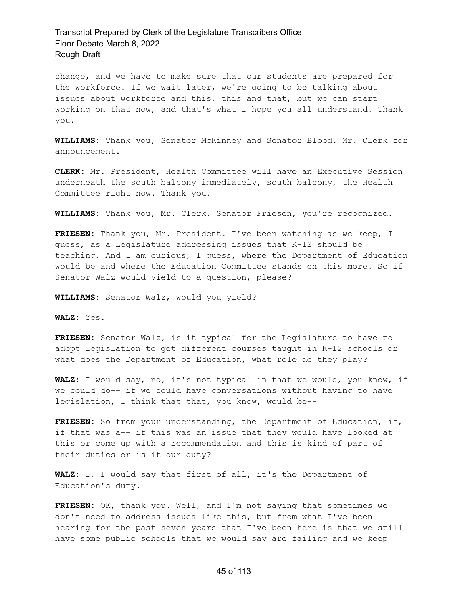change, and we have to make sure that our students are prepared for the workforce. If we wait later, we're going to be talking about issues about workforce and this, this and that, but we can start working on that now, and that's what I hope you all understand. Thank you.

**WILLIAMS:** Thank you, Senator McKinney and Senator Blood. Mr. Clerk for announcement.

**CLERK:** Mr. President, Health Committee will have an Executive Session underneath the south balcony immediately, south balcony, the Health Committee right now. Thank you.

**WILLIAMS:** Thank you, Mr. Clerk. Senator Friesen, you're recognized.

**FRIESEN:** Thank you, Mr. President. I've been watching as we keep, I guess, as a Legislature addressing issues that K-12 should be teaching. And I am curious, I guess, where the Department of Education would be and where the Education Committee stands on this more. So if Senator Walz would yield to a question, please?

**WILLIAMS:** Senator Walz, would you yield?

**WALZ:** Yes.

**FRIESEN:** Senator Walz, is it typical for the Legislature to have to adopt legislation to get different courses taught in K-12 schools or what does the Department of Education, what role do they play?

**WALZ:** I would say, no, it's not typical in that we would, you know, if we could do-- if we could have conversations without having to have legislation, I think that that, you know, would be--

**FRIESEN:** So from your understanding, the Department of Education, if, if that was a-- if this was an issue that they would have looked at this or come up with a recommendation and this is kind of part of their duties or is it our duty?

**WALZ:** I, I would say that first of all, it's the Department of Education's duty.

**FRIESEN:** OK, thank you. Well, and I'm not saying that sometimes we don't need to address issues like this, but from what I've been hearing for the past seven years that I've been here is that we still have some public schools that we would say are failing and we keep

#### 45 of 113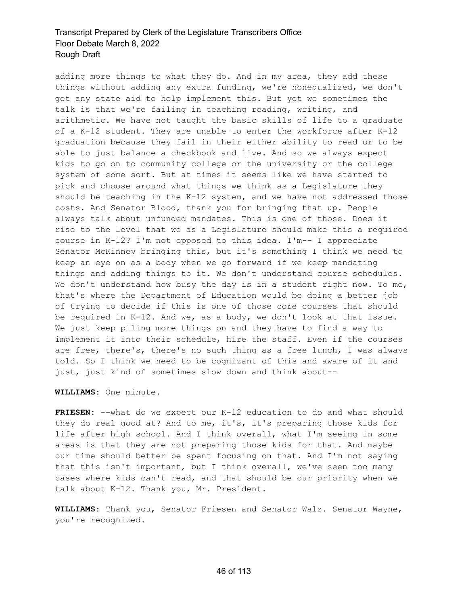adding more things to what they do. And in my area, they add these things without adding any extra funding, we're nonequalized, we don't get any state aid to help implement this. But yet we sometimes the talk is that we're failing in teaching reading, writing, and arithmetic. We have not taught the basic skills of life to a graduate of a K-12 student. They are unable to enter the workforce after K-12 graduation because they fail in their either ability to read or to be able to just balance a checkbook and live. And so we always expect kids to go on to community college or the university or the college system of some sort. But at times it seems like we have started to pick and choose around what things we think as a Legislature they should be teaching in the  $K-12$  system, and we have not addressed those costs. And Senator Blood, thank you for bringing that up. People always talk about unfunded mandates. This is one of those. Does it rise to the level that we as a Legislature should make this a required course in K-12? I'm not opposed to this idea. I'm-- I appreciate Senator McKinney bringing this, but it's something I think we need to keep an eye on as a body when we go forward if we keep mandating things and adding things to it. We don't understand course schedules. We don't understand how busy the day is in a student right now. To me, that's where the Department of Education would be doing a better job of trying to decide if this is one of those core courses that should be required in K-12. And we, as a body, we don't look at that issue. We just keep piling more things on and they have to find a way to implement it into their schedule, hire the staff. Even if the courses are free, there's, there's no such thing as a free lunch, I was always told. So I think we need to be cognizant of this and aware of it and just, just kind of sometimes slow down and think about--

**WILLIAMS:** One minute.

**FRIESEN:** --what do we expect our K-12 education to do and what should they do real good at? And to me, it's, it's preparing those kids for life after high school. And I think overall, what I'm seeing in some areas is that they are not preparing those kids for that. And maybe our time should better be spent focusing on that. And I'm not saying that this isn't important, but I think overall, we've seen too many cases where kids can't read, and that should be our priority when we talk about K-12. Thank you, Mr. President.

**WILLIAMS:** Thank you, Senator Friesen and Senator Walz. Senator Wayne, you're recognized.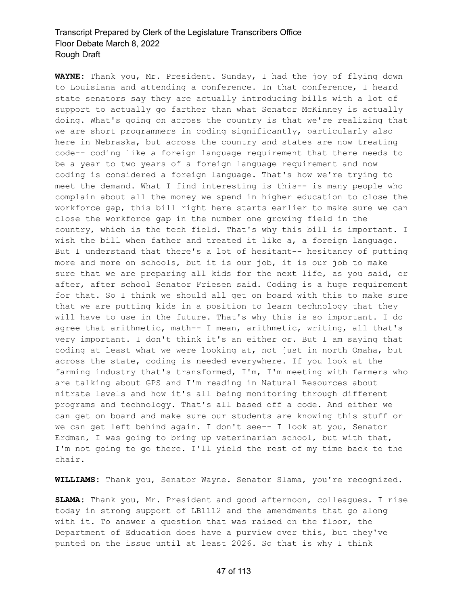**WAYNE:** Thank you, Mr. President. Sunday, I had the joy of flying down to Louisiana and attending a conference. In that conference, I heard state senators say they are actually introducing bills with a lot of support to actually go farther than what Senator McKinney is actually doing. What's going on across the country is that we're realizing that we are short programmers in coding significantly, particularly also here in Nebraska, but across the country and states are now treating code-- coding like a foreign language requirement that there needs to be a year to two years of a foreign language requirement and now coding is considered a foreign language. That's how we're trying to meet the demand. What I find interesting is this-- is many people who complain about all the money we spend in higher education to close the workforce gap, this bill right here starts earlier to make sure we can close the workforce gap in the number one growing field in the country, which is the tech field. That's why this bill is important. I wish the bill when father and treated it like a, a foreign language. But I understand that there's a lot of hesitant-- hesitancy of putting more and more on schools, but it is our job, it is our job to make sure that we are preparing all kids for the next life, as you said, or after, after school Senator Friesen said. Coding is a huge requirement for that. So I think we should all get on board with this to make sure that we are putting kids in a position to learn technology that they will have to use in the future. That's why this is so important. I do agree that arithmetic, math-- I mean, arithmetic, writing, all that's very important. I don't think it's an either or. But I am saying that coding at least what we were looking at, not just in north Omaha, but across the state, coding is needed everywhere. If you look at the farming industry that's transformed, I'm, I'm meeting with farmers who are talking about GPS and I'm reading in Natural Resources about nitrate levels and how it's all being monitoring through different programs and technology. That's all based off a code. And either we can get on board and make sure our students are knowing this stuff or we can get left behind again. I don't see-- I look at you, Senator Erdman, I was going to bring up veterinarian school, but with that, I'm not going to go there. I'll yield the rest of my time back to the chair.

**WILLIAMS:** Thank you, Senator Wayne. Senator Slama, you're recognized.

**SLAMA:** Thank you, Mr. President and good afternoon, colleagues. I rise today in strong support of LB1112 and the amendments that go along with it. To answer a question that was raised on the floor, the Department of Education does have a purview over this, but they've punted on the issue until at least 2026. So that is why I think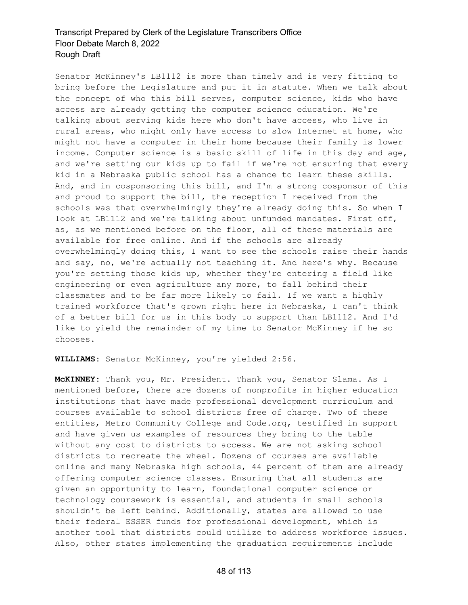Senator McKinney's LB1112 is more than timely and is very fitting to bring before the Legislature and put it in statute. When we talk about the concept of who this bill serves, computer science, kids who have access are already getting the computer science education. We're talking about serving kids here who don't have access, who live in rural areas, who might only have access to slow Internet at home, who might not have a computer in their home because their family is lower income. Computer science is a basic skill of life in this day and age, and we're setting our kids up to fail if we're not ensuring that every kid in a Nebraska public school has a chance to learn these skills. And, and in cosponsoring this bill, and I'm a strong cosponsor of this and proud to support the bill, the reception I received from the schools was that overwhelmingly they're already doing this. So when I look at LB1112 and we're talking about unfunded mandates. First off, as, as we mentioned before on the floor, all of these materials are available for free online. And if the schools are already overwhelmingly doing this, I want to see the schools raise their hands and say, no, we're actually not teaching it. And here's why. Because you're setting those kids up, whether they're entering a field like engineering or even agriculture any more, to fall behind their classmates and to be far more likely to fail. If we want a highly trained workforce that's grown right here in Nebraska, I can't think of a better bill for us in this body to support than LB1112. And I'd like to yield the remainder of my time to Senator McKinney if he so chooses.

#### **WILLIAMS:** Senator McKinney, you're yielded 2:56.

**McKINNEY:** Thank you, Mr. President. Thank you, Senator Slama. As I mentioned before, there are dozens of nonprofits in higher education institutions that have made professional development curriculum and courses available to school districts free of charge. Two of these entities, Metro Community College and Code.org, testified in support and have given us examples of resources they bring to the table without any cost to districts to access. We are not asking school districts to recreate the wheel. Dozens of courses are available online and many Nebraska high schools, 44 percent of them are already offering computer science classes. Ensuring that all students are given an opportunity to learn, foundational computer science or technology coursework is essential, and students in small schools shouldn't be left behind. Additionally, states are allowed to use their federal ESSER funds for professional development, which is another tool that districts could utilize to address workforce issues. Also, other states implementing the graduation requirements include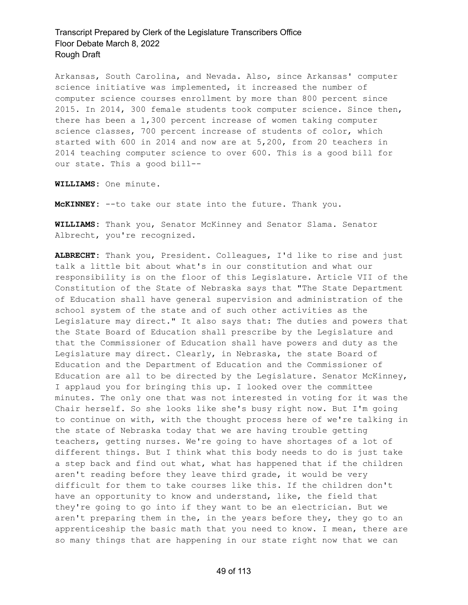Arkansas, South Carolina, and Nevada. Also, since Arkansas' computer science initiative was implemented, it increased the number of computer science courses enrollment by more than 800 percent since 2015. In 2014, 300 female students took computer science. Since then, there has been a 1,300 percent increase of women taking computer science classes, 700 percent increase of students of color, which started with 600 in 2014 and now are at 5,200, from 20 teachers in 2014 teaching computer science to over 600. This is a good bill for our state. This a good bill--

**WILLIAMS:** One minute.

**McKINNEY:** --to take our state into the future. Thank you.

**WILLIAMS:** Thank you, Senator McKinney and Senator Slama. Senator Albrecht, you're recognized.

**ALBRECHT:** Thank you, President. Colleagues, I'd like to rise and just talk a little bit about what's in our constitution and what our responsibility is on the floor of this Legislature. Article VII of the Constitution of the State of Nebraska says that "The State Department of Education shall have general supervision and administration of the school system of the state and of such other activities as the Legislature may direct." It also says that: The duties and powers that the State Board of Education shall prescribe by the Legislature and that the Commissioner of Education shall have powers and duty as the Legislature may direct. Clearly, in Nebraska, the state Board of Education and the Department of Education and the Commissioner of Education are all to be directed by the Legislature. Senator McKinney, I applaud you for bringing this up. I looked over the committee minutes. The only one that was not interested in voting for it was the Chair herself. So she looks like she's busy right now. But I'm going to continue on with, with the thought process here of we're talking in the state of Nebraska today that we are having trouble getting teachers, getting nurses. We're going to have shortages of a lot of different things. But I think what this body needs to do is just take a step back and find out what, what has happened that if the children aren't reading before they leave third grade, it would be very difficult for them to take courses like this. If the children don't have an opportunity to know and understand, like, the field that they're going to go into if they want to be an electrician. But we aren't preparing them in the, in the years before they, they go to an apprenticeship the basic math that you need to know. I mean, there are so many things that are happening in our state right now that we can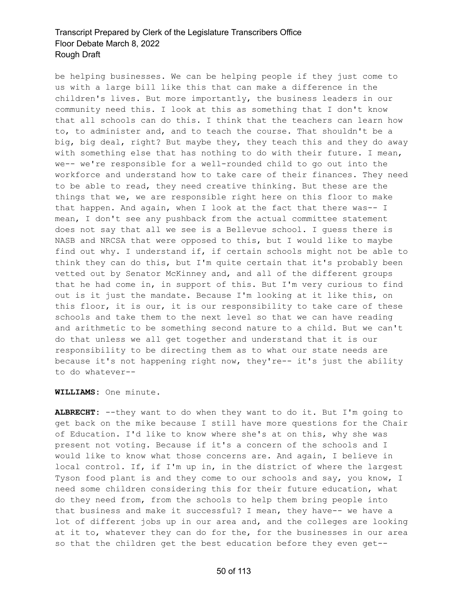be helping businesses. We can be helping people if they just come to us with a large bill like this that can make a difference in the children's lives. But more importantly, the business leaders in our community need this. I look at this as something that I don't know that all schools can do this. I think that the teachers can learn how to, to administer and, and to teach the course. That shouldn't be a big, big deal, right? But maybe they, they teach this and they do away with something else that has nothing to do with their future. I mean, we-- we're responsible for a well-rounded child to go out into the workforce and understand how to take care of their finances. They need to be able to read, they need creative thinking. But these are the things that we, we are responsible right here on this floor to make that happen. And again, when I look at the fact that there was-- I mean, I don't see any pushback from the actual committee statement does not say that all we see is a Bellevue school. I guess there is NASB and NRCSA that were opposed to this, but I would like to maybe find out why. I understand if, if certain schools might not be able to think they can do this, but I'm quite certain that it's probably been vetted out by Senator McKinney and, and all of the different groups that he had come in, in support of this. But I'm very curious to find out is it just the mandate. Because I'm looking at it like this, on this floor, it is our, it is our responsibility to take care of these schools and take them to the next level so that we can have reading and arithmetic to be something second nature to a child. But we can't do that unless we all get together and understand that it is our responsibility to be directing them as to what our state needs are because it's not happening right now, they're-- it's just the ability to do whatever--

**WILLIAMS:** One minute.

**ALBRECHT:** --they want to do when they want to do it. But I'm going to get back on the mike because I still have more questions for the Chair of Education. I'd like to know where she's at on this, why she was present not voting. Because if it's a concern of the schools and I would like to know what those concerns are. And again, I believe in local control. If, if I'm up in, in the district of where the largest Tyson food plant is and they come to our schools and say, you know, I need some children considering this for their future education, what do they need from, from the schools to help them bring people into that business and make it successful? I mean, they have-- we have a lot of different jobs up in our area and, and the colleges are looking at it to, whatever they can do for the, for the businesses in our area so that the children get the best education before they even get--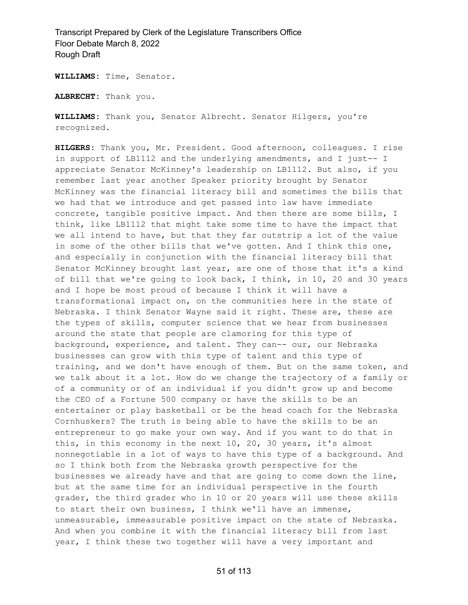**WILLIAMS:** Time, Senator.

**ALBRECHT:** Thank you.

**WILLIAMS:** Thank you, Senator Albrecht. Senator Hilgers, you're recognized.

**HILGERS:** Thank you, Mr. President. Good afternoon, colleagues. I rise in support of LB1112 and the underlying amendments, and I just-- I appreciate Senator McKinney's leadership on LB1112. But also, if you remember last year another Speaker priority brought by Senator McKinney was the financial literacy bill and sometimes the bills that we had that we introduce and get passed into law have immediate concrete, tangible positive impact. And then there are some bills, I think, like LB1112 that might take some time to have the impact that we all intend to have, but that they far outstrip a lot of the value in some of the other bills that we've gotten. And I think this one, and especially in conjunction with the financial literacy bill that Senator McKinney brought last year, are one of those that it's a kind of bill that we're going to look back, I think, in 10, 20 and 30 years and I hope be most proud of because I think it will have a transformational impact on, on the communities here in the state of Nebraska. I think Senator Wayne said it right. These are, these are the types of skills, computer science that we hear from businesses around the state that people are clamoring for this type of background, experience, and talent. They can-- our, our Nebraska businesses can grow with this type of talent and this type of training, and we don't have enough of them. But on the same token, and we talk about it a lot. How do we change the trajectory of a family or of a community or of an individual if you didn't grow up and become the CEO of a Fortune 500 company or have the skills to be an entertainer or play basketball or be the head coach for the Nebraska Cornhuskers? The truth is being able to have the skills to be an entrepreneur to go make your own way. And if you want to do that in this, in this economy in the next 10, 20, 30 years, it's almost nonnegotiable in a lot of ways to have this type of a background. And so I think both from the Nebraska growth perspective for the businesses we already have and that are going to come down the line, but at the same time for an individual perspective in the fourth grader, the third grader who in 10 or 20 years will use these skills to start their own business, I think we'll have an immense, unmeasurable, immeasurable positive impact on the state of Nebraska. And when you combine it with the financial literacy bill from last year, I think these two together will have a very important and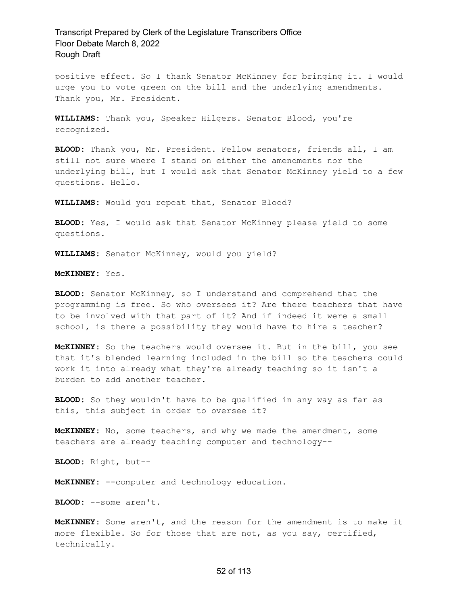positive effect. So I thank Senator McKinney for bringing it. I would urge you to vote green on the bill and the underlying amendments. Thank you, Mr. President.

**WILLIAMS:** Thank you, Speaker Hilgers. Senator Blood, you're recognized.

**BLOOD:** Thank you, Mr. President. Fellow senators, friends all, I am still not sure where I stand on either the amendments nor the underlying bill, but I would ask that Senator McKinney yield to a few questions. Hello.

**WILLIAMS:** Would you repeat that, Senator Blood?

**BLOOD:** Yes, I would ask that Senator McKinney please yield to some questions.

**WILLIAMS:** Senator McKinney, would you yield?

**McKINNEY:** Yes.

**BLOOD:** Senator McKinney, so I understand and comprehend that the programming is free. So who oversees it? Are there teachers that have to be involved with that part of it? And if indeed it were a small school, is there a possibility they would have to hire a teacher?

**McKINNEY:** So the teachers would oversee it. But in the bill, you see that it's blended learning included in the bill so the teachers could work it into already what they're already teaching so it isn't a burden to add another teacher.

**BLOOD:** So they wouldn't have to be qualified in any way as far as this, this subject in order to oversee it?

**McKINNEY:** No, some teachers, and why we made the amendment, some teachers are already teaching computer and technology--

**BLOOD:** Right, but--

**McKINNEY:** --computer and technology education.

**BLOOD:** --some aren't.

**McKINNEY:** Some aren't, and the reason for the amendment is to make it more flexible. So for those that are not, as you say, certified, technically.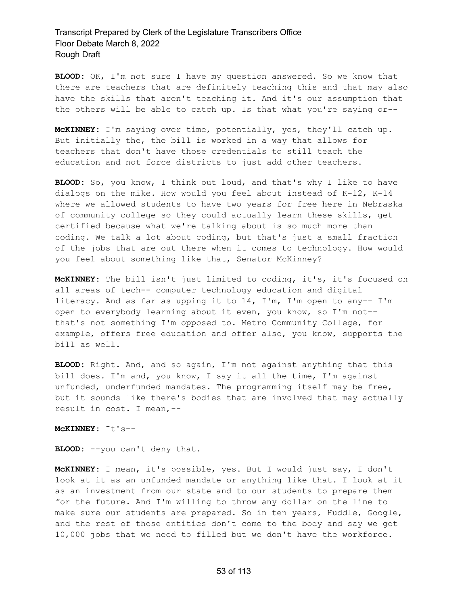**BLOOD:** OK, I'm not sure I have my question answered. So we know that there are teachers that are definitely teaching this and that may also have the skills that aren't teaching it. And it's our assumption that the others will be able to catch up. Is that what you're saying or--

**McKINNEY:** I'm saying over time, potentially, yes, they'll catch up. But initially the, the bill is worked in a way that allows for teachers that don't have those credentials to still teach the education and not force districts to just add other teachers.

**BLOOD:** So, you know, I think out loud, and that's why I like to have dialogs on the mike. How would you feel about instead of K-12, K-14 where we allowed students to have two years for free here in Nebraska of community college so they could actually learn these skills, get certified because what we're talking about is so much more than coding. We talk a lot about coding, but that's just a small fraction of the jobs that are out there when it comes to technology. How would you feel about something like that, Senator McKinney?

**McKINNEY:** The bill isn't just limited to coding, it's, it's focused on all areas of tech-- computer technology education and digital literacy. And as far as upping it to 14, I'm, I'm open to any-- I'm open to everybody learning about it even, you know, so I'm not- that's not something I'm opposed to. Metro Community College, for example, offers free education and offer also, you know, supports the bill as well.

**BLOOD:** Right. And, and so again, I'm not against anything that this bill does. I'm and, you know, I say it all the time, I'm against unfunded, underfunded mandates. The programming itself may be free, but it sounds like there's bodies that are involved that may actually result in cost. I mean,--

**McKINNEY:** It's--

**BLOOD:** --you can't deny that.

**McKINNEY:** I mean, it's possible, yes. But I would just say, I don't look at it as an unfunded mandate or anything like that. I look at it as an investment from our state and to our students to prepare them for the future. And I'm willing to throw any dollar on the line to make sure our students are prepared. So in ten years, Huddle, Google, and the rest of those entities don't come to the body and say we got 10,000 jobs that we need to filled but we don't have the workforce.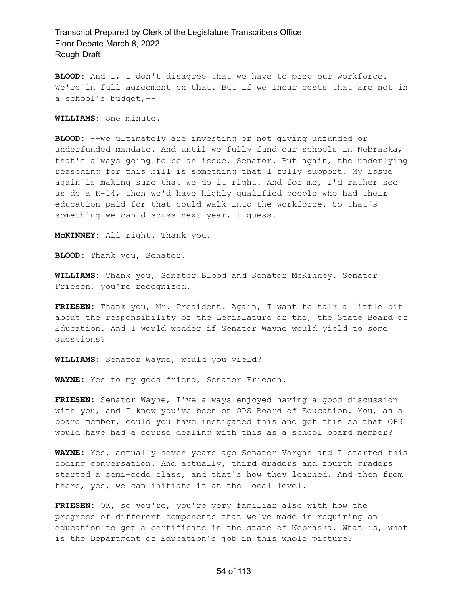**BLOOD:** And I, I don't disagree that we have to prep our workforce. We're in full agreement on that. But if we incur costs that are not in a school's budget,--

**WILLIAMS:** One minute.

**BLOOD:** --we ultimately are investing or not giving unfunded or underfunded mandate. And until we fully fund our schools in Nebraska, that's always going to be an issue, Senator. But again, the underlying reasoning for this bill is something that I fully support. My issue again is making sure that we do it right. And for me, I'd rather see us do a K-14, then we'd have highly qualified people who had their education paid for that could walk into the workforce. So that's something we can discuss next year, I guess.

**McKINNEY:** All right. Thank you.

**BLOOD:** Thank you, Senator.

**WILLIAMS:** Thank you, Senator Blood and Senator McKinney. Senator Friesen, you're recognized.

**FRIESEN:** Thank you, Mr. President. Again, I want to talk a little bit about the responsibility of the Legislature or the, the State Board of Education. And I would wonder if Senator Wayne would yield to some questions?

**WILLIAMS:** Senator Wayne, would you yield?

**WAYNE:** Yes to my good friend, Senator Friesen.

**FRIESEN:** Senator Wayne, I've always enjoyed having a good discussion with you, and I know you've been on OPS Board of Education. You, as a board member, could you have instigated this and got this so that OPS would have had a course dealing with this as a school board member?

**WAYNE:** Yes, actually seven years ago Senator Vargas and I started this coding conversation. And actually, third graders and fourth graders started a semi-code class, and that's how they learned. And then from there, yes, we can initiate it at the local level.

**FRIESEN:** OK, so you're, you're very familiar also with how the progress of different components that we've made in requiring an education to get a certificate in the state of Nebraska. What is, what is the Department of Education's job in this whole picture?

#### 54 of 113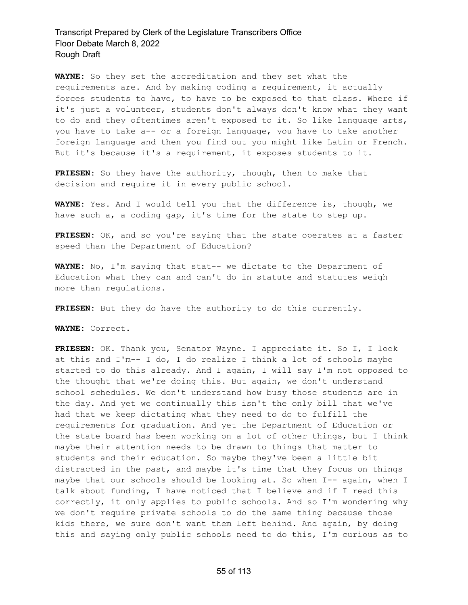**WAYNE:** So they set the accreditation and they set what the requirements are. And by making coding a requirement, it actually forces students to have, to have to be exposed to that class. Where if it's just a volunteer, students don't always don't know what they want to do and they oftentimes aren't exposed to it. So like language arts, you have to take a-- or a foreign language, you have to take another foreign language and then you find out you might like Latin or French. But it's because it's a requirement, it exposes students to it.

**FRIESEN:** So they have the authority, though, then to make that decision and require it in every public school.

**WAYNE:** Yes. And I would tell you that the difference is, though, we have such a, a coding gap, it's time for the state to step up.

**FRIESEN:** OK, and so you're saying that the state operates at a faster speed than the Department of Education?

**WAYNE:** No, I'm saying that stat-- we dictate to the Department of Education what they can and can't do in statute and statutes weigh more than regulations.

**FRIESEN:** But they do have the authority to do this currently.

**WAYNE:** Correct.

**FRIESEN:** OK. Thank you, Senator Wayne. I appreciate it. So I, I look at this and I'm-- I do, I do realize I think a lot of schools maybe started to do this already. And I again, I will say I'm not opposed to the thought that we're doing this. But again, we don't understand school schedules. We don't understand how busy those students are in the day. And yet we continually this isn't the only bill that we've had that we keep dictating what they need to do to fulfill the requirements for graduation. And yet the Department of Education or the state board has been working on a lot of other things, but I think maybe their attention needs to be drawn to things that matter to students and their education. So maybe they've been a little bit distracted in the past, and maybe it's time that they focus on things maybe that our schools should be looking at. So when I-- again, when I talk about funding, I have noticed that I believe and if I read this correctly, it only applies to public schools. And so I'm wondering why we don't require private schools to do the same thing because those kids there, we sure don't want them left behind. And again, by doing this and saying only public schools need to do this, I'm curious as to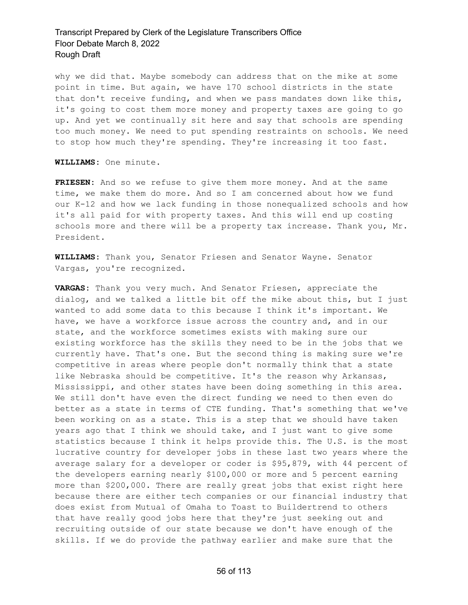why we did that. Maybe somebody can address that on the mike at some point in time. But again, we have 170 school districts in the state that don't receive funding, and when we pass mandates down like this, it's going to cost them more money and property taxes are going to go up. And yet we continually sit here and say that schools are spending too much money. We need to put spending restraints on schools. We need to stop how much they're spending. They're increasing it too fast.

**WILLIAMS:** One minute.

**FRIESEN:** And so we refuse to give them more money. And at the same time, we make them do more. And so I am concerned about how we fund our K-12 and how we lack funding in those nonequalized schools and how it's all paid for with property taxes. And this will end up costing schools more and there will be a property tax increase. Thank you, Mr. President.

**WILLIAMS:** Thank you, Senator Friesen and Senator Wayne. Senator Vargas, you're recognized.

**VARGAS:** Thank you very much. And Senator Friesen, appreciate the dialog, and we talked a little bit off the mike about this, but I just wanted to add some data to this because I think it's important. We have, we have a workforce issue across the country and, and in our state, and the workforce sometimes exists with making sure our existing workforce has the skills they need to be in the jobs that we currently have. That's one. But the second thing is making sure we're competitive in areas where people don't normally think that a state like Nebraska should be competitive. It's the reason why Arkansas, Mississippi, and other states have been doing something in this area. We still don't have even the direct funding we need to then even do better as a state in terms of CTE funding. That's something that we've been working on as a state. This is a step that we should have taken years ago that I think we should take, and I just want to give some statistics because I think it helps provide this. The U.S. is the most lucrative country for developer jobs in these last two years where the average salary for a developer or coder is \$95,879, with 44 percent of the developers earning nearly \$100,000 or more and 5 percent earning more than \$200,000. There are really great jobs that exist right here because there are either tech companies or our financial industry that does exist from Mutual of Omaha to Toast to Buildertrend to others that have really good jobs here that they're just seeking out and recruiting outside of our state because we don't have enough of the skills. If we do provide the pathway earlier and make sure that the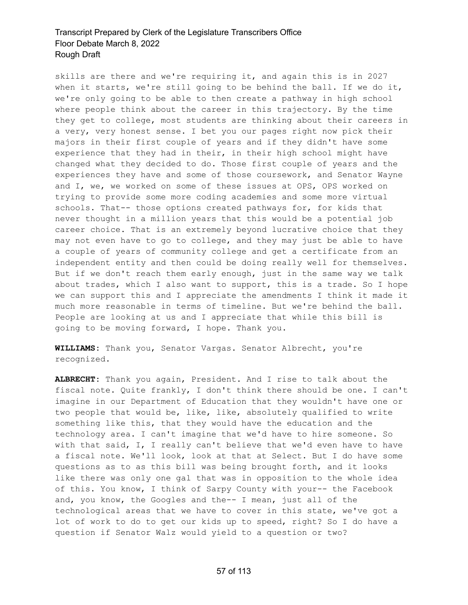skills are there and we're requiring it, and again this is in 2027 when it starts, we're still going to be behind the ball. If we do it, we're only going to be able to then create a pathway in high school where people think about the career in this trajectory. By the time they get to college, most students are thinking about their careers in a very, very honest sense. I bet you our pages right now pick their majors in their first couple of years and if they didn't have some experience that they had in their, in their high school might have changed what they decided to do. Those first couple of years and the experiences they have and some of those coursework, and Senator Wayne and I, we, we worked on some of these issues at OPS, OPS worked on trying to provide some more coding academies and some more virtual schools. That-- those options created pathways for, for kids that never thought in a million years that this would be a potential job career choice. That is an extremely beyond lucrative choice that they may not even have to go to college, and they may just be able to have a couple of years of community college and get a certificate from an independent entity and then could be doing really well for themselves. But if we don't reach them early enough, just in the same way we talk about trades, which I also want to support, this is a trade. So I hope we can support this and I appreciate the amendments I think it made it much more reasonable in terms of timeline. But we're behind the ball. People are looking at us and I appreciate that while this bill is going to be moving forward, I hope. Thank you.

**WILLIAMS:** Thank you, Senator Vargas. Senator Albrecht, you're recognized.

**ALBRECHT:** Thank you again, President. And I rise to talk about the fiscal note. Quite frankly, I don't think there should be one. I can't imagine in our Department of Education that they wouldn't have one or two people that would be, like, like, absolutely qualified to write something like this, that they would have the education and the technology area. I can't imagine that we'd have to hire someone. So with that said, I, I really can't believe that we'd even have to have a fiscal note. We'll look, look at that at Select. But I do have some questions as to as this bill was being brought forth, and it looks like there was only one gal that was in opposition to the whole idea of this. You know, I think of Sarpy County with your-- the Facebook and, you know, the Googles and the-- I mean, just all of the technological areas that we have to cover in this state, we've got a lot of work to do to get our kids up to speed, right? So I do have a question if Senator Walz would yield to a question or two?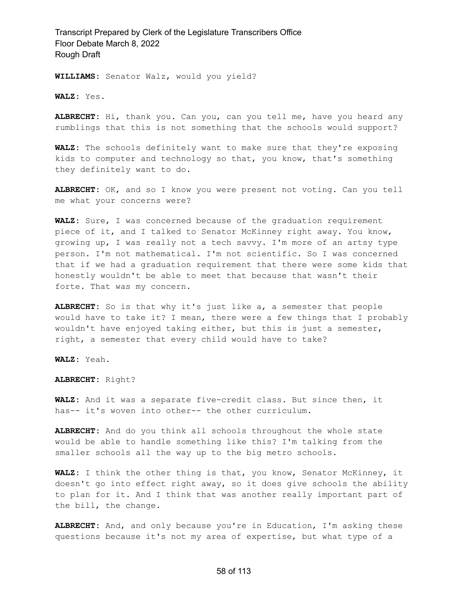**WILLIAMS:** Senator Walz, would you yield?

**WALZ:** Yes.

**ALBRECHT:** Hi, thank you. Can you, can you tell me, have you heard any rumblings that this is not something that the schools would support?

**WALZ:** The schools definitely want to make sure that they're exposing kids to computer and technology so that, you know, that's something they definitely want to do.

**ALBRECHT:** OK, and so I know you were present not voting. Can you tell me what your concerns were?

**WALZ:** Sure, I was concerned because of the graduation requirement piece of it, and I talked to Senator McKinney right away. You know, growing up, I was really not a tech savvy. I'm more of an artsy type person. I'm not mathematical. I'm not scientific. So I was concerned that if we had a graduation requirement that there were some kids that honestly wouldn't be able to meet that because that wasn't their forte. That was my concern.

**ALBRECHT:** So is that why it's just like a, a semester that people would have to take it? I mean, there were a few things that I probably wouldn't have enjoyed taking either, but this is just a semester, right, a semester that every child would have to take?

**WALZ:** Yeah.

**ALBRECHT:** Right?

**WALZ:** And it was a separate five-credit class. But since then, it has-- it's woven into other-- the other curriculum.

**ALBRECHT:** And do you think all schools throughout the whole state would be able to handle something like this? I'm talking from the smaller schools all the way up to the big metro schools.

**WALZ:** I think the other thing is that, you know, Senator McKinney, it doesn't go into effect right away, so it does give schools the ability to plan for it. And I think that was another really important part of the bill, the change.

**ALBRECHT:** And, and only because you're in Education, I'm asking these questions because it's not my area of expertise, but what type of a

#### 58 of 113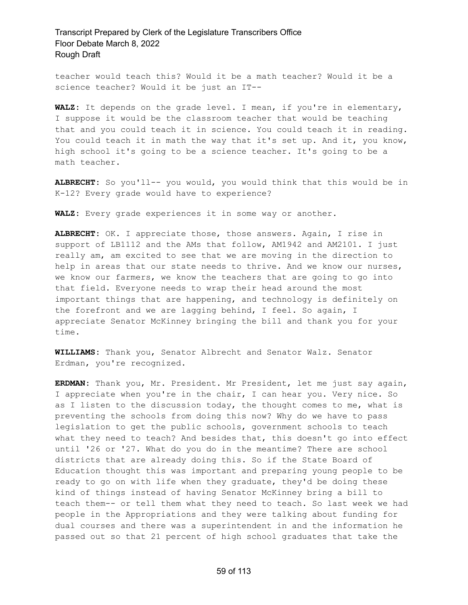teacher would teach this? Would it be a math teacher? Would it be a science teacher? Would it be just an IT--

**WALZ:** It depends on the grade level. I mean, if you're in elementary, I suppose it would be the classroom teacher that would be teaching that and you could teach it in science. You could teach it in reading. You could teach it in math the way that it's set up. And it, you know, high school it's going to be a science teacher. It's going to be a math teacher.

**ALBRECHT:** So you'll-- you would, you would think that this would be in K-12? Every grade would have to experience?

**WALZ:** Every grade experiences it in some way or another.

**ALBRECHT:** OK. I appreciate those, those answers. Again, I rise in support of LB1112 and the AMs that follow, AM1942 and AM2101. I just really am, am excited to see that we are moving in the direction to help in areas that our state needs to thrive. And we know our nurses, we know our farmers, we know the teachers that are going to go into that field. Everyone needs to wrap their head around the most important things that are happening, and technology is definitely on the forefront and we are lagging behind, I feel. So again, I appreciate Senator McKinney bringing the bill and thank you for your time.

**WILLIAMS:** Thank you, Senator Albrecht and Senator Walz. Senator Erdman, you're recognized.

**ERDMAN:** Thank you, Mr. President. Mr President, let me just say again, I appreciate when you're in the chair, I can hear you. Very nice. So as I listen to the discussion today, the thought comes to me, what is preventing the schools from doing this now? Why do we have to pass legislation to get the public schools, government schools to teach what they need to teach? And besides that, this doesn't go into effect until '26 or '27. What do you do in the meantime? There are school districts that are already doing this. So if the State Board of Education thought this was important and preparing young people to be ready to go on with life when they graduate, they'd be doing these kind of things instead of having Senator McKinney bring a bill to teach them-- or tell them what they need to teach. So last week we had people in the Appropriations and they were talking about funding for dual courses and there was a superintendent in and the information he passed out so that 21 percent of high school graduates that take the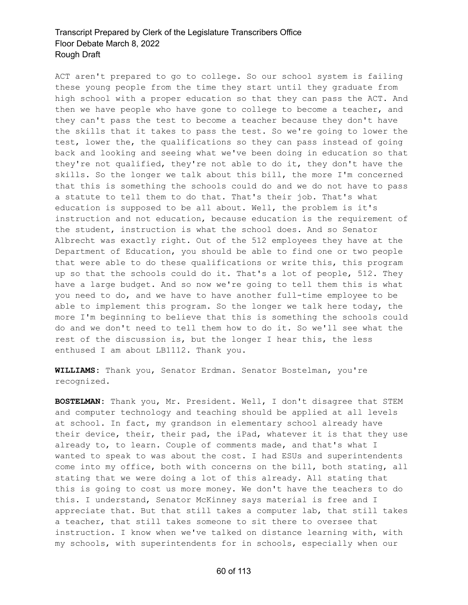ACT aren't prepared to go to college. So our school system is failing these young people from the time they start until they graduate from high school with a proper education so that they can pass the ACT. And then we have people who have gone to college to become a teacher, and they can't pass the test to become a teacher because they don't have the skills that it takes to pass the test. So we're going to lower the test, lower the, the qualifications so they can pass instead of going back and looking and seeing what we've been doing in education so that they're not qualified, they're not able to do it, they don't have the skills. So the longer we talk about this bill, the more I'm concerned that this is something the schools could do and we do not have to pass a statute to tell them to do that. That's their job. That's what education is supposed to be all about. Well, the problem is it's instruction and not education, because education is the requirement of the student, instruction is what the school does. And so Senator Albrecht was exactly right. Out of the 512 employees they have at the Department of Education, you should be able to find one or two people that were able to do these qualifications or write this, this program up so that the schools could do it. That's a lot of people, 512. They have a large budget. And so now we're going to tell them this is what you need to do, and we have to have another full-time employee to be able to implement this program. So the longer we talk here today, the more I'm beginning to believe that this is something the schools could do and we don't need to tell them how to do it. So we'll see what the rest of the discussion is, but the longer I hear this, the less enthused I am about LB1112. Thank you.

**WILLIAMS:** Thank you, Senator Erdman. Senator Bostelman, you're recognized.

**BOSTELMAN:** Thank you, Mr. President. Well, I don't disagree that STEM and computer technology and teaching should be applied at all levels at school. In fact, my grandson in elementary school already have their device, their, their pad, the iPad, whatever it is that they use already to, to learn. Couple of comments made, and that's what I wanted to speak to was about the cost. I had ESUs and superintendents come into my office, both with concerns on the bill, both stating, all stating that we were doing a lot of this already. All stating that this is going to cost us more money. We don't have the teachers to do this. I understand, Senator McKinney says material is free and I appreciate that. But that still takes a computer lab, that still takes a teacher, that still takes someone to sit there to oversee that instruction. I know when we've talked on distance learning with, with my schools, with superintendents for in schools, especially when our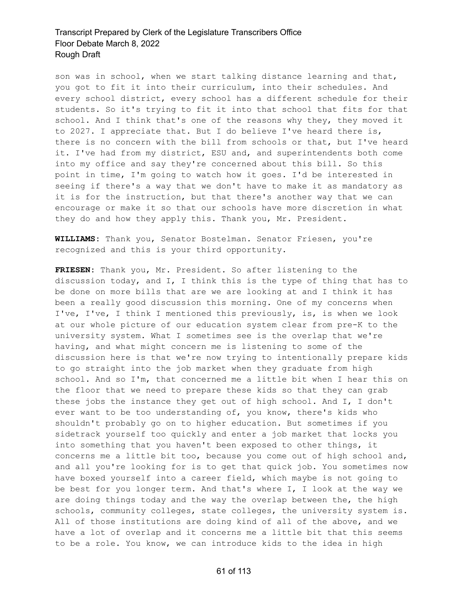son was in school, when we start talking distance learning and that, you got to fit it into their curriculum, into their schedules. And every school district, every school has a different schedule for their students. So it's trying to fit it into that school that fits for that school. And I think that's one of the reasons why they, they moved it to 2027. I appreciate that. But I do believe I've heard there is, there is no concern with the bill from schools or that, but I've heard it. I've had from my district, ESU and, and superintendents both come into my office and say they're concerned about this bill. So this point in time, I'm going to watch how it goes. I'd be interested in seeing if there's a way that we don't have to make it as mandatory as it is for the instruction, but that there's another way that we can encourage or make it so that our schools have more discretion in what they do and how they apply this. Thank you, Mr. President.

**WILLIAMS:** Thank you, Senator Bostelman. Senator Friesen, you're recognized and this is your third opportunity.

**FRIESEN:** Thank you, Mr. President. So after listening to the discussion today, and I, I think this is the type of thing that has to be done on more bills that are we are looking at and I think it has been a really good discussion this morning. One of my concerns when I've, I've, I think I mentioned this previously, is, is when we look at our whole picture of our education system clear from pre-K to the university system. What I sometimes see is the overlap that we're having, and what might concern me is listening to some of the discussion here is that we're now trying to intentionally prepare kids to go straight into the job market when they graduate from high school. And so I'm, that concerned me a little bit when I hear this on the floor that we need to prepare these kids so that they can grab these jobs the instance they get out of high school. And I, I don't ever want to be too understanding of, you know, there's kids who shouldn't probably go on to higher education. But sometimes if you sidetrack yourself too quickly and enter a job market that locks you into something that you haven't been exposed to other things, it concerns me a little bit too, because you come out of high school and, and all you're looking for is to get that quick job. You sometimes now have boxed yourself into a career field, which maybe is not going to be best for you longer term. And that's where I, I look at the way we are doing things today and the way the overlap between the, the high schools, community colleges, state colleges, the university system is. All of those institutions are doing kind of all of the above, and we have a lot of overlap and it concerns me a little bit that this seems to be a role. You know, we can introduce kids to the idea in high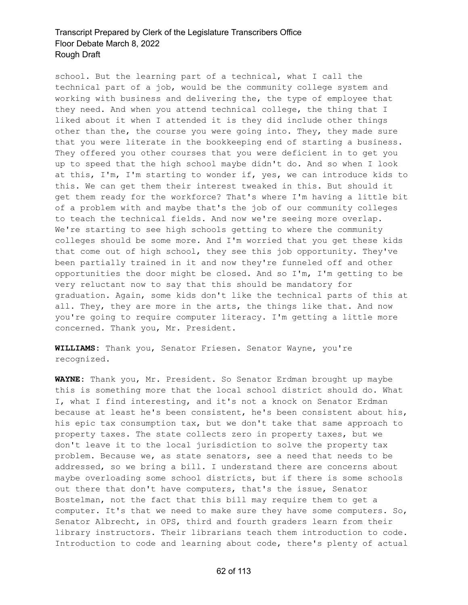school. But the learning part of a technical, what I call the technical part of a job, would be the community college system and working with business and delivering the, the type of employee that they need. And when you attend technical college, the thing that I liked about it when I attended it is they did include other things other than the, the course you were going into. They, they made sure that you were literate in the bookkeeping end of starting a business. They offered you other courses that you were deficient in to get you up to speed that the high school maybe didn't do. And so when I look at this, I'm, I'm starting to wonder if, yes, we can introduce kids to this. We can get them their interest tweaked in this. But should it get them ready for the workforce? That's where I'm having a little bit of a problem with and maybe that's the job of our community colleges to teach the technical fields. And now we're seeing more overlap. We're starting to see high schools getting to where the community colleges should be some more. And I'm worried that you get these kids that come out of high school, they see this job opportunity. They've been partially trained in it and now they're funneled off and other opportunities the door might be closed. And so I'm, I'm getting to be very reluctant now to say that this should be mandatory for graduation. Again, some kids don't like the technical parts of this at all. They, they are more in the arts, the things like that. And now you're going to require computer literacy. I'm getting a little more concerned. Thank you, Mr. President.

**WILLIAMS:** Thank you, Senator Friesen. Senator Wayne, you're recognized.

**WAYNE:** Thank you, Mr. President. So Senator Erdman brought up maybe this is something more that the local school district should do. What I, what I find interesting, and it's not a knock on Senator Erdman because at least he's been consistent, he's been consistent about his, his epic tax consumption tax, but we don't take that same approach to property taxes. The state collects zero in property taxes, but we don't leave it to the local jurisdiction to solve the property tax problem. Because we, as state senators, see a need that needs to be addressed, so we bring a bill. I understand there are concerns about maybe overloading some school districts, but if there is some schools out there that don't have computers, that's the issue, Senator Bostelman, not the fact that this bill may require them to get a computer. It's that we need to make sure they have some computers. So, Senator Albrecht, in OPS, third and fourth graders learn from their library instructors. Their librarians teach them introduction to code. Introduction to code and learning about code, there's plenty of actual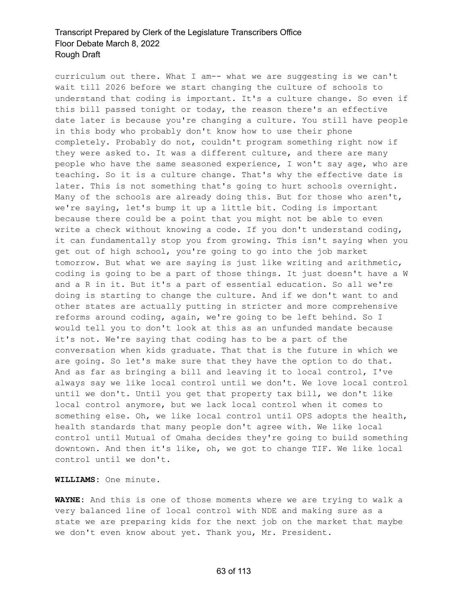curriculum out there. What I am-- what we are suggesting is we can't wait till 2026 before we start changing the culture of schools to understand that coding is important. It's a culture change. So even if this bill passed tonight or today, the reason there's an effective date later is because you're changing a culture. You still have people in this body who probably don't know how to use their phone completely. Probably do not, couldn't program something right now if they were asked to. It was a different culture, and there are many people who have the same seasoned experience, I won't say age, who are teaching. So it is a culture change. That's why the effective date is later. This is not something that's going to hurt schools overnight. Many of the schools are already doing this. But for those who aren't, we're saying, let's bump it up a little bit. Coding is important because there could be a point that you might not be able to even write a check without knowing a code. If you don't understand coding, it can fundamentally stop you from growing. This isn't saying when you get out of high school, you're going to go into the job market tomorrow. But what we are saying is just like writing and arithmetic, coding is going to be a part of those things. It just doesn't have a W and a R in it. But it's a part of essential education. So all we're doing is starting to change the culture. And if we don't want to and other states are actually putting in stricter and more comprehensive reforms around coding, again, we're going to be left behind. So I would tell you to don't look at this as an unfunded mandate because it's not. We're saying that coding has to be a part of the conversation when kids graduate. That that is the future in which we are going. So let's make sure that they have the option to do that. And as far as bringing a bill and leaving it to local control, I've always say we like local control until we don't. We love local control until we don't. Until you get that property tax bill, we don't like local control anymore, but we lack local control when it comes to something else. Oh, we like local control until OPS adopts the health, health standards that many people don't agree with. We like local control until Mutual of Omaha decides they're going to build something downtown. And then it's like, oh, we got to change TIF. We like local control until we don't.

**WILLIAMS:** One minute.

**WAYNE:** And this is one of those moments where we are trying to walk a very balanced line of local control with NDE and making sure as a state we are preparing kids for the next job on the market that maybe we don't even know about yet. Thank you, Mr. President.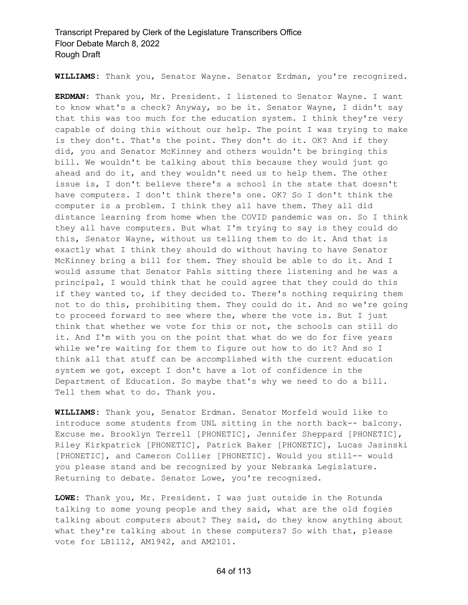**WILLIAMS:** Thank you, Senator Wayne. Senator Erdman, you're recognized.

**ERDMAN:** Thank you, Mr. President. I listened to Senator Wayne. I want to know what's a check? Anyway, so be it. Senator Wayne, I didn't say that this was too much for the education system. I think they're very capable of doing this without our help. The point I was trying to make is they don't. That's the point. They don't do it. OK? And if they did, you and Senator McKinney and others wouldn't be bringing this bill. We wouldn't be talking about this because they would just go ahead and do it, and they wouldn't need us to help them. The other issue is, I don't believe there's a school in the state that doesn't have computers. I don't think there's one. OK? So I don't think the computer is a problem. I think they all have them. They all did distance learning from home when the COVID pandemic was on. So I think they all have computers. But what I'm trying to say is they could do this, Senator Wayne, without us telling them to do it. And that is exactly what I think they should do without having to have Senator McKinney bring a bill for them. They should be able to do it. And I would assume that Senator Pahls sitting there listening and he was a principal, I would think that he could agree that they could do this if they wanted to, if they decided to. There's nothing requiring them not to do this, prohibiting them. They could do it. And so we're going to proceed forward to see where the, where the vote is. But I just think that whether we vote for this or not, the schools can still do it. And I'm with you on the point that what do we do for five years while we're waiting for them to figure out how to do it? And so I think all that stuff can be accomplished with the current education system we got, except I don't have a lot of confidence in the Department of Education. So maybe that's why we need to do a bill. Tell them what to do. Thank you.

**WILLIAMS:** Thank you, Senator Erdman. Senator Morfeld would like to introduce some students from UNL sitting in the north back-- balcony. Excuse me. Brooklyn Terrell [PHONETIC], Jennifer Sheppard [PHONETIC], Riley Kirkpatrick [PHONETIC], Patrick Baker [PHONETIC], Lucas Jasinski [PHONETIC], and Cameron Collier [PHONETIC]. Would you still-- would you please stand and be recognized by your Nebraska Legislature. Returning to debate. Senator Lowe, you're recognized.

**LOWE:** Thank you, Mr. President. I was just outside in the Rotunda talking to some young people and they said, what are the old fogies talking about computers about? They said, do they know anything about what they're talking about in these computers? So with that, please vote for LB1112, AM1942, and AM2101.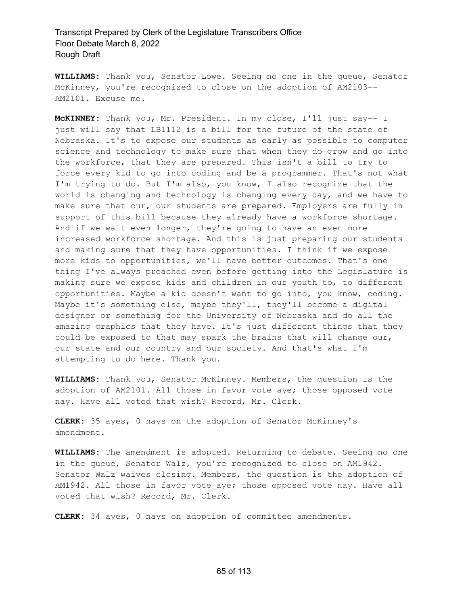**WILLIAMS:** Thank you, Senator Lowe. Seeing no one in the queue, Senator McKinney, you're recognized to close on the adoption of AM2103-- AM2101. Excuse me.

**McKINNEY:** Thank you, Mr. President. In my close, I'll just say-- I just will say that LB1112 is a bill for the future of the state of Nebraska. It's to expose our students as early as possible to computer science and technology to make sure that when they do grow and go into the workforce, that they are prepared. This isn't a bill to try to force every kid to go into coding and be a programmer. That's not what I'm trying to do. But I'm also, you know, I also recognize that the world is changing and technology is changing every day, and we have to make sure that our, our students are prepared. Employers are fully in support of this bill because they already have a workforce shortage. And if we wait even longer, they're going to have an even more increased workforce shortage. And this is just preparing our students and making sure that they have opportunities. I think if we expose more kids to opportunities, we'll have better outcomes. That's one thing I've always preached even before getting into the Legislature is making sure we expose kids and children in our youth to, to different opportunities. Maybe a kid doesn't want to go into, you know, coding. Maybe it's something else, maybe they'll, they'll become a digital designer or something for the University of Nebraska and do all the amazing graphics that they have. It's just different things that they could be exposed to that may spark the brains that will change our, our state and our country and our society. And that's what I'm attempting to do here. Thank you.

**WILLIAMS:** Thank you, Senator McKinney. Members, the question is the adoption of AM2101. All those in favor vote aye; those opposed vote nay. Have all voted that wish? Record, Mr. Clerk.

**CLERK:** 35 ayes, 0 nays on the adoption of Senator McKinney's amendment.

**WILLIAMS:** The amendment is adopted. Returning to debate. Seeing no one in the queue, Senator Walz, you're recognized to close on AM1942. Senator Walz waives closing. Members, the question is the adoption of AM1942. All those in favor vote aye; those opposed vote nay. Have all voted that wish? Record, Mr. Clerk.

**CLERK:** 34 ayes, 0 nays on adoption of committee amendments.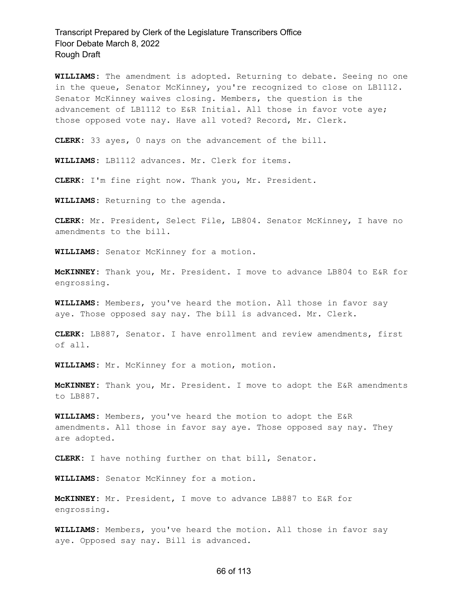**WILLIAMS:** The amendment is adopted. Returning to debate. Seeing no one in the queue, Senator McKinney, you're recognized to close on LB1112. Senator McKinney waives closing. Members, the question is the advancement of LB1112 to E&R Initial. All those in favor vote aye; those opposed vote nay. Have all voted? Record, Mr. Clerk.

**CLERK:** 33 ayes, 0 nays on the advancement of the bill.

**WILLIAMS:** LB1112 advances. Mr. Clerk for items.

**CLERK:** I'm fine right now. Thank you, Mr. President.

**WILLIAMS:** Returning to the agenda.

**CLERK:** Mr. President, Select File, LB804. Senator McKinney, I have no amendments to the bill.

**WILLIAMS:** Senator McKinney for a motion.

**McKINNEY:** Thank you, Mr. President. I move to advance LB804 to E&R for engrossing.

**WILLIAMS:** Members, you've heard the motion. All those in favor say aye. Those opposed say nay. The bill is advanced. Mr. Clerk.

**CLERK:** LB887, Senator. I have enrollment and review amendments, first of all.

**WILLIAMS:** Mr. McKinney for a motion, motion.

**McKINNEY:** Thank you, Mr. President. I move to adopt the E&R amendments to LB887.

**WILLIAMS:** Members, you've heard the motion to adopt the E&R amendments. All those in favor say aye. Those opposed say nay. They are adopted.

**CLERK:** I have nothing further on that bill, Senator.

**WILLIAMS:** Senator McKinney for a motion.

**McKINNEY:** Mr. President, I move to advance LB887 to E&R for engrossing.

**WILLIAMS:** Members, you've heard the motion. All those in favor say aye. Opposed say nay. Bill is advanced.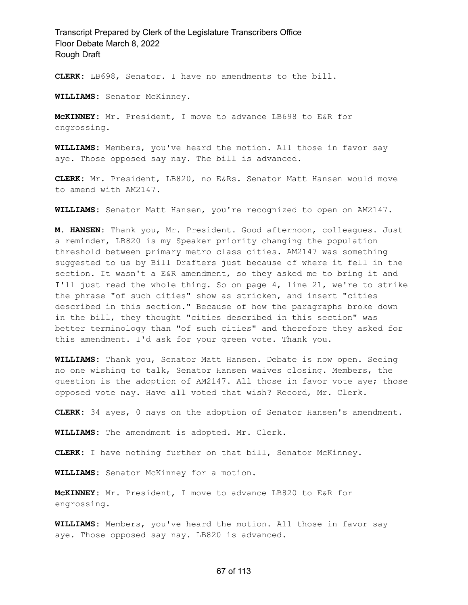**CLERK:** LB698, Senator. I have no amendments to the bill.

**WILLIAMS:** Senator McKinney.

**McKINNEY:** Mr. President, I move to advance LB698 to E&R for engrossing.

**WILLIAMS:** Members, you've heard the motion. All those in favor say aye. Those opposed say nay. The bill is advanced.

**CLERK:** Mr. President, LB820, no E&Rs. Senator Matt Hansen would move to amend with AM2147.

**WILLIAMS:** Senator Matt Hansen, you're recognized to open on AM2147.

**M. HANSEN:** Thank you, Mr. President. Good afternoon, colleagues. Just a reminder, LB820 is my Speaker priority changing the population threshold between primary metro class cities. AM2147 was something suggested to us by Bill Drafters just because of where it fell in the section. It wasn't a E&R amendment, so they asked me to bring it and I'll just read the whole thing. So on page 4, line 21, we're to strike the phrase "of such cities" show as stricken, and insert "cities described in this section." Because of how the paragraphs broke down in the bill, they thought "cities described in this section" was better terminology than "of such cities" and therefore they asked for this amendment. I'd ask for your green vote. Thank you.

**WILLIAMS:** Thank you, Senator Matt Hansen. Debate is now open. Seeing no one wishing to talk, Senator Hansen waives closing. Members, the question is the adoption of AM2147. All those in favor vote aye; those opposed vote nay. Have all voted that wish? Record, Mr. Clerk.

**CLERK:** 34 ayes, 0 nays on the adoption of Senator Hansen's amendment.

**WILLIAMS:** The amendment is adopted. Mr. Clerk.

**CLERK:** I have nothing further on that bill, Senator McKinney.

**WILLIAMS:** Senator McKinney for a motion.

**McKINNEY:** Mr. President, I move to advance LB820 to E&R for engrossing.

**WILLIAMS:** Members, you've heard the motion. All those in favor say aye. Those opposed say nay. LB820 is advanced.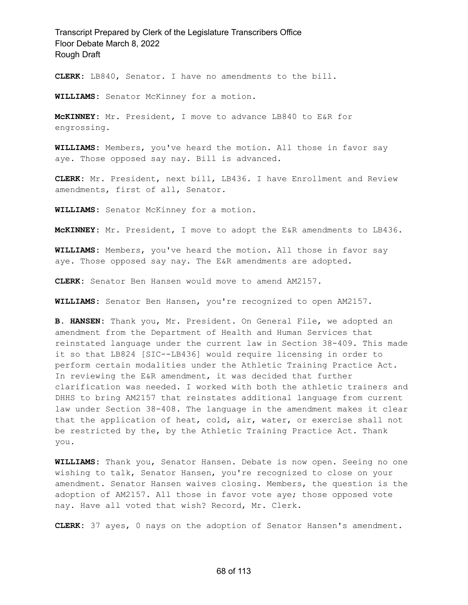**CLERK:** LB840, Senator. I have no amendments to the bill.

**WILLIAMS:** Senator McKinney for a motion.

**McKINNEY:** Mr. President, I move to advance LB840 to E&R for engrossing.

**WILLIAMS:** Members, you've heard the motion. All those in favor say aye. Those opposed say nay. Bill is advanced.

**CLERK:** Mr. President, next bill, LB436. I have Enrollment and Review amendments, first of all, Senator.

**WILLIAMS:** Senator McKinney for a motion.

**McKINNEY:** Mr. President, I move to adopt the E&R amendments to LB436.

**WILLIAMS:** Members, you've heard the motion. All those in favor say aye. Those opposed say nay. The E&R amendments are adopted.

**CLERK:** Senator Ben Hansen would move to amend AM2157.

**WILLIAMS:** Senator Ben Hansen, you're recognized to open AM2157.

**B. HANSEN:** Thank you, Mr. President. On General File, we adopted an amendment from the Department of Health and Human Services that reinstated language under the current law in Section 38-409. This made it so that LB824 [SIC--LB436] would require licensing in order to perform certain modalities under the Athletic Training Practice Act. In reviewing the E&R amendment, it was decided that further clarification was needed. I worked with both the athletic trainers and DHHS to bring AM2157 that reinstates additional language from current law under Section 38-408. The language in the amendment makes it clear that the application of heat, cold, air, water, or exercise shall not be restricted by the, by the Athletic Training Practice Act. Thank you.

**WILLIAMS:** Thank you, Senator Hansen. Debate is now open. Seeing no one wishing to talk, Senator Hansen, you're recognized to close on your amendment. Senator Hansen waives closing. Members, the question is the adoption of AM2157. All those in favor vote aye; those opposed vote nay. Have all voted that wish? Record, Mr. Clerk.

**CLERK:** 37 ayes, 0 nays on the adoption of Senator Hansen's amendment.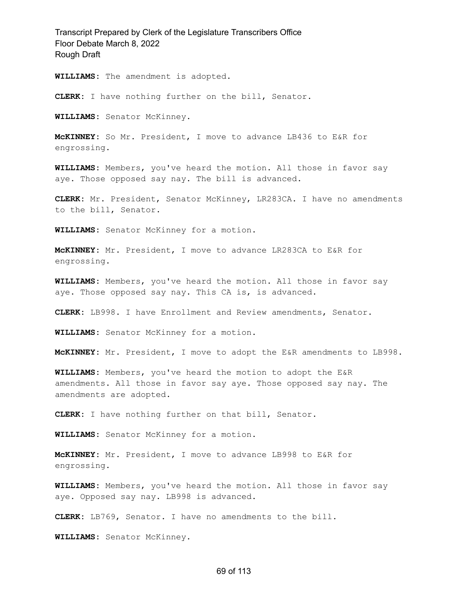**WILLIAMS:** The amendment is adopted.

**CLERK:** I have nothing further on the bill, Senator.

**WILLIAMS:** Senator McKinney.

**McKINNEY:** So Mr. President, I move to advance LB436 to E&R for engrossing.

**WILLIAMS:** Members, you've heard the motion. All those in favor say aye. Those opposed say nay. The bill is advanced.

**CLERK:** Mr. President, Senator McKinney, LR283CA. I have no amendments to the bill, Senator.

**WILLIAMS:** Senator McKinney for a motion.

**McKINNEY:** Mr. President, I move to advance LR283CA to E&R for engrossing.

**WILLIAMS:** Members, you've heard the motion. All those in favor say aye. Those opposed say nay. This CA is, is advanced.

**CLERK:** LB998. I have Enrollment and Review amendments, Senator.

**WILLIAMS:** Senator McKinney for a motion.

**McKINNEY:** Mr. President, I move to adopt the E&R amendments to LB998.

**WILLIAMS:** Members, you've heard the motion to adopt the E&R amendments. All those in favor say aye. Those opposed say nay. The amendments are adopted.

**CLERK:** I have nothing further on that bill, Senator.

**WILLIAMS:** Senator McKinney for a motion.

**McKINNEY:** Mr. President, I move to advance LB998 to E&R for engrossing.

**WILLIAMS:** Members, you've heard the motion. All those in favor say aye. Opposed say nay. LB998 is advanced.

**CLERK:** LB769, Senator. I have no amendments to the bill.

**WILLIAMS:** Senator McKinney.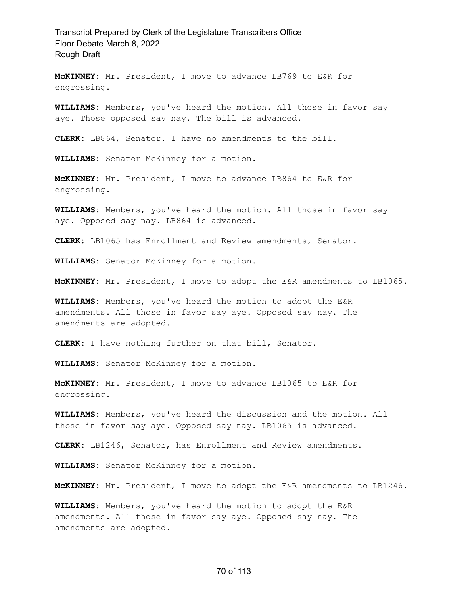**McKINNEY:** Mr. President, I move to advance LB769 to E&R for engrossing.

**WILLIAMS:** Members, you've heard the motion. All those in favor say aye. Those opposed say nay. The bill is advanced.

**CLERK:** LB864, Senator. I have no amendments to the bill.

**WILLIAMS:** Senator McKinney for a motion.

**McKINNEY:** Mr. President, I move to advance LB864 to E&R for engrossing.

**WILLIAMS:** Members, you've heard the motion. All those in favor say aye. Opposed say nay. LB864 is advanced.

**CLERK:** LB1065 has Enrollment and Review amendments, Senator.

**WILLIAMS:** Senator McKinney for a motion.

**McKINNEY:** Mr. President, I move to adopt the E&R amendments to LB1065.

**WILLIAMS:** Members, you've heard the motion to adopt the E&R amendments. All those in favor say aye. Opposed say nay. The amendments are adopted.

**CLERK:** I have nothing further on that bill, Senator.

**WILLIAMS:** Senator McKinney for a motion.

**McKINNEY:** Mr. President, I move to advance LB1065 to E&R for engrossing.

**WILLIAMS:** Members, you've heard the discussion and the motion. All those in favor say aye. Opposed say nay. LB1065 is advanced.

**CLERK:** LB1246, Senator, has Enrollment and Review amendments.

**WILLIAMS:** Senator McKinney for a motion.

**McKINNEY:** Mr. President, I move to adopt the E&R amendments to LB1246.

**WILLIAMS:** Members, you've heard the motion to adopt the E&R amendments. All those in favor say aye. Opposed say nay. The amendments are adopted.

#### 70 of 113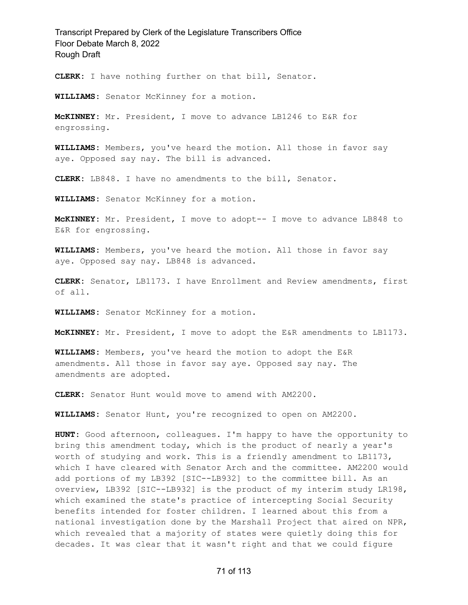**CLERK:** I have nothing further on that bill, Senator.

**WILLIAMS:** Senator McKinney for a motion.

**McKINNEY:** Mr. President, I move to advance LB1246 to E&R for engrossing.

**WILLIAMS:** Members, you've heard the motion. All those in favor say aye. Opposed say nay. The bill is advanced.

**CLERK:** LB848. I have no amendments to the bill, Senator.

**WILLIAMS:** Senator McKinney for a motion.

**McKINNEY:** Mr. President, I move to adopt-- I move to advance LB848 to E&R for engrossing.

**WILLIAMS:** Members, you've heard the motion. All those in favor say aye. Opposed say nay. LB848 is advanced.

**CLERK:** Senator, LB1173. I have Enrollment and Review amendments, first of all.

**WILLIAMS:** Senator McKinney for a motion.

**McKINNEY:** Mr. President, I move to adopt the E&R amendments to LB1173.

**WILLIAMS:** Members, you've heard the motion to adopt the E&R amendments. All those in favor say aye. Opposed say nay. The amendments are adopted.

**CLERK:** Senator Hunt would move to amend with AM2200.

**WILLIAMS:** Senator Hunt, you're recognized to open on AM2200.

**HUNT:** Good afternoon, colleagues. I'm happy to have the opportunity to bring this amendment today, which is the product of nearly a year's worth of studying and work. This is a friendly amendment to LB1173, which I have cleared with Senator Arch and the committee. AM2200 would add portions of my LB392 [SIC--LB932] to the committee bill. As an overview, LB392 [SIC--LB932] is the product of my interim study LR198, which examined the state's practice of intercepting Social Security benefits intended for foster children. I learned about this from a national investigation done by the Marshall Project that aired on NPR, which revealed that a majority of states were quietly doing this for decades. It was clear that it wasn't right and that we could figure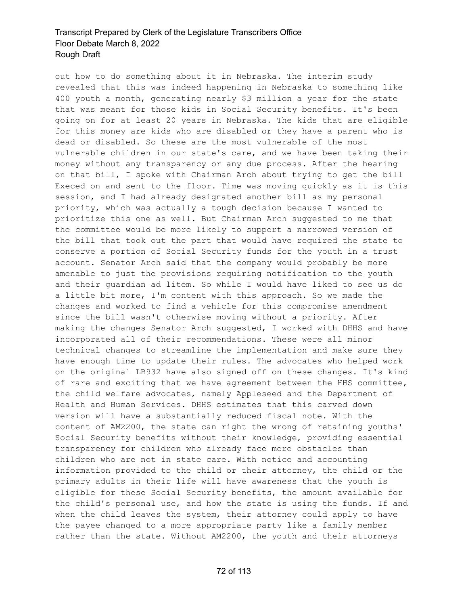out how to do something about it in Nebraska. The interim study revealed that this was indeed happening in Nebraska to something like 400 youth a month, generating nearly \$3 million a year for the state that was meant for those kids in Social Security benefits. It's been going on for at least 20 years in Nebraska. The kids that are eligible for this money are kids who are disabled or they have a parent who is dead or disabled. So these are the most vulnerable of the most vulnerable children in our state's care, and we have been taking their money without any transparency or any due process. After the hearing on that bill, I spoke with Chairman Arch about trying to get the bill Execed on and sent to the floor. Time was moving quickly as it is this session, and I had already designated another bill as my personal priority, which was actually a tough decision because I wanted to prioritize this one as well. But Chairman Arch suggested to me that the committee would be more likely to support a narrowed version of the bill that took out the part that would have required the state to conserve a portion of Social Security funds for the youth in a trust account. Senator Arch said that the company would probably be more amenable to just the provisions requiring notification to the youth and their guardian ad litem. So while I would have liked to see us do a little bit more, I'm content with this approach. So we made the changes and worked to find a vehicle for this compromise amendment since the bill wasn't otherwise moving without a priority. After making the changes Senator Arch suggested, I worked with DHHS and have incorporated all of their recommendations. These were all minor technical changes to streamline the implementation and make sure they have enough time to update their rules. The advocates who helped work on the original LB932 have also signed off on these changes. It's kind of rare and exciting that we have agreement between the HHS committee, the child welfare advocates, namely Appleseed and the Department of Health and Human Services. DHHS estimates that this carved down version will have a substantially reduced fiscal note. With the content of AM2200, the state can right the wrong of retaining youths' Social Security benefits without their knowledge, providing essential transparency for children who already face more obstacles than children who are not in state care. With notice and accounting information provided to the child or their attorney, the child or the primary adults in their life will have awareness that the youth is eligible for these Social Security benefits, the amount available for the child's personal use, and how the state is using the funds. If and when the child leaves the system, their attorney could apply to have the payee changed to a more appropriate party like a family member rather than the state. Without AM2200, the youth and their attorneys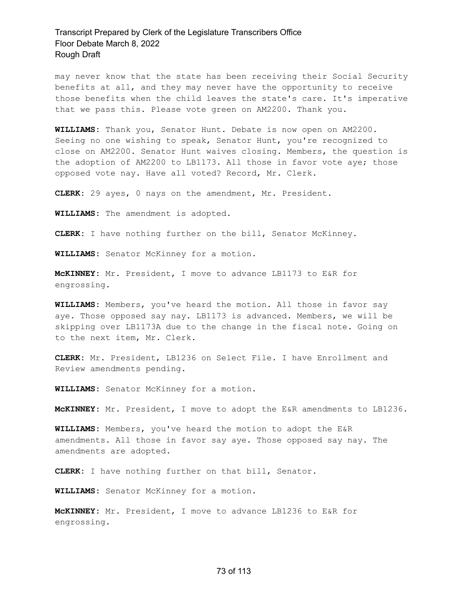may never know that the state has been receiving their Social Security benefits at all, and they may never have the opportunity to receive those benefits when the child leaves the state's care. It's imperative that we pass this. Please vote green on AM2200. Thank you.

**WILLIAMS:** Thank you, Senator Hunt. Debate is now open on AM2200. Seeing no one wishing to speak, Senator Hunt, you're recognized to close on AM2200. Senator Hunt waives closing. Members, the question is the adoption of AM2200 to LB1173. All those in favor vote aye; those opposed vote nay. Have all voted? Record, Mr. Clerk.

**CLERK:** 29 ayes, 0 nays on the amendment, Mr. President.

**WILLIAMS:** The amendment is adopted.

**CLERK:** I have nothing further on the bill, Senator McKinney.

**WILLIAMS:** Senator McKinney for a motion.

**McKINNEY:** Mr. President, I move to advance LB1173 to E&R for engrossing.

**WILLIAMS:** Members, you've heard the motion. All those in favor say aye. Those opposed say nay. LB1173 is advanced. Members, we will be skipping over LB1173A due to the change in the fiscal note. Going on to the next item, Mr. Clerk.

**CLERK:** Mr. President, LB1236 on Select File. I have Enrollment and Review amendments pending.

**WILLIAMS:** Senator McKinney for a motion.

**McKINNEY:** Mr. President, I move to adopt the E&R amendments to LB1236.

**WILLIAMS:** Members, you've heard the motion to adopt the E&R amendments. All those in favor say aye. Those opposed say nay. The amendments are adopted.

**CLERK:** I have nothing further on that bill, Senator.

**WILLIAMS:** Senator McKinney for a motion.

**McKINNEY:** Mr. President, I move to advance LB1236 to E&R for engrossing.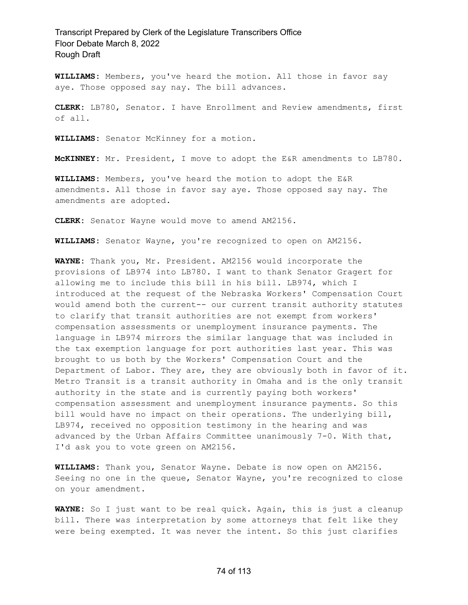**WILLIAMS:** Members, you've heard the motion. All those in favor say aye. Those opposed say nay. The bill advances.

**CLERK:** LB780, Senator. I have Enrollment and Review amendments, first of all.

**WILLIAMS:** Senator McKinney for a motion.

**McKINNEY:** Mr. President, I move to adopt the E&R amendments to LB780.

**WILLIAMS:** Members, you've heard the motion to adopt the E&R amendments. All those in favor say aye. Those opposed say nay. The amendments are adopted.

**CLERK:** Senator Wayne would move to amend AM2156.

**WILLIAMS:** Senator Wayne, you're recognized to open on AM2156.

**WAYNE:** Thank you, Mr. President. AM2156 would incorporate the provisions of LB974 into LB780. I want to thank Senator Gragert for allowing me to include this bill in his bill. LB974, which I introduced at the request of the Nebraska Workers' Compensation Court would amend both the current-- our current transit authority statutes to clarify that transit authorities are not exempt from workers' compensation assessments or unemployment insurance payments. The language in LB974 mirrors the similar language that was included in the tax exemption language for port authorities last year. This was brought to us both by the Workers' Compensation Court and the Department of Labor. They are, they are obviously both in favor of it. Metro Transit is a transit authority in Omaha and is the only transit authority in the state and is currently paying both workers' compensation assessment and unemployment insurance payments. So this bill would have no impact on their operations. The underlying bill, LB974, received no opposition testimony in the hearing and was advanced by the Urban Affairs Committee unanimously 7-0. With that, I'd ask you to vote green on AM2156.

**WILLIAMS:** Thank you, Senator Wayne. Debate is now open on AM2156. Seeing no one in the queue, Senator Wayne, you're recognized to close on your amendment.

**WAYNE:** So I just want to be real quick. Again, this is just a cleanup bill. There was interpretation by some attorneys that felt like they were being exempted. It was never the intent. So this just clarifies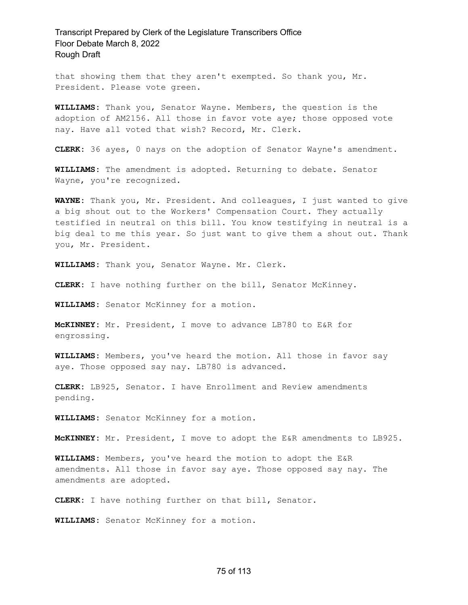that showing them that they aren't exempted. So thank you, Mr. President. Please vote green.

**WILLIAMS:** Thank you, Senator Wayne. Members, the question is the adoption of AM2156. All those in favor vote aye; those opposed vote nay. Have all voted that wish? Record, Mr. Clerk.

**CLERK:** 36 ayes, 0 nays on the adoption of Senator Wayne's amendment.

**WILLIAMS:** The amendment is adopted. Returning to debate. Senator Wayne, you're recognized.

**WAYNE:** Thank you, Mr. President. And colleagues, I just wanted to give a big shout out to the Workers' Compensation Court. They actually testified in neutral on this bill. You know testifying in neutral is a big deal to me this year. So just want to give them a shout out. Thank you, Mr. President.

**WILLIAMS:** Thank you, Senator Wayne. Mr. Clerk.

**CLERK:** I have nothing further on the bill, Senator McKinney.

**WILLIAMS:** Senator McKinney for a motion.

**McKINNEY:** Mr. President, I move to advance LB780 to E&R for engrossing.

**WILLIAMS:** Members, you've heard the motion. All those in favor say aye. Those opposed say nay. LB780 is advanced.

**CLERK:** LB925, Senator. I have Enrollment and Review amendments pending.

**WILLIAMS:** Senator McKinney for a motion.

**McKINNEY:** Mr. President, I move to adopt the E&R amendments to LB925.

**WILLIAMS:** Members, you've heard the motion to adopt the E&R amendments. All those in favor say aye. Those opposed say nay. The amendments are adopted.

**CLERK:** I have nothing further on that bill, Senator.

**WILLIAMS:** Senator McKinney for a motion.

#### 75 of 113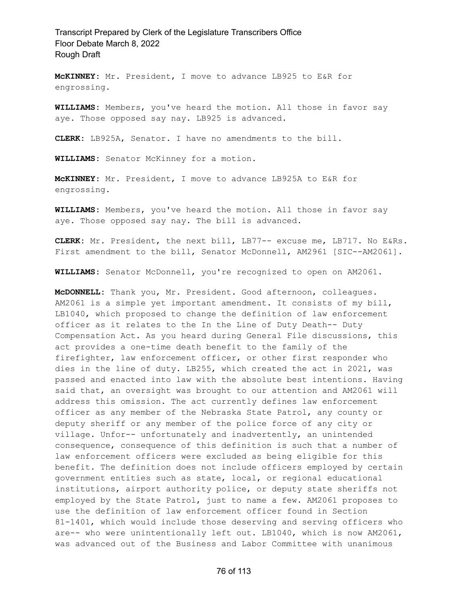**McKINNEY:** Mr. President, I move to advance LB925 to E&R for engrossing.

**WILLIAMS:** Members, you've heard the motion. All those in favor say aye. Those opposed say nay. LB925 is advanced.

**CLERK:** LB925A, Senator. I have no amendments to the bill.

**WILLIAMS:** Senator McKinney for a motion.

**McKINNEY:** Mr. President, I move to advance LB925A to E&R for engrossing.

**WILLIAMS:** Members, you've heard the motion. All those in favor say aye. Those opposed say nay. The bill is advanced.

**CLERK:** Mr. President, the next bill, LB77-- excuse me, LB717. No E&Rs. First amendment to the bill, Senator McDonnell, AM2961 [SIC--AM2061].

**WILLIAMS:** Senator McDonnell, you're recognized to open on AM2061.

**McDONNELL:** Thank you, Mr. President. Good afternoon, colleagues. AM2061 is a simple yet important amendment. It consists of my bill, LB1040, which proposed to change the definition of law enforcement officer as it relates to the In the Line of Duty Death-- Duty Compensation Act. As you heard during General File discussions, this act provides a one-time death benefit to the family of the firefighter, law enforcement officer, or other first responder who dies in the line of duty. LB255, which created the act in 2021, was passed and enacted into law with the absolute best intentions. Having said that, an oversight was brought to our attention and AM2061 will address this omission. The act currently defines law enforcement officer as any member of the Nebraska State Patrol, any county or deputy sheriff or any member of the police force of any city or village. Unfor-- unfortunately and inadvertently, an unintended consequence, consequence of this definition is such that a number of law enforcement officers were excluded as being eligible for this benefit. The definition does not include officers employed by certain government entities such as state, local, or regional educational institutions, airport authority police, or deputy state sheriffs not employed by the State Patrol, just to name a few. AM2061 proposes to use the definition of law enforcement officer found in Section 81-1401, which would include those deserving and serving officers who are-- who were unintentionally left out. LB1040, which is now AM2061, was advanced out of the Business and Labor Committee with unanimous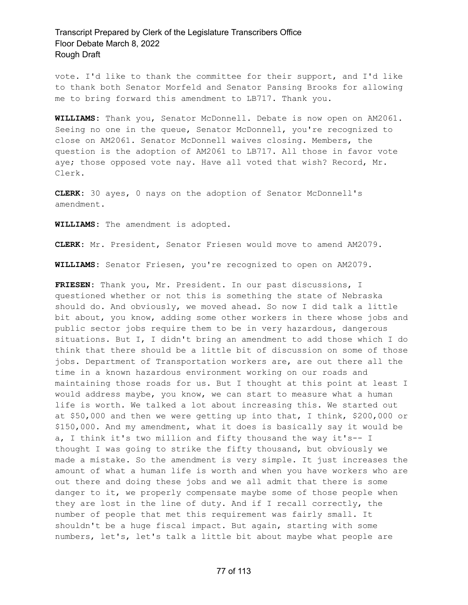vote. I'd like to thank the committee for their support, and I'd like to thank both Senator Morfeld and Senator Pansing Brooks for allowing me to bring forward this amendment to LB717. Thank you.

**WILLIAMS:** Thank you, Senator McDonnell. Debate is now open on AM2061. Seeing no one in the queue, Senator McDonnell, you're recognized to close on AM2061. Senator McDonnell waives closing. Members, the question is the adoption of AM2061 to LB717. All those in favor vote aye; those opposed vote nay. Have all voted that wish? Record, Mr. Clerk.

**CLERK:** 30 ayes, 0 nays on the adoption of Senator McDonnell's amendment.

**WILLIAMS:** The amendment is adopted.

**CLERK:** Mr. President, Senator Friesen would move to amend AM2079.

**WILLIAMS:** Senator Friesen, you're recognized to open on AM2079.

**FRIESEN:** Thank you, Mr. President. In our past discussions, I questioned whether or not this is something the state of Nebraska should do. And obviously, we moved ahead. So now I did talk a little bit about, you know, adding some other workers in there whose jobs and public sector jobs require them to be in very hazardous, dangerous situations. But I, I didn't bring an amendment to add those which I do think that there should be a little bit of discussion on some of those jobs. Department of Transportation workers are, are out there all the time in a known hazardous environment working on our roads and maintaining those roads for us. But I thought at this point at least I would address maybe, you know, we can start to measure what a human life is worth. We talked a lot about increasing this. We started out at \$50,000 and then we were getting up into that, I think, \$200,000 or \$150,000. And my amendment, what it does is basically say it would be a, I think it's two million and fifty thousand the way it's-- I thought I was going to strike the fifty thousand, but obviously we made a mistake. So the amendment is very simple. It just increases the amount of what a human life is worth and when you have workers who are out there and doing these jobs and we all admit that there is some danger to it, we properly compensate maybe some of those people when they are lost in the line of duty. And if I recall correctly, the number of people that met this requirement was fairly small. It shouldn't be a huge fiscal impact. But again, starting with some numbers, let's, let's talk a little bit about maybe what people are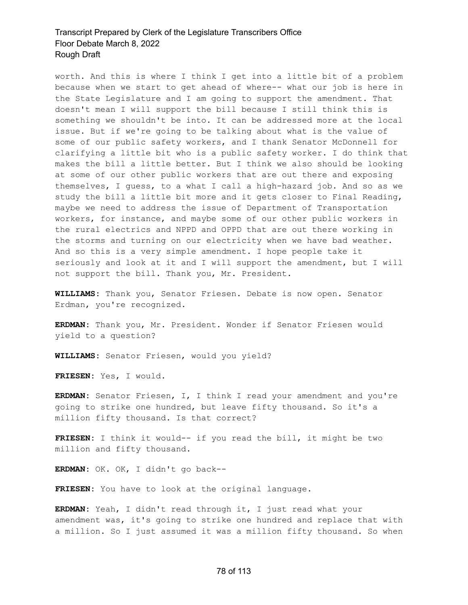worth. And this is where I think I get into a little bit of a problem because when we start to get ahead of where-- what our job is here in the State Legislature and I am going to support the amendment. That doesn't mean I will support the bill because I still think this is something we shouldn't be into. It can be addressed more at the local issue. But if we're going to be talking about what is the value of some of our public safety workers, and I thank Senator McDonnell for clarifying a little bit who is a public safety worker. I do think that makes the bill a little better. But I think we also should be looking at some of our other public workers that are out there and exposing themselves, I guess, to a what I call a high-hazard job. And so as we study the bill a little bit more and it gets closer to Final Reading, maybe we need to address the issue of Department of Transportation workers, for instance, and maybe some of our other public workers in the rural electrics and NPPD and OPPD that are out there working in the storms and turning on our electricity when we have bad weather. And so this is a very simple amendment. I hope people take it seriously and look at it and I will support the amendment, but I will not support the bill. Thank you, Mr. President.

**WILLIAMS:** Thank you, Senator Friesen. Debate is now open. Senator Erdman, you're recognized.

**ERDMAN:** Thank you, Mr. President. Wonder if Senator Friesen would yield to a question?

**WILLIAMS:** Senator Friesen, would you yield?

**FRIESEN:** Yes, I would.

**ERDMAN:** Senator Friesen, I, I think I read your amendment and you're going to strike one hundred, but leave fifty thousand. So it's a million fifty thousand. Is that correct?

**FRIESEN:** I think it would-- if you read the bill, it might be two million and fifty thousand.

**ERDMAN:** OK. OK, I didn't go back--

**FRIESEN:** You have to look at the original language.

**ERDMAN:** Yeah, I didn't read through it, I just read what your amendment was, it's going to strike one hundred and replace that with a million. So I just assumed it was a million fifty thousand. So when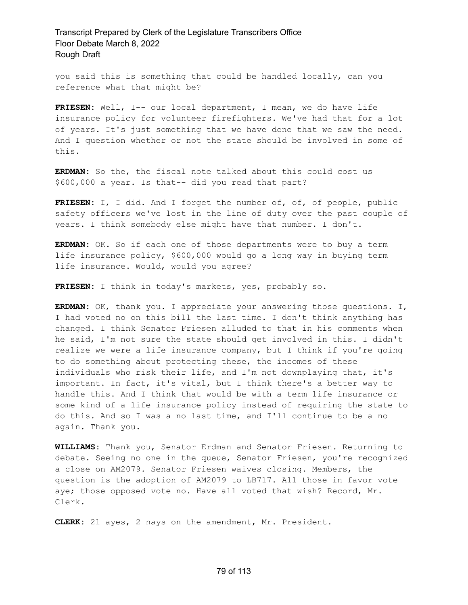you said this is something that could be handled locally, can you reference what that might be?

**FRIESEN:** Well, I-- our local department, I mean, we do have life insurance policy for volunteer firefighters. We've had that for a lot of years. It's just something that we have done that we saw the need. And I question whether or not the state should be involved in some of this.

**ERDMAN:** So the, the fiscal note talked about this could cost us \$600,000 a year. Is that-- did you read that part?

**FRIESEN:** I, I did. And I forget the number of, of, of people, public safety officers we've lost in the line of duty over the past couple of years. I think somebody else might have that number. I don't.

**ERDMAN:** OK. So if each one of those departments were to buy a term life insurance policy, \$600,000 would go a long way in buying term life insurance. Would, would you agree?

**FRIESEN:** I think in today's markets, yes, probably so.

**ERDMAN:** OK, thank you. I appreciate your answering those questions. I, I had voted no on this bill the last time. I don't think anything has changed. I think Senator Friesen alluded to that in his comments when he said, I'm not sure the state should get involved in this. I didn't realize we were a life insurance company, but I think if you're going to do something about protecting these, the incomes of these individuals who risk their life, and I'm not downplaying that, it's important. In fact, it's vital, but I think there's a better way to handle this. And I think that would be with a term life insurance or some kind of a life insurance policy instead of requiring the state to do this. And so I was a no last time, and I'll continue to be a no again. Thank you.

**WILLIAMS:** Thank you, Senator Erdman and Senator Friesen. Returning to debate. Seeing no one in the queue, Senator Friesen, you're recognized a close on AM2079. Senator Friesen waives closing. Members, the question is the adoption of AM2079 to LB717. All those in favor vote aye; those opposed vote no. Have all voted that wish? Record, Mr. Clerk.

**CLERK:** 21 ayes, 2 nays on the amendment, Mr. President.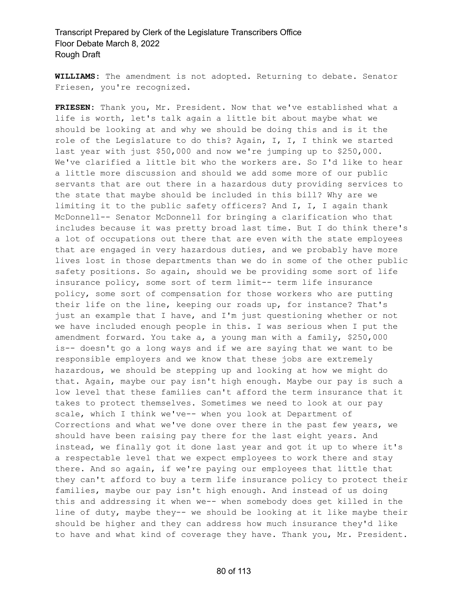**WILLIAMS:** The amendment is not adopted. Returning to debate. Senator Friesen, you're recognized.

**FRIESEN:** Thank you, Mr. President. Now that we've established what a life is worth, let's talk again a little bit about maybe what we should be looking at and why we should be doing this and is it the role of the Legislature to do this? Again, I, I, I think we started last year with just \$50,000 and now we're jumping up to \$250,000. We've clarified a little bit who the workers are. So I'd like to hear a little more discussion and should we add some more of our public servants that are out there in a hazardous duty providing services to the state that maybe should be included in this bill? Why are we limiting it to the public safety officers? And I, I, I again thank McDonnell-- Senator McDonnell for bringing a clarification who that includes because it was pretty broad last time. But I do think there's a lot of occupations out there that are even with the state employees that are engaged in very hazardous duties, and we probably have more lives lost in those departments than we do in some of the other public safety positions. So again, should we be providing some sort of life insurance policy, some sort of term limit-- term life insurance policy, some sort of compensation for those workers who are putting their life on the line, keeping our roads up, for instance? That's just an example that I have, and I'm just questioning whether or not we have included enough people in this. I was serious when I put the amendment forward. You take a, a young man with a family, \$250,000 is-- doesn't go a long ways and if we are saying that we want to be responsible employers and we know that these jobs are extremely hazardous, we should be stepping up and looking at how we might do that. Again, maybe our pay isn't high enough. Maybe our pay is such a low level that these families can't afford the term insurance that it takes to protect themselves. Sometimes we need to look at our pay scale, which I think we've-- when you look at Department of Corrections and what we've done over there in the past few years, we should have been raising pay there for the last eight years. And instead, we finally got it done last year and got it up to where it's a respectable level that we expect employees to work there and stay there. And so again, if we're paying our employees that little that they can't afford to buy a term life insurance policy to protect their families, maybe our pay isn't high enough. And instead of us doing this and addressing it when we-- when somebody does get killed in the line of duty, maybe they-- we should be looking at it like maybe their should be higher and they can address how much insurance they'd like to have and what kind of coverage they have. Thank you, Mr. President.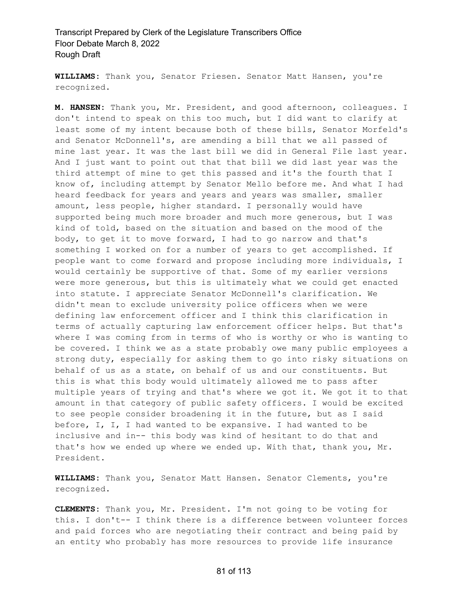**WILLIAMS:** Thank you, Senator Friesen. Senator Matt Hansen, you're recognized.

**M. HANSEN:** Thank you, Mr. President, and good afternoon, colleagues. I don't intend to speak on this too much, but I did want to clarify at least some of my intent because both of these bills, Senator Morfeld's and Senator McDonnell's, are amending a bill that we all passed of mine last year. It was the last bill we did in General File last year. And I just want to point out that that bill we did last year was the third attempt of mine to get this passed and it's the fourth that I know of, including attempt by Senator Mello before me. And what I had heard feedback for years and years and years was smaller, smaller amount, less people, higher standard. I personally would have supported being much more broader and much more generous, but I was kind of told, based on the situation and based on the mood of the body, to get it to move forward, I had to go narrow and that's something I worked on for a number of years to get accomplished. If people want to come forward and propose including more individuals, I would certainly be supportive of that. Some of my earlier versions were more generous, but this is ultimately what we could get enacted into statute. I appreciate Senator McDonnell's clarification. We didn't mean to exclude university police officers when we were defining law enforcement officer and I think this clarification in terms of actually capturing law enforcement officer helps. But that's where I was coming from in terms of who is worthy or who is wanting to be covered. I think we as a state probably owe many public employees a strong duty, especially for asking them to go into risky situations on behalf of us as a state, on behalf of us and our constituents. But this is what this body would ultimately allowed me to pass after multiple years of trying and that's where we got it. We got it to that amount in that category of public safety officers. I would be excited to see people consider broadening it in the future, but as I said before, I, I, I had wanted to be expansive. I had wanted to be inclusive and in-- this body was kind of hesitant to do that and that's how we ended up where we ended up. With that, thank you, Mr. President.

**WILLIAMS:** Thank you, Senator Matt Hansen. Senator Clements, you're recognized.

**CLEMENTS:** Thank you, Mr. President. I'm not going to be voting for this. I don't-- I think there is a difference between volunteer forces and paid forces who are negotiating their contract and being paid by an entity who probably has more resources to provide life insurance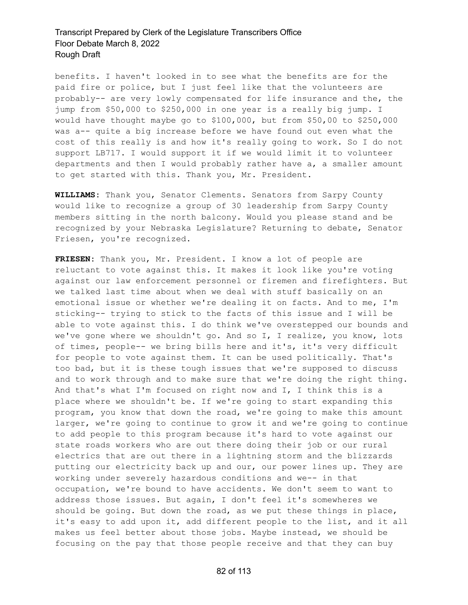benefits. I haven't looked in to see what the benefits are for the paid fire or police, but I just feel like that the volunteers are probably-- are very lowly compensated for life insurance and the, the jump from \$50,000 to \$250,000 in one year is a really big jump. I would have thought maybe go to \$100,000, but from \$50,00 to \$250,000 was a-- quite a big increase before we have found out even what the cost of this really is and how it's really going to work. So I do not support LB717. I would support it if we would limit it to volunteer departments and then I would probably rather have a, a smaller amount to get started with this. Thank you, Mr. President.

**WILLIAMS:** Thank you, Senator Clements. Senators from Sarpy County would like to recognize a group of 30 leadership from Sarpy County members sitting in the north balcony. Would you please stand and be recognized by your Nebraska Legislature? Returning to debate, Senator Friesen, you're recognized.

**FRIESEN:** Thank you, Mr. President. I know a lot of people are reluctant to vote against this. It makes it look like you're voting against our law enforcement personnel or firemen and firefighters. But we talked last time about when we deal with stuff basically on an emotional issue or whether we're dealing it on facts. And to me, I'm sticking-- trying to stick to the facts of this issue and I will be able to vote against this. I do think we've overstepped our bounds and we've gone where we shouldn't go. And so I, I realize, you know, lots of times, people-- we bring bills here and it's, it's very difficult for people to vote against them. It can be used politically. That's too bad, but it is these tough issues that we're supposed to discuss and to work through and to make sure that we're doing the right thing. And that's what I'm focused on right now and I, I think this is a place where we shouldn't be. If we're going to start expanding this program, you know that down the road, we're going to make this amount larger, we're going to continue to grow it and we're going to continue to add people to this program because it's hard to vote against our state roads workers who are out there doing their job or our rural electrics that are out there in a lightning storm and the blizzards putting our electricity back up and our, our power lines up. They are working under severely hazardous conditions and we-- in that occupation, we're bound to have accidents. We don't seem to want to address those issues. But again, I don't feel it's somewheres we should be going. But down the road, as we put these things in place, it's easy to add upon it, add different people to the list, and it all makes us feel better about those jobs. Maybe instead, we should be focusing on the pay that those people receive and that they can buy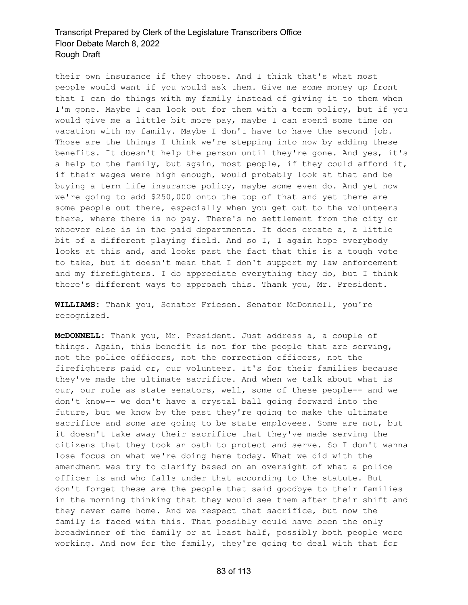their own insurance if they choose. And I think that's what most people would want if you would ask them. Give me some money up front that I can do things with my family instead of giving it to them when I'm gone. Maybe I can look out for them with a term policy, but if you would give me a little bit more pay, maybe I can spend some time on vacation with my family. Maybe I don't have to have the second job. Those are the things I think we're stepping into now by adding these benefits. It doesn't help the person until they're gone. And yes, it's a help to the family, but again, most people, if they could afford it, if their wages were high enough, would probably look at that and be buying a term life insurance policy, maybe some even do. And yet now we're going to add \$250,000 onto the top of that and yet there are some people out there, especially when you get out to the volunteers there, where there is no pay. There's no settlement from the city or whoever else is in the paid departments. It does create a, a little bit of a different playing field. And so I, I again hope everybody looks at this and, and looks past the fact that this is a tough vote to take, but it doesn't mean that I don't support my law enforcement and my firefighters. I do appreciate everything they do, but I think there's different ways to approach this. Thank you, Mr. President.

**WILLIAMS:** Thank you, Senator Friesen. Senator McDonnell, you're recognized.

**McDONNELL:** Thank you, Mr. President. Just address a, a couple of things. Again, this benefit is not for the people that are serving, not the police officers, not the correction officers, not the firefighters paid or, our volunteer. It's for their families because they've made the ultimate sacrifice. And when we talk about what is our, our role as state senators, well, some of these people-- and we don't know-- we don't have a crystal ball going forward into the future, but we know by the past they're going to make the ultimate sacrifice and some are going to be state employees. Some are not, but it doesn't take away their sacrifice that they've made serving the citizens that they took an oath to protect and serve. So I don't wanna lose focus on what we're doing here today. What we did with the amendment was try to clarify based on an oversight of what a police officer is and who falls under that according to the statute. But don't forget these are the people that said goodbye to their families in the morning thinking that they would see them after their shift and they never came home. And we respect that sacrifice, but now the family is faced with this. That possibly could have been the only breadwinner of the family or at least half, possibly both people were working. And now for the family, they're going to deal with that for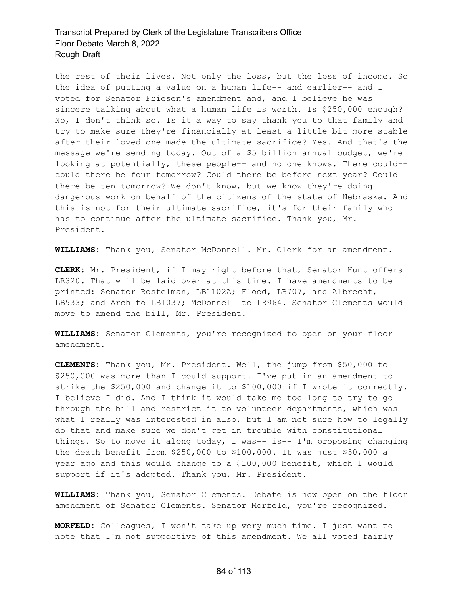the rest of their lives. Not only the loss, but the loss of income. So the idea of putting a value on a human life-- and earlier-- and I voted for Senator Friesen's amendment and, and I believe he was sincere talking about what a human life is worth. Is \$250,000 enough? No, I don't think so. Is it a way to say thank you to that family and try to make sure they're financially at least a little bit more stable after their loved one made the ultimate sacrifice? Yes. And that's the message we're sending today. Out of a \$5 billion annual budget, we're looking at potentially, these people-- and no one knows. There could- could there be four tomorrow? Could there be before next year? Could there be ten tomorrow? We don't know, but we know they're doing dangerous work on behalf of the citizens of the state of Nebraska. And this is not for their ultimate sacrifice, it's for their family who has to continue after the ultimate sacrifice. Thank you, Mr. President.

**WILLIAMS:** Thank you, Senator McDonnell. Mr. Clerk for an amendment.

**CLERK:** Mr. President, if I may right before that, Senator Hunt offers LR320. That will be laid over at this time. I have amendments to be printed: Senator Bostelman, LB1102A; Flood, LB707, and Albrecht, LB933; and Arch to LB1037; McDonnell to LB964. Senator Clements would move to amend the bill, Mr. President.

**WILLIAMS:** Senator Clements, you're recognized to open on your floor amendment.

**CLEMENTS:** Thank you, Mr. President. Well, the jump from \$50,000 to \$250,000 was more than I could support. I've put in an amendment to strike the \$250,000 and change it to \$100,000 if I wrote it correctly. I believe I did. And I think it would take me too long to try to go through the bill and restrict it to volunteer departments, which was what I really was interested in also, but I am not sure how to legally do that and make sure we don't get in trouble with constitutional things. So to move it along today, I was-- is-- I'm proposing changing the death benefit from \$250,000 to \$100,000. It was just \$50,000 a year ago and this would change to a \$100,000 benefit, which I would support if it's adopted. Thank you, Mr. President.

**WILLIAMS:** Thank you, Senator Clements. Debate is now open on the floor amendment of Senator Clements. Senator Morfeld, you're recognized.

**MORFELD:** Colleagues, I won't take up very much time. I just want to note that I'm not supportive of this amendment. We all voted fairly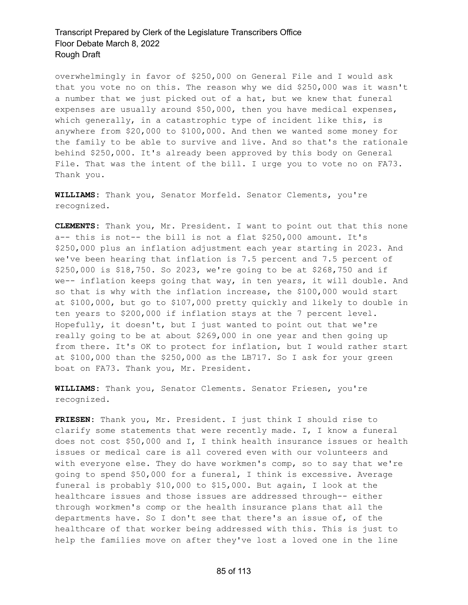overwhelmingly in favor of \$250,000 on General File and I would ask that you vote no on this. The reason why we did \$250,000 was it wasn't a number that we just picked out of a hat, but we knew that funeral expenses are usually around \$50,000, then you have medical expenses, which generally, in a catastrophic type of incident like this, is anywhere from \$20,000 to \$100,000. And then we wanted some money for the family to be able to survive and live. And so that's the rationale behind \$250,000. It's already been approved by this body on General File. That was the intent of the bill. I urge you to vote no on FA73. Thank you.

**WILLIAMS:** Thank you, Senator Morfeld. Senator Clements, you're recognized.

**CLEMENTS:** Thank you, Mr. President. I want to point out that this none a-- this is not-- the bill is not a flat \$250,000 amount. It's \$250,000 plus an inflation adjustment each year starting in 2023. And we've been hearing that inflation is 7.5 percent and 7.5 percent of \$250,000 is \$18,750. So 2023, we're going to be at \$268,750 and if we-- inflation keeps going that way, in ten years, it will double. And so that is why with the inflation increase, the \$100,000 would start at \$100,000, but go to \$107,000 pretty quickly and likely to double in ten years to \$200,000 if inflation stays at the 7 percent level. Hopefully, it doesn't, but I just wanted to point out that we're really going to be at about \$269,000 in one year and then going up from there. It's OK to protect for inflation, but I would rather start at \$100,000 than the \$250,000 as the LB717. So I ask for your green boat on FA73. Thank you, Mr. President.

**WILLIAMS:** Thank you, Senator Clements. Senator Friesen, you're recognized.

**FRIESEN:** Thank you, Mr. President. I just think I should rise to clarify some statements that were recently made. I, I know a funeral does not cost \$50,000 and I, I think health insurance issues or health issues or medical care is all covered even with our volunteers and with everyone else. They do have workmen's comp, so to say that we're going to spend \$50,000 for a funeral, I think is excessive. Average funeral is probably \$10,000 to \$15,000. But again, I look at the healthcare issues and those issues are addressed through-- either through workmen's comp or the health insurance plans that all the departments have. So I don't see that there's an issue of, of the healthcare of that worker being addressed with this. This is just to help the families move on after they've lost a loved one in the line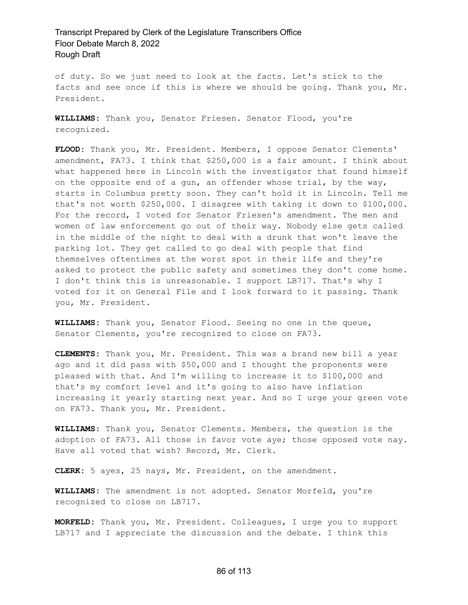of duty. So we just need to look at the facts. Let's stick to the facts and see once if this is where we should be going. Thank you, Mr. President.

**WILLIAMS:** Thank you, Senator Friesen. Senator Flood, you're recognized.

**FLOOD:** Thank you, Mr. President. Members, I oppose Senator Clements' amendment, FA73. I think that \$250,000 is a fair amount. I think about what happened here in Lincoln with the investigator that found himself on the opposite end of a gun, an offender whose trial, by the way, starts in Columbus pretty soon. They can't hold it in Lincoln. Tell me that's not worth \$250,000. I disagree with taking it down to \$100,000. For the record, I voted for Senator Friesen's amendment. The men and women of law enforcement go out of their way. Nobody else gets called in the middle of the night to deal with a drunk that won't leave the parking lot. They get called to go deal with people that find themselves oftentimes at the worst spot in their life and they're asked to protect the public safety and sometimes they don't come home. I don't think this is unreasonable. I support LB717. That's why I voted for it on General File and I look forward to it passing. Thank you, Mr. President.

**WILLIAMS:** Thank you, Senator Flood. Seeing no one in the queue, Senator Clements, you're recognized to close on FA73.

**CLEMENTS:** Thank you, Mr. President. This was a brand new bill a year ago and it did pass with \$50,000 and I thought the proponents were pleased with that. And I'm willing to increase it to \$100,000 and that's my comfort level and it's going to also have inflation increasing it yearly starting next year. And so I urge your green vote on FA73. Thank you, Mr. President.

**WILLIAMS:** Thank you, Senator Clements. Members, the question is the adoption of FA73. All those in favor vote aye; those opposed vote nay. Have all voted that wish? Record, Mr. Clerk.

**CLERK:** 5 ayes, 25 nays, Mr. President, on the amendment.

**WILLIAMS:** The amendment is not adopted. Senator Morfeld, you're recognized to close on LB717.

**MORFELD:** Thank you, Mr. President. Colleagues, I urge you to support LB717 and I appreciate the discussion and the debate. I think this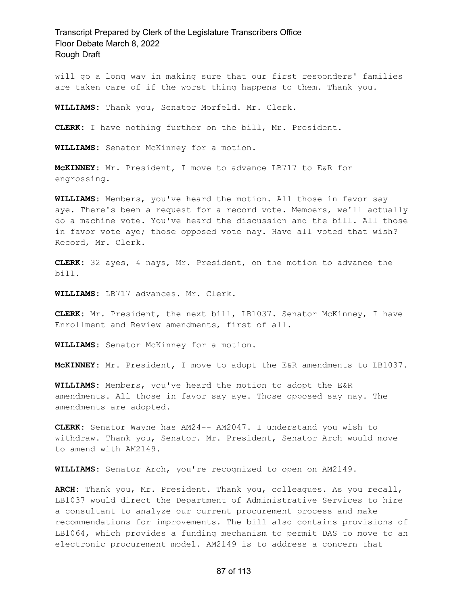will go a long way in making sure that our first responders' families are taken care of if the worst thing happens to them. Thank you.

**WILLIAMS:** Thank you, Senator Morfeld. Mr. Clerk.

**CLERK:** I have nothing further on the bill, Mr. President.

**WILLIAMS:** Senator McKinney for a motion.

**McKINNEY:** Mr. President, I move to advance LB717 to E&R for engrossing.

**WILLIAMS:** Members, you've heard the motion. All those in favor say aye. There's been a request for a record vote. Members, we'll actually do a machine vote. You've heard the discussion and the bill. All those in favor vote aye; those opposed vote nay. Have all voted that wish? Record, Mr. Clerk.

**CLERK:** 32 ayes, 4 nays, Mr. President, on the motion to advance the bill.

**WILLIAMS:** LB717 advances. Mr. Clerk.

**CLERK:** Mr. President, the next bill, LB1037. Senator McKinney, I have Enrollment and Review amendments, first of all.

**WILLIAMS:** Senator McKinney for a motion.

**McKINNEY:** Mr. President, I move to adopt the E&R amendments to LB1037.

**WILLIAMS:** Members, you've heard the motion to adopt the E&R amendments. All those in favor say aye. Those opposed say nay. The amendments are adopted.

**CLERK:** Senator Wayne has AM24-- AM2047. I understand you wish to withdraw. Thank you, Senator. Mr. President, Senator Arch would move to amend with AM2149.

**WILLIAMS:** Senator Arch, you're recognized to open on AM2149.

**ARCH:** Thank you, Mr. President. Thank you, colleagues. As you recall, LB1037 would direct the Department of Administrative Services to hire a consultant to analyze our current procurement process and make recommendations for improvements. The bill also contains provisions of LB1064, which provides a funding mechanism to permit DAS to move to an electronic procurement model. AM2149 is to address a concern that

#### 87 of 113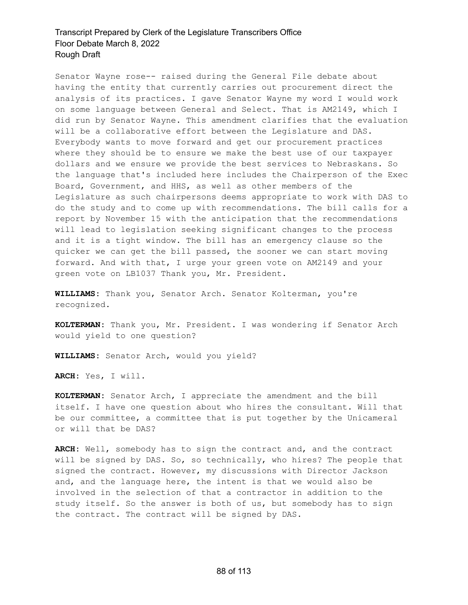Senator Wayne rose-- raised during the General File debate about having the entity that currently carries out procurement direct the analysis of its practices. I gave Senator Wayne my word I would work on some language between General and Select. That is AM2149, which I did run by Senator Wayne. This amendment clarifies that the evaluation will be a collaborative effort between the Legislature and DAS. Everybody wants to move forward and get our procurement practices where they should be to ensure we make the best use of our taxpayer dollars and we ensure we provide the best services to Nebraskans. So the language that's included here includes the Chairperson of the Exec Board, Government, and HHS, as well as other members of the Legislature as such chairpersons deems appropriate to work with DAS to do the study and to come up with recommendations. The bill calls for a report by November 15 with the anticipation that the recommendations will lead to legislation seeking significant changes to the process and it is a tight window. The bill has an emergency clause so the quicker we can get the bill passed, the sooner we can start moving forward. And with that, I urge your green vote on AM2149 and your green vote on LB1037 Thank you, Mr. President.

**WILLIAMS:** Thank you, Senator Arch. Senator Kolterman, you're recognized.

**KOLTERMAN:** Thank you, Mr. President. I was wondering if Senator Arch would yield to one question?

**WILLIAMS:** Senator Arch, would you yield?

**ARCH:** Yes, I will.

**KOLTERMAN:** Senator Arch, I appreciate the amendment and the bill itself. I have one question about who hires the consultant. Will that be our committee, a committee that is put together by the Unicameral or will that be DAS?

**ARCH:** Well, somebody has to sign the contract and, and the contract will be signed by DAS. So, so technically, who hires? The people that signed the contract. However, my discussions with Director Jackson and, and the language here, the intent is that we would also be involved in the selection of that a contractor in addition to the study itself. So the answer is both of us, but somebody has to sign the contract. The contract will be signed by DAS.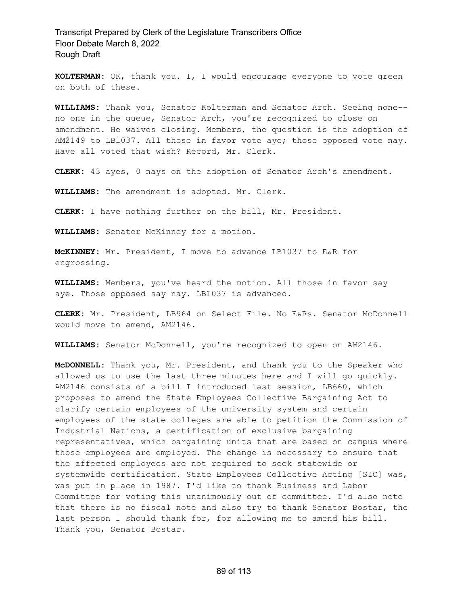**KOLTERMAN:** OK, thank you. I, I would encourage everyone to vote green on both of these.

**WILLIAMS:** Thank you, Senator Kolterman and Senator Arch. Seeing none- no one in the queue, Senator Arch, you're recognized to close on amendment. He waives closing. Members, the question is the adoption of AM2149 to LB1037. All those in favor vote aye; those opposed vote nay. Have all voted that wish? Record, Mr. Clerk.

**CLERK:** 43 ayes, 0 nays on the adoption of Senator Arch's amendment.

**WILLIAMS:** The amendment is adopted. Mr. Clerk.

**CLERK:** I have nothing further on the bill, Mr. President.

**WILLIAMS:** Senator McKinney for a motion.

**McKINNEY:** Mr. President, I move to advance LB1037 to E&R for engrossing.

**WILLIAMS:** Members, you've heard the motion. All those in favor say aye. Those opposed say nay. LB1037 is advanced.

**CLERK:** Mr. President, LB964 on Select File. No E&Rs. Senator McDonnell would move to amend, AM2146.

**WILLIAMS:** Senator McDonnell, you're recognized to open on AM2146.

**McDONNELL:** Thank you, Mr. President, and thank you to the Speaker who allowed us to use the last three minutes here and I will go quickly. AM2146 consists of a bill I introduced last session, LB660, which proposes to amend the State Employees Collective Bargaining Act to clarify certain employees of the university system and certain employees of the state colleges are able to petition the Commission of Industrial Nations, a certification of exclusive bargaining representatives, which bargaining units that are based on campus where those employees are employed. The change is necessary to ensure that the affected employees are not required to seek statewide or systemwide certification. State Employees Collective Acting [SIC] was, was put in place in 1987. I'd like to thank Business and Labor Committee for voting this unanimously out of committee. I'd also note that there is no fiscal note and also try to thank Senator Bostar, the last person I should thank for, for allowing me to amend his bill. Thank you, Senator Bostar.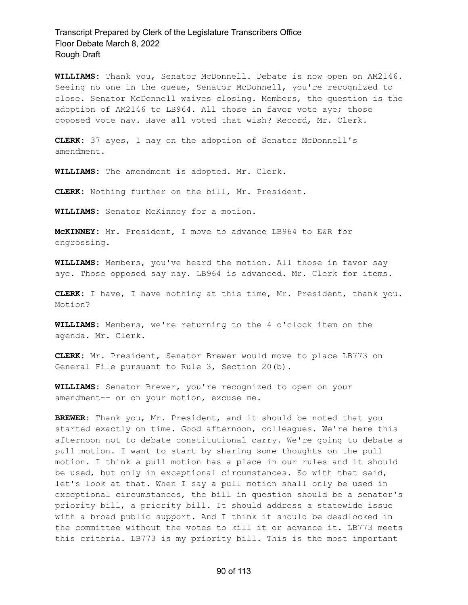**WILLIAMS:** Thank you, Senator McDonnell. Debate is now open on AM2146. Seeing no one in the queue, Senator McDonnell, you're recognized to close. Senator McDonnell waives closing. Members, the question is the adoption of AM2146 to LB964. All those in favor vote aye; those opposed vote nay. Have all voted that wish? Record, Mr. Clerk.

**CLERK:** 37 ayes, 1 nay on the adoption of Senator McDonnell's amendment.

**WILLIAMS:** The amendment is adopted. Mr. Clerk.

**CLERK:** Nothing further on the bill, Mr. President.

**WILLIAMS:** Senator McKinney for a motion.

**McKINNEY:** Mr. President, I move to advance LB964 to E&R for engrossing.

**WILLIAMS:** Members, you've heard the motion. All those in favor say aye. Those opposed say nay. LB964 is advanced. Mr. Clerk for items.

**CLERK:** I have, I have nothing at this time, Mr. President, thank you. Motion?

**WILLIAMS:** Members, we're returning to the 4 o'clock item on the agenda. Mr. Clerk.

**CLERK:** Mr. President, Senator Brewer would move to place LB773 on General File pursuant to Rule 3, Section 20(b).

**WILLIAMS:** Senator Brewer, you're recognized to open on your amendment-- or on your motion, excuse me.

**BREWER:** Thank you, Mr. President, and it should be noted that you started exactly on time. Good afternoon, colleagues. We're here this afternoon not to debate constitutional carry. We're going to debate a pull motion. I want to start by sharing some thoughts on the pull motion. I think a pull motion has a place in our rules and it should be used, but only in exceptional circumstances. So with that said, let's look at that. When I say a pull motion shall only be used in exceptional circumstances, the bill in question should be a senator's priority bill, a priority bill. It should address a statewide issue with a broad public support. And I think it should be deadlocked in the committee without the votes to kill it or advance it. LB773 meets this criteria. LB773 is my priority bill. This is the most important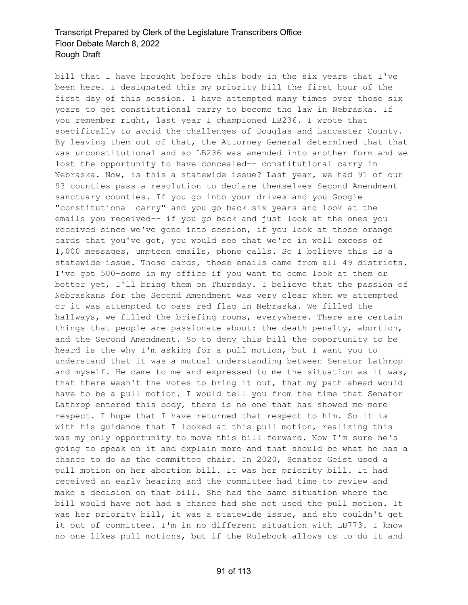bill that I have brought before this body in the six years that I've been here. I designated this my priority bill the first hour of the first day of this session. I have attempted many times over those six years to get constitutional carry to become the law in Nebraska. If you remember right, last year I championed LB236. I wrote that specifically to avoid the challenges of Douglas and Lancaster County. By leaving them out of that, the Attorney General determined that that was unconstitutional and so LB236 was amended into another form and we lost the opportunity to have concealed-- constitutional carry in Nebraska. Now, is this a statewide issue? Last year, we had 91 of our 93 counties pass a resolution to declare themselves Second Amendment sanctuary counties. If you go into your drives and you Google "constitutional carry" and you go back six years and look at the emails you received-- if you go back and just look at the ones you received since we've gone into session, if you look at those orange cards that you've got, you would see that we're in well excess of 1,000 messages, umpteen emails, phone calls. So I believe this is a statewide issue. Those cards, those emails came from all 49 districts. I've got 500-some in my office if you want to come look at them or better yet, I'll bring them on Thursday. I believe that the passion of Nebraskans for the Second Amendment was very clear when we attempted or it was attempted to pass red flag in Nebraska. We filled the hallways, we filled the briefing rooms, everywhere. There are certain things that people are passionate about: the death penalty, abortion, and the Second Amendment. So to deny this bill the opportunity to be heard is the why I'm asking for a pull motion, but I want you to understand that it was a mutual understanding between Senator Lathrop and myself. He came to me and expressed to me the situation as it was, that there wasn't the votes to bring it out, that my path ahead would have to be a pull motion. I would tell you from the time that Senator Lathrop entered this body, there is no one that has showed me more respect. I hope that I have returned that respect to him. So it is with his guidance that I looked at this pull motion, realizing this was my only opportunity to move this bill forward. Now I'm sure he's going to speak on it and explain more and that should be what he has a chance to do as the committee chair. In 2020, Senator Geist used a pull motion on her abortion bill. It was her priority bill. It had received an early hearing and the committee had time to review and make a decision on that bill. She had the same situation where the bill would have not had a chance had she not used the pull motion. It was her priority bill, it was a statewide issue, and she couldn't get it out of committee. I'm in no different situation with LB773. I know no one likes pull motions, but if the Rulebook allows us to do it and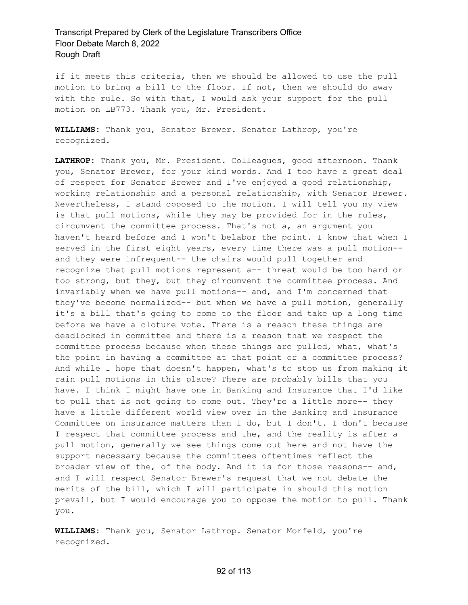if it meets this criteria, then we should be allowed to use the pull motion to bring a bill to the floor. If not, then we should do away with the rule. So with that, I would ask your support for the pull motion on LB773. Thank you, Mr. President.

**WILLIAMS:** Thank you, Senator Brewer. Senator Lathrop, you're recognized.

**LATHROP:** Thank you, Mr. President. Colleagues, good afternoon. Thank you, Senator Brewer, for your kind words. And I too have a great deal of respect for Senator Brewer and I've enjoyed a good relationship, working relationship and a personal relationship, with Senator Brewer. Nevertheless, I stand opposed to the motion. I will tell you my view is that pull motions, while they may be provided for in the rules, circumvent the committee process. That's not a, an argument you haven't heard before and I won't belabor the point. I know that when I served in the first eight years, every time there was a pull motion- and they were infrequent-- the chairs would pull together and recognize that pull motions represent a-- threat would be too hard or too strong, but they, but they circumvent the committee process. And invariably when we have pull motions-- and, and I'm concerned that they've become normalized-- but when we have a pull motion, generally it's a bill that's going to come to the floor and take up a long time before we have a cloture vote. There is a reason these things are deadlocked in committee and there is a reason that we respect the committee process because when these things are pulled, what, what's the point in having a committee at that point or a committee process? And while I hope that doesn't happen, what's to stop us from making it rain pull motions in this place? There are probably bills that you have. I think I might have one in Banking and Insurance that I'd like to pull that is not going to come out. They're a little more-- they have a little different world view over in the Banking and Insurance Committee on insurance matters than I do, but I don't. I don't because I respect that committee process and the, and the reality is after a pull motion, generally we see things come out here and not have the support necessary because the committees oftentimes reflect the broader view of the, of the body. And it is for those reasons-- and, and I will respect Senator Brewer's request that we not debate the merits of the bill, which I will participate in should this motion prevail, but I would encourage you to oppose the motion to pull. Thank you.

**WILLIAMS:** Thank you, Senator Lathrop. Senator Morfeld, you're recognized.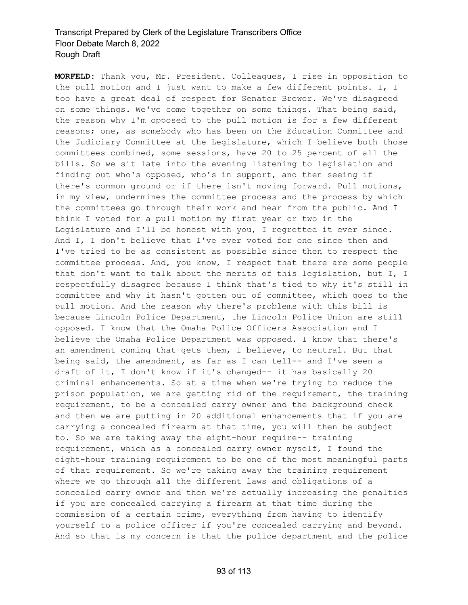**MORFELD:** Thank you, Mr. President. Colleagues, I rise in opposition to the pull motion and I just want to make a few different points. I, I too have a great deal of respect for Senator Brewer. We've disagreed on some things. We've come together on some things. That being said, the reason why I'm opposed to the pull motion is for a few different reasons; one, as somebody who has been on the Education Committee and the Judiciary Committee at the Legislature, which I believe both those committees combined, some sessions, have 20 to 25 percent of all the bills. So we sit late into the evening listening to legislation and finding out who's opposed, who's in support, and then seeing if there's common ground or if there isn't moving forward. Pull motions, in my view, undermines the committee process and the process by which the committees go through their work and hear from the public. And I think I voted for a pull motion my first year or two in the Legislature and I'll be honest with you, I regretted it ever since. And I, I don't believe that I've ever voted for one since then and I've tried to be as consistent as possible since then to respect the committee process. And, you know, I respect that there are some people that don't want to talk about the merits of this legislation, but I, I respectfully disagree because I think that's tied to why it's still in committee and why it hasn't gotten out of committee, which goes to the pull motion. And the reason why there's problems with this bill is because Lincoln Police Department, the Lincoln Police Union are still opposed. I know that the Omaha Police Officers Association and I believe the Omaha Police Department was opposed. I know that there's an amendment coming that gets them, I believe, to neutral. But that being said, the amendment, as far as I can tell-- and I've seen a draft of it, I don't know if it's changed-- it has basically 20 criminal enhancements. So at a time when we're trying to reduce the prison population, we are getting rid of the requirement, the training requirement, to be a concealed carry owner and the background check and then we are putting in 20 additional enhancements that if you are carrying a concealed firearm at that time, you will then be subject to. So we are taking away the eight-hour require-- training requirement, which as a concealed carry owner myself, I found the eight-hour training requirement to be one of the most meaningful parts of that requirement. So we're taking away the training requirement where we go through all the different laws and obligations of a concealed carry owner and then we're actually increasing the penalties if you are concealed carrying a firearm at that time during the commission of a certain crime, everything from having to identify yourself to a police officer if you're concealed carrying and beyond. And so that is my concern is that the police department and the police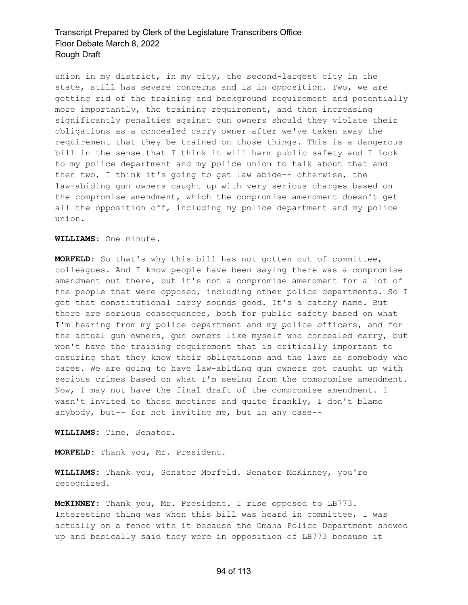union in my district, in my city, the second-largest city in the state, still has severe concerns and is in opposition. Two, we are getting rid of the training and background requirement and potentially more importantly, the training requirement, and then increasing significantly penalties against gun owners should they violate their obligations as a concealed carry owner after we've taken away the requirement that they be trained on those things. This is a dangerous bill in the sense that I think it will harm public safety and I look to my police department and my police union to talk about that and then two, I think it's going to get law abide-- otherwise, the law-abiding gun owners caught up with very serious charges based on the compromise amendment, which the compromise amendment doesn't get all the opposition off, including my police department and my police union.

**WILLIAMS:** One minute.

**MORFELD:** So that's why this bill has not gotten out of committee, colleagues. And I know people have been saying there was a compromise amendment out there, but it's not a compromise amendment for a lot of the people that were opposed, including other police departments. So I get that constitutional carry sounds good. It's a catchy name. But there are serious consequences, both for public safety based on what I'm hearing from my police department and my police officers, and for the actual gun owners, gun owners like myself who concealed carry, but won't have the training requirement that is critically important to ensuring that they know their obligations and the laws as somebody who cares. We are going to have law-abiding gun owners get caught up with serious crimes based on what I'm seeing from the compromise amendment. Now, I may not have the final draft of the compromise amendment. I wasn't invited to those meetings and quite frankly, I don't blame anybody, but-- for not inviting me, but in any case--

**WILLIAMS:** Time, Senator.

**MORFELD:** Thank you, Mr. President.

**WILLIAMS:** Thank you, Senator Morfeld. Senator McKinney, you're recognized.

**McKINNEY:** Thank you, Mr. President. I rise opposed to LB773. Interesting thing was when this bill was heard in committee, I was actually on a fence with it because the Omaha Police Department showed up and basically said they were in opposition of LB773 because it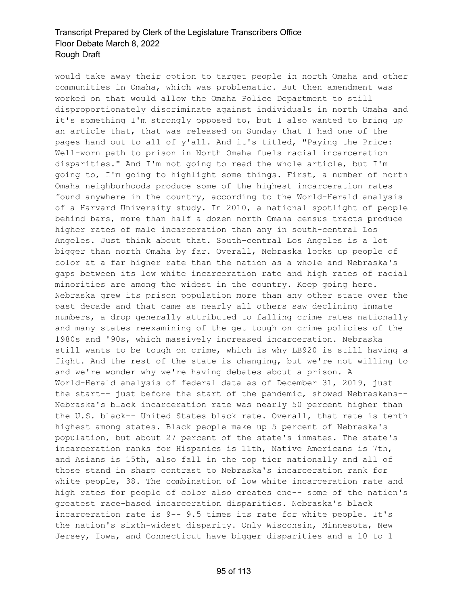would take away their option to target people in north Omaha and other communities in Omaha, which was problematic. But then amendment was worked on that would allow the Omaha Police Department to still disproportionately discriminate against individuals in north Omaha and it's something I'm strongly opposed to, but I also wanted to bring up an article that, that was released on Sunday that I had one of the pages hand out to all of y'all. And it's titled, "Paying the Price: Well-worn path to prison in North Omaha fuels racial incarceration disparities." And I'm not going to read the whole article, but I'm going to, I'm going to highlight some things. First, a number of north Omaha neighborhoods produce some of the highest incarceration rates found anywhere in the country, according to the World-Herald analysis of a Harvard University study. In 2010, a national spotlight of people behind bars, more than half a dozen north Omaha census tracts produce higher rates of male incarceration than any in south-central Los Angeles. Just think about that. South-central Los Angeles is a lot bigger than north Omaha by far. Overall, Nebraska locks up people of color at a far higher rate than the nation as a whole and Nebraska's gaps between its low white incarceration rate and high rates of racial minorities are among the widest in the country. Keep going here. Nebraska grew its prison population more than any other state over the past decade and that came as nearly all others saw declining inmate numbers, a drop generally attributed to falling crime rates nationally and many states reexamining of the get tough on crime policies of the 1980s and '90s, which massively increased incarceration. Nebraska still wants to be tough on crime, which is why LB920 is still having a fight. And the rest of the state is changing, but we're not willing to and we're wonder why we're having debates about a prison. A World-Herald analysis of federal data as of December 31, 2019, just the start-- just before the start of the pandemic, showed Nebraskans-- Nebraska's black incarceration rate was nearly 50 percent higher than the U.S. black-- United States black rate. Overall, that rate is tenth highest among states. Black people make up 5 percent of Nebraska's population, but about 27 percent of the state's inmates. The state's incarceration ranks for Hispanics is 11th, Native Americans is 7th, and Asians is 15th, also fall in the top tier nationally and all of those stand in sharp contrast to Nebraska's incarceration rank for white people, 38. The combination of low white incarceration rate and high rates for people of color also creates one-- some of the nation's greatest race-based incarceration disparities. Nebraska's black incarceration rate is 9-- 9.5 times its rate for white people. It's the nation's sixth-widest disparity. Only Wisconsin, Minnesota, New Jersey, Iowa, and Connecticut have bigger disparities and a 10 to 1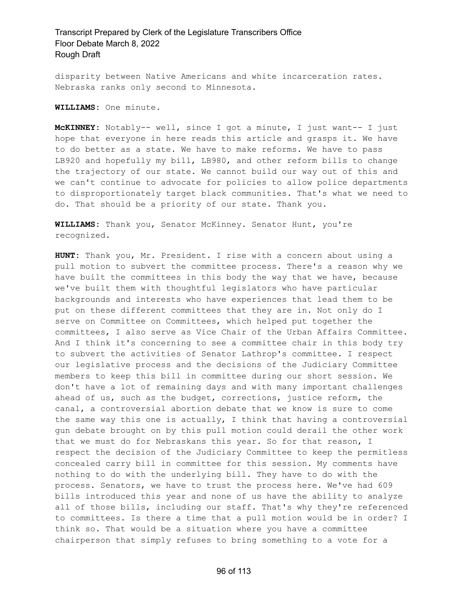disparity between Native Americans and white incarceration rates. Nebraska ranks only second to Minnesota.

**WILLIAMS:** One minute.

**McKINNEY:** Notably-- well, since I got a minute, I just want-- I just hope that everyone in here reads this article and grasps it. We have to do better as a state. We have to make reforms. We have to pass LB920 and hopefully my bill, LB980, and other reform bills to change the trajectory of our state. We cannot build our way out of this and we can't continue to advocate for policies to allow police departments to disproportionately target black communities. That's what we need to do. That should be a priority of our state. Thank you.

**WILLIAMS:** Thank you, Senator McKinney. Senator Hunt, you're recognized.

**HUNT:** Thank you, Mr. President. I rise with a concern about using a pull motion to subvert the committee process. There's a reason why we have built the committees in this body the way that we have, because we've built them with thoughtful legislators who have particular backgrounds and interests who have experiences that lead them to be put on these different committees that they are in. Not only do I serve on Committee on Committees, which helped put together the committees, I also serve as Vice Chair of the Urban Affairs Committee. And I think it's concerning to see a committee chair in this body try to subvert the activities of Senator Lathrop's committee. I respect our legislative process and the decisions of the Judiciary Committee members to keep this bill in committee during our short session. We don't have a lot of remaining days and with many important challenges ahead of us, such as the budget, corrections, justice reform, the canal, a controversial abortion debate that we know is sure to come the same way this one is actually, I think that having a controversial gun debate brought on by this pull motion could derail the other work that we must do for Nebraskans this year. So for that reason, I respect the decision of the Judiciary Committee to keep the permitless concealed carry bill in committee for this session. My comments have nothing to do with the underlying bill. They have to do with the process. Senators, we have to trust the process here. We've had 609 bills introduced this year and none of us have the ability to analyze all of those bills, including our staff. That's why they're referenced to committees. Is there a time that a pull motion would be in order? I think so. That would be a situation where you have a committee chairperson that simply refuses to bring something to a vote for a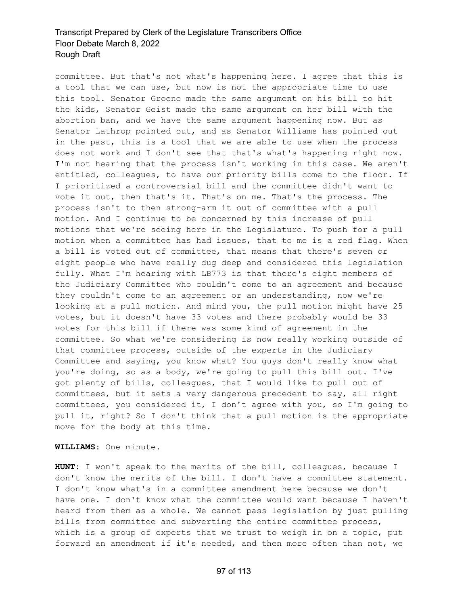committee. But that's not what's happening here. I agree that this is a tool that we can use, but now is not the appropriate time to use this tool. Senator Groene made the same argument on his bill to hit the kids, Senator Geist made the same argument on her bill with the abortion ban, and we have the same argument happening now. But as Senator Lathrop pointed out, and as Senator Williams has pointed out in the past, this is a tool that we are able to use when the process does not work and I don't see that that's what's happening right now. I'm not hearing that the process isn't working in this case. We aren't entitled, colleagues, to have our priority bills come to the floor. If I prioritized a controversial bill and the committee didn't want to vote it out, then that's it. That's on me. That's the process. The process isn't to then strong-arm it out of committee with a pull motion. And I continue to be concerned by this increase of pull motions that we're seeing here in the Legislature. To push for a pull motion when a committee has had issues, that to me is a red flag. When a bill is voted out of committee, that means that there's seven or eight people who have really dug deep and considered this legislation fully. What I'm hearing with LB773 is that there's eight members of the Judiciary Committee who couldn't come to an agreement and because they couldn't come to an agreement or an understanding, now we're looking at a pull motion. And mind you, the pull motion might have 25 votes, but it doesn't have 33 votes and there probably would be 33 votes for this bill if there was some kind of agreement in the committee. So what we're considering is now really working outside of that committee process, outside of the experts in the Judiciary Committee and saying, you know what? You guys don't really know what you're doing, so as a body, we're going to pull this bill out. I've got plenty of bills, colleagues, that I would like to pull out of committees, but it sets a very dangerous precedent to say, all right committees, you considered it, I don't agree with you, so I'm going to pull it, right? So I don't think that a pull motion is the appropriate move for the body at this time.

**WILLIAMS:** One minute.

**HUNT:** I won't speak to the merits of the bill, colleagues, because I don't know the merits of the bill. I don't have a committee statement. I don't know what's in a committee amendment here because we don't have one. I don't know what the committee would want because I haven't heard from them as a whole. We cannot pass legislation by just pulling bills from committee and subverting the entire committee process, which is a group of experts that we trust to weigh in on a topic, put forward an amendment if it's needed, and then more often than not, we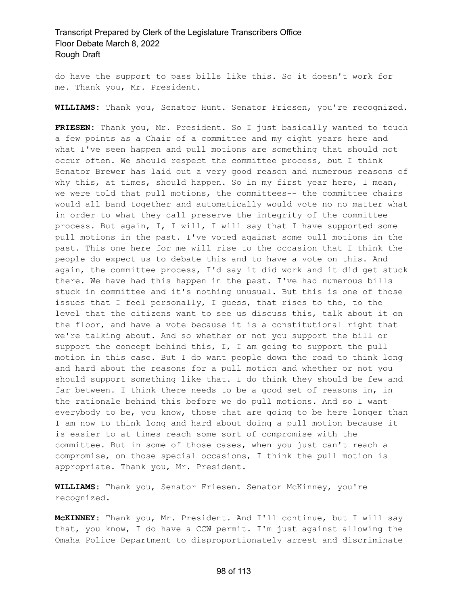do have the support to pass bills like this. So it doesn't work for me. Thank you, Mr. President.

**WILLIAMS:** Thank you, Senator Hunt. Senator Friesen, you're recognized.

**FRIESEN:** Thank you, Mr. President. So I just basically wanted to touch a few points as a Chair of a committee and my eight years here and what I've seen happen and pull motions are something that should not occur often. We should respect the committee process, but I think Senator Brewer has laid out a very good reason and numerous reasons of why this, at times, should happen. So in my first year here, I mean, we were told that pull motions, the committees-- the committee chairs would all band together and automatically would vote no no matter what in order to what they call preserve the integrity of the committee process. But again, I, I will, I will say that I have supported some pull motions in the past. I've voted against some pull motions in the past. This one here for me will rise to the occasion that I think the people do expect us to debate this and to have a vote on this. And again, the committee process, I'd say it did work and it did get stuck there. We have had this happen in the past. I've had numerous bills stuck in committee and it's nothing unusual. But this is one of those issues that I feel personally, I guess, that rises to the, to the level that the citizens want to see us discuss this, talk about it on the floor, and have a vote because it is a constitutional right that we're talking about. And so whether or not you support the bill or support the concept behind this, I, I am going to support the pull motion in this case. But I do want people down the road to think long and hard about the reasons for a pull motion and whether or not you should support something like that. I do think they should be few and far between. I think there needs to be a good set of reasons in, in the rationale behind this before we do pull motions. And so I want everybody to be, you know, those that are going to be here longer than I am now to think long and hard about doing a pull motion because it is easier to at times reach some sort of compromise with the committee. But in some of those cases, when you just can't reach a compromise, on those special occasions, I think the pull motion is appropriate. Thank you, Mr. President.

**WILLIAMS:** Thank you, Senator Friesen. Senator McKinney, you're recognized.

**McKINNEY:** Thank you, Mr. President. And I'll continue, but I will say that, you know, I do have a CCW permit. I'm just against allowing the Omaha Police Department to disproportionately arrest and discriminate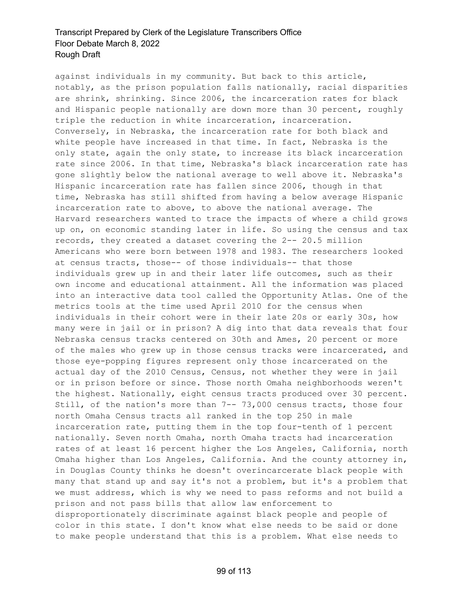against individuals in my community. But back to this article, notably, as the prison population falls nationally, racial disparities are shrink, shrinking. Since 2006, the incarceration rates for black and Hispanic people nationally are down more than 30 percent, roughly triple the reduction in white incarceration, incarceration. Conversely, in Nebraska, the incarceration rate for both black and white people have increased in that time. In fact, Nebraska is the only state, again the only state, to increase its black incarceration rate since 2006. In that time, Nebraska's black incarceration rate has gone slightly below the national average to well above it. Nebraska's Hispanic incarceration rate has fallen since 2006, though in that time, Nebraska has still shifted from having a below average Hispanic incarceration rate to above, to above the national average. The Harvard researchers wanted to trace the impacts of where a child grows up on, on economic standing later in life. So using the census and tax records, they created a dataset covering the 2-- 20.5 million Americans who were born between 1978 and 1983. The researchers looked at census tracts, those-- of those individuals-- that those individuals grew up in and their later life outcomes, such as their own income and educational attainment. All the information was placed into an interactive data tool called the Opportunity Atlas. One of the metrics tools at the time used April 2010 for the census when individuals in their cohort were in their late 20s or early 30s, how many were in jail or in prison? A dig into that data reveals that four Nebraska census tracks centered on 30th and Ames, 20 percent or more of the males who grew up in those census tracks were incarcerated, and those eye-popping figures represent only those incarcerated on the actual day of the 2010 Census, Census, not whether they were in jail or in prison before or since. Those north Omaha neighborhoods weren't the highest. Nationally, eight census tracts produced over 30 percent. Still, of the nation's more than 7-- 73,000 census tracts, those four north Omaha Census tracts all ranked in the top 250 in male incarceration rate, putting them in the top four-tenth of 1 percent nationally. Seven north Omaha, north Omaha tracts had incarceration rates of at least 16 percent higher the Los Angeles, California, north Omaha higher than Los Angeles, California. And the county attorney in, in Douglas County thinks he doesn't overincarcerate black people with many that stand up and say it's not a problem, but it's a problem that we must address, which is why we need to pass reforms and not build a prison and not pass bills that allow law enforcement to disproportionately discriminate against black people and people of color in this state. I don't know what else needs to be said or done to make people understand that this is a problem. What else needs to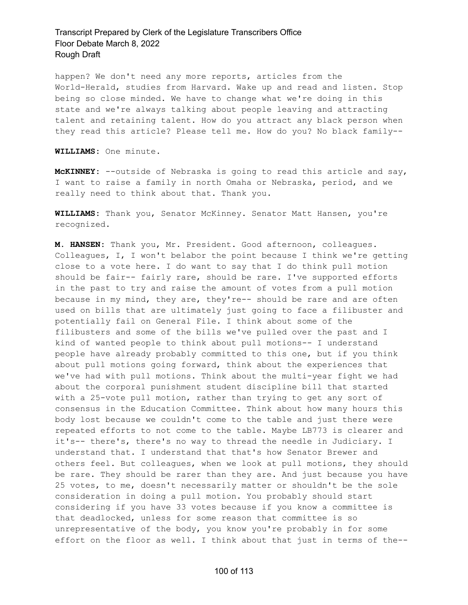happen? We don't need any more reports, articles from the World-Herald, studies from Harvard. Wake up and read and listen. Stop being so close minded. We have to change what we're doing in this state and we're always talking about people leaving and attracting talent and retaining talent. How do you attract any black person when they read this article? Please tell me. How do you? No black family--

**WILLIAMS:** One minute.

**McKINNEY:** --outside of Nebraska is going to read this article and say, I want to raise a family in north Omaha or Nebraska, period, and we really need to think about that. Thank you.

**WILLIAMS:** Thank you, Senator McKinney. Senator Matt Hansen, you're recognized.

**M. HANSEN:** Thank you, Mr. President. Good afternoon, colleagues. Colleagues, I, I won't belabor the point because I think we're getting close to a vote here. I do want to say that I do think pull motion should be fair-- fairly rare, should be rare. I've supported efforts in the past to try and raise the amount of votes from a pull motion because in my mind, they are, they're-- should be rare and are often used on bills that are ultimately just going to face a filibuster and potentially fail on General File. I think about some of the filibusters and some of the bills we've pulled over the past and I kind of wanted people to think about pull motions-- I understand people have already probably committed to this one, but if you think about pull motions going forward, think about the experiences that we've had with pull motions. Think about the multi-year fight we had about the corporal punishment student discipline bill that started with a 25-vote pull motion, rather than trying to get any sort of consensus in the Education Committee. Think about how many hours this body lost because we couldn't come to the table and just there were repeated efforts to not come to the table. Maybe LB773 is clearer and it's-- there's, there's no way to thread the needle in Judiciary. I understand that. I understand that that's how Senator Brewer and others feel. But colleagues, when we look at pull motions, they should be rare. They should be rarer than they are. And just because you have 25 votes, to me, doesn't necessarily matter or shouldn't be the sole consideration in doing a pull motion. You probably should start considering if you have 33 votes because if you know a committee is that deadlocked, unless for some reason that committee is so unrepresentative of the body, you know you're probably in for some effort on the floor as well. I think about that just in terms of the--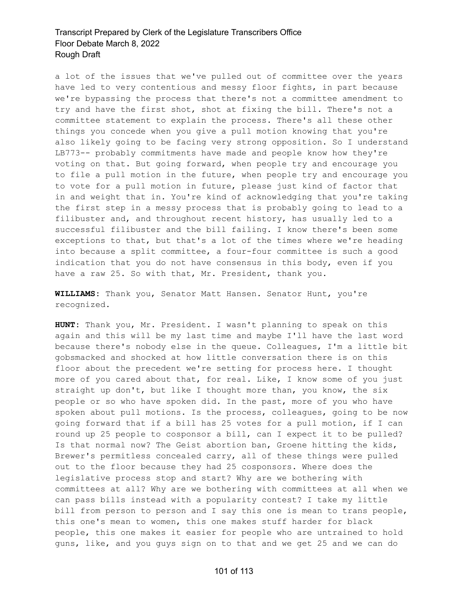a lot of the issues that we've pulled out of committee over the years have led to very contentious and messy floor fights, in part because we're bypassing the process that there's not a committee amendment to try and have the first shot, shot at fixing the bill. There's not a committee statement to explain the process. There's all these other things you concede when you give a pull motion knowing that you're also likely going to be facing very strong opposition. So I understand LB773-- probably commitments have made and people know how they're voting on that. But going forward, when people try and encourage you to file a pull motion in the future, when people try and encourage you to vote for a pull motion in future, please just kind of factor that in and weight that in. You're kind of acknowledging that you're taking the first step in a messy process that is probably going to lead to a filibuster and, and throughout recent history, has usually led to a successful filibuster and the bill failing. I know there's been some exceptions to that, but that's a lot of the times where we're heading into because a split committee, a four-four committee is such a good indication that you do not have consensus in this body, even if you have a raw 25. So with that, Mr. President, thank you.

**WILLIAMS:** Thank you, Senator Matt Hansen. Senator Hunt, you're recognized.

**HUNT:** Thank you, Mr. President. I wasn't planning to speak on this again and this will be my last time and maybe I'll have the last word because there's nobody else in the queue. Colleagues, I'm a little bit gobsmacked and shocked at how little conversation there is on this floor about the precedent we're setting for process here. I thought more of you cared about that, for real. Like, I know some of you just straight up don't, but like I thought more than, you know, the six people or so who have spoken did. In the past, more of you who have spoken about pull motions. Is the process, colleagues, going to be now going forward that if a bill has 25 votes for a pull motion, if I can round up 25 people to cosponsor a bill, can I expect it to be pulled? Is that normal now? The Geist abortion ban, Groene hitting the kids, Brewer's permitless concealed carry, all of these things were pulled out to the floor because they had 25 cosponsors. Where does the legislative process stop and start? Why are we bothering with committees at all? Why are we bothering with committees at all when we can pass bills instead with a popularity contest? I take my little bill from person to person and I say this one is mean to trans people, this one's mean to women, this one makes stuff harder for black people, this one makes it easier for people who are untrained to hold guns, like, and you guys sign on to that and we get 25 and we can do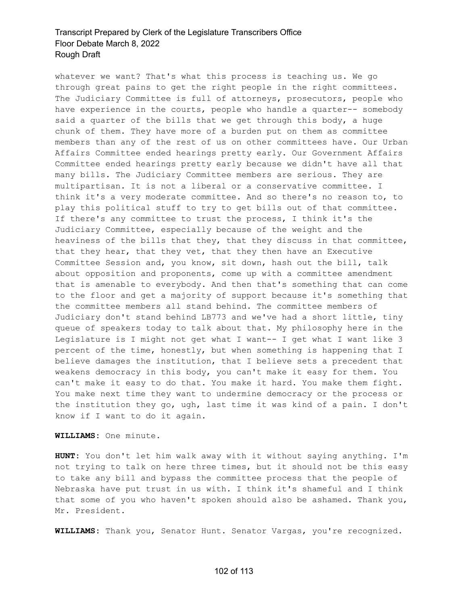whatever we want? That's what this process is teaching us. We go through great pains to get the right people in the right committees. The Judiciary Committee is full of attorneys, prosecutors, people who have experience in the courts, people who handle a quarter-- somebody said a quarter of the bills that we get through this body, a huge chunk of them. They have more of a burden put on them as committee members than any of the rest of us on other committees have. Our Urban Affairs Committee ended hearings pretty early. Our Government Affairs Committee ended hearings pretty early because we didn't have all that many bills. The Judiciary Committee members are serious. They are multipartisan. It is not a liberal or a conservative committee. I think it's a very moderate committee. And so there's no reason to, to play this political stuff to try to get bills out of that committee. If there's any committee to trust the process, I think it's the Judiciary Committee, especially because of the weight and the heaviness of the bills that they, that they discuss in that committee, that they hear, that they vet, that they then have an Executive Committee Session and, you know, sit down, hash out the bill, talk about opposition and proponents, come up with a committee amendment that is amenable to everybody. And then that's something that can come to the floor and get a majority of support because it's something that the committee members all stand behind. The committee members of Judiciary don't stand behind LB773 and we've had a short little, tiny queue of speakers today to talk about that. My philosophy here in the Legislature is I might not get what I want-- I get what I want like 3 percent of the time, honestly, but when something is happening that I believe damages the institution, that I believe sets a precedent that weakens democracy in this body, you can't make it easy for them. You can't make it easy to do that. You make it hard. You make them fight. You make next time they want to undermine democracy or the process or the institution they go, ugh, last time it was kind of a pain. I don't know if I want to do it again.

**WILLIAMS:** One minute.

**HUNT:** You don't let him walk away with it without saying anything. I'm not trying to talk on here three times, but it should not be this easy to take any bill and bypass the committee process that the people of Nebraska have put trust in us with. I think it's shameful and I think that some of you who haven't spoken should also be ashamed. Thank you, Mr. President.

**WILLIAMS:** Thank you, Senator Hunt. Senator Vargas, you're recognized.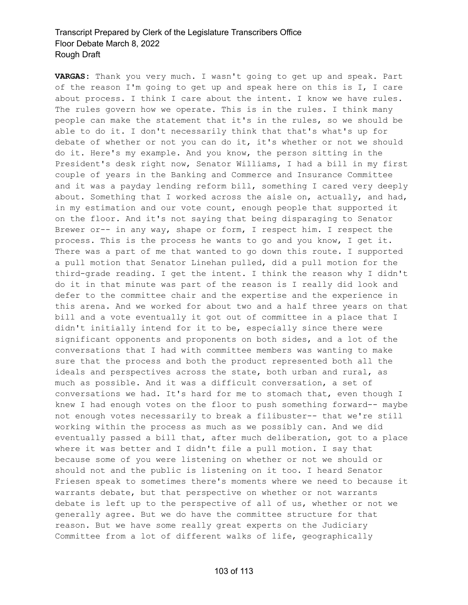**VARGAS:** Thank you very much. I wasn't going to get up and speak. Part of the reason I'm going to get up and speak here on this is I, I care about process. I think I care about the intent. I know we have rules. The rules govern how we operate. This is in the rules. I think many people can make the statement that it's in the rules, so we should be able to do it. I don't necessarily think that that's what's up for debate of whether or not you can do it, it's whether or not we should do it. Here's my example. And you know, the person sitting in the President's desk right now, Senator Williams, I had a bill in my first couple of years in the Banking and Commerce and Insurance Committee and it was a payday lending reform bill, something I cared very deeply about. Something that I worked across the aisle on, actually, and had, in my estimation and our vote count, enough people that supported it on the floor. And it's not saying that being disparaging to Senator Brewer or-- in any way, shape or form, I respect him. I respect the process. This is the process he wants to go and you know, I get it. There was a part of me that wanted to go down this route. I supported a pull motion that Senator Linehan pulled, did a pull motion for the third-grade reading. I get the intent. I think the reason why I didn't do it in that minute was part of the reason is I really did look and defer to the committee chair and the expertise and the experience in this arena. And we worked for about two and a half three years on that bill and a vote eventually it got out of committee in a place that I didn't initially intend for it to be, especially since there were significant opponents and proponents on both sides, and a lot of the conversations that I had with committee members was wanting to make sure that the process and both the product represented both all the ideals and perspectives across the state, both urban and rural, as much as possible. And it was a difficult conversation, a set of conversations we had. It's hard for me to stomach that, even though I knew I had enough votes on the floor to push something forward-- maybe not enough votes necessarily to break a filibuster-- that we're still working within the process as much as we possibly can. And we did eventually passed a bill that, after much deliberation, got to a place where it was better and I didn't file a pull motion. I say that because some of you were listening on whether or not we should or should not and the public is listening on it too. I heard Senator Friesen speak to sometimes there's moments where we need to because it warrants debate, but that perspective on whether or not warrants debate is left up to the perspective of all of us, whether or not we generally agree. But we do have the committee structure for that reason. But we have some really great experts on the Judiciary Committee from a lot of different walks of life, geographically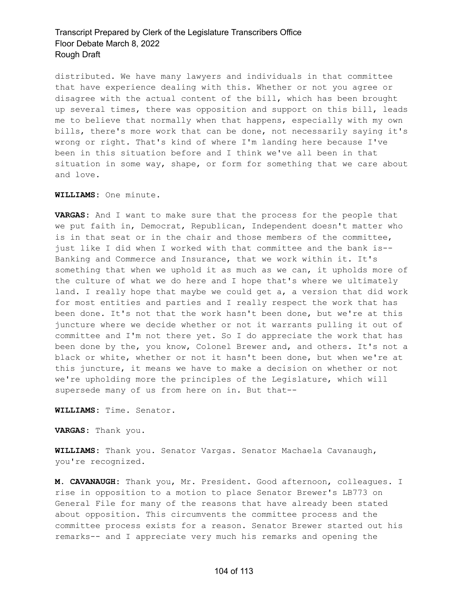distributed. We have many lawyers and individuals in that committee that have experience dealing with this. Whether or not you agree or disagree with the actual content of the bill, which has been brought up several times, there was opposition and support on this bill, leads me to believe that normally when that happens, especially with my own bills, there's more work that can be done, not necessarily saying it's wrong or right. That's kind of where I'm landing here because I've been in this situation before and I think we've all been in that situation in some way, shape, or form for something that we care about and love.

**WILLIAMS:** One minute.

**VARGAS:** And I want to make sure that the process for the people that we put faith in, Democrat, Republican, Independent doesn't matter who is in that seat or in the chair and those members of the committee, just like I did when I worked with that committee and the bank is-- Banking and Commerce and Insurance, that we work within it. It's something that when we uphold it as much as we can, it upholds more of the culture of what we do here and I hope that's where we ultimately land. I really hope that maybe we could get a, a version that did work for most entities and parties and I really respect the work that has been done. It's not that the work hasn't been done, but we're at this juncture where we decide whether or not it warrants pulling it out of committee and I'm not there yet. So I do appreciate the work that has been done by the, you know, Colonel Brewer and, and others. It's not a black or white, whether or not it hasn't been done, but when we're at this juncture, it means we have to make a decision on whether or not we're upholding more the principles of the Legislature, which will supersede many of us from here on in. But that--

**WILLIAMS:** Time. Senator.

**VARGAS:** Thank you.

**WILLIAMS:** Thank you. Senator Vargas. Senator Machaela Cavanaugh, you're recognized.

**M. CAVANAUGH:** Thank you, Mr. President. Good afternoon, colleagues. I rise in opposition to a motion to place Senator Brewer's LB773 on General File for many of the reasons that have already been stated about opposition. This circumvents the committee process and the committee process exists for a reason. Senator Brewer started out his remarks-- and I appreciate very much his remarks and opening the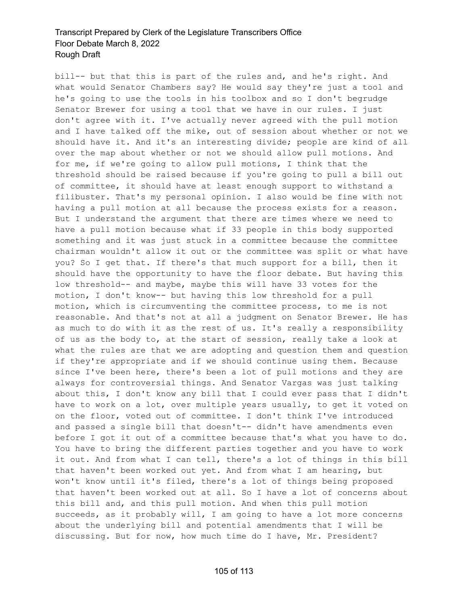bill-- but that this is part of the rules and, and he's right. And what would Senator Chambers say? He would say they're just a tool and he's going to use the tools in his toolbox and so I don't begrudge Senator Brewer for using a tool that we have in our rules. I just don't agree with it. I've actually never agreed with the pull motion and I have talked off the mike, out of session about whether or not we should have it. And it's an interesting divide; people are kind of all over the map about whether or not we should allow pull motions. And for me, if we're going to allow pull motions, I think that the threshold should be raised because if you're going to pull a bill out of committee, it should have at least enough support to withstand a filibuster. That's my personal opinion. I also would be fine with not having a pull motion at all because the process exists for a reason. But I understand the argument that there are times where we need to have a pull motion because what if 33 people in this body supported something and it was just stuck in a committee because the committee chairman wouldn't allow it out or the committee was split or what have you? So I get that. If there's that much support for a bill, then it should have the opportunity to have the floor debate. But having this low threshold-- and maybe, maybe this will have 33 votes for the motion, I don't know-- but having this low threshold for a pull motion, which is circumventing the committee process, to me is not reasonable. And that's not at all a judgment on Senator Brewer. He has as much to do with it as the rest of us. It's really a responsibility of us as the body to, at the start of session, really take a look at what the rules are that we are adopting and question them and question if they're appropriate and if we should continue using them. Because since I've been here, there's been a lot of pull motions and they are always for controversial things. And Senator Vargas was just talking about this, I don't know any bill that I could ever pass that I didn't have to work on a lot, over multiple years usually, to get it voted on on the floor, voted out of committee. I don't think I've introduced and passed a single bill that doesn't-- didn't have amendments even before I got it out of a committee because that's what you have to do. You have to bring the different parties together and you have to work it out. And from what I can tell, there's a lot of things in this bill that haven't been worked out yet. And from what I am hearing, but won't know until it's filed, there's a lot of things being proposed that haven't been worked out at all. So I have a lot of concerns about this bill and, and this pull motion. And when this pull motion succeeds, as it probably will, I am going to have a lot more concerns about the underlying bill and potential amendments that I will be discussing. But for now, how much time do I have, Mr. President?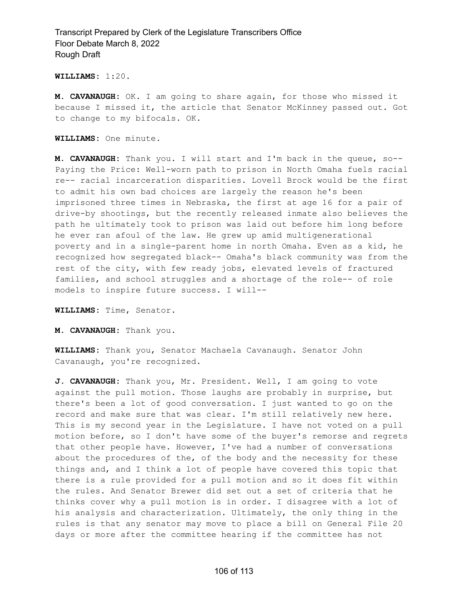**WILLIAMS:** 1:20.

**M. CAVANAUGH:** OK. I am going to share again, for those who missed it because I missed it, the article that Senator McKinney passed out. Got to change to my bifocals. OK.

**WILLIAMS:** One minute.

**M. CAVANAUGH:** Thank you. I will start and I'm back in the queue, so-- Paying the Price: Well-worn path to prison in North Omaha fuels racial re-- racial incarceration disparities. Lovell Brock would be the first to admit his own bad choices are largely the reason he's been imprisoned three times in Nebraska, the first at age 16 for a pair of drive-by shootings, but the recently released inmate also believes the path he ultimately took to prison was laid out before him long before he ever ran afoul of the law. He grew up amid multigenerational poverty and in a single-parent home in north Omaha. Even as a kid, he recognized how segregated black-- Omaha's black community was from the rest of the city, with few ready jobs, elevated levels of fractured families, and school struggles and a shortage of the role-- of role models to inspire future success. I will--

**WILLIAMS:** Time, Senator.

**M. CAVANAUGH:** Thank you.

**WILLIAMS:** Thank you, Senator Machaela Cavanaugh. Senator John Cavanaugh, you're recognized.

**J. CAVANAUGH:** Thank you, Mr. President. Well, I am going to vote against the pull motion. Those laughs are probably in surprise, but there's been a lot of good conversation. I just wanted to go on the record and make sure that was clear. I'm still relatively new here. This is my second year in the Legislature. I have not voted on a pull motion before, so I don't have some of the buyer's remorse and regrets that other people have. However, I've had a number of conversations about the procedures of the, of the body and the necessity for these things and, and I think a lot of people have covered this topic that there is a rule provided for a pull motion and so it does fit within the rules. And Senator Brewer did set out a set of criteria that he thinks cover why a pull motion is in order. I disagree with a lot of his analysis and characterization. Ultimately, the only thing in the rules is that any senator may move to place a bill on General File 20 days or more after the committee hearing if the committee has not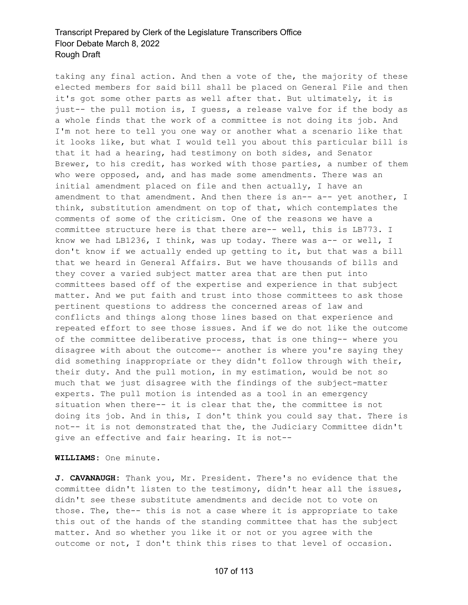taking any final action. And then a vote of the, the majority of these elected members for said bill shall be placed on General File and then it's got some other parts as well after that. But ultimately, it is just-- the pull motion is, I guess, a release valve for if the body as a whole finds that the work of a committee is not doing its job. And I'm not here to tell you one way or another what a scenario like that it looks like, but what I would tell you about this particular bill is that it had a hearing, had testimony on both sides, and Senator Brewer, to his credit, has worked with those parties, a number of them who were opposed, and, and has made some amendments. There was an initial amendment placed on file and then actually, I have an amendment to that amendment. And then there is an-- a-- yet another, I think, substitution amendment on top of that, which contemplates the comments of some of the criticism. One of the reasons we have a committee structure here is that there are-- well, this is LB773. I know we had LB1236, I think, was up today. There was a-- or well, I don't know if we actually ended up getting to it, but that was a bill that we heard in General Affairs. But we have thousands of bills and they cover a varied subject matter area that are then put into committees based off of the expertise and experience in that subject matter. And we put faith and trust into those committees to ask those pertinent questions to address the concerned areas of law and conflicts and things along those lines based on that experience and repeated effort to see those issues. And if we do not like the outcome of the committee deliberative process, that is one thing-- where you disagree with about the outcome-- another is where you're saying they did something inappropriate or they didn't follow through with their, their duty. And the pull motion, in my estimation, would be not so much that we just disagree with the findings of the subject-matter experts. The pull motion is intended as a tool in an emergency situation when there-- it is clear that the, the committee is not doing its job. And in this, I don't think you could say that. There is not-- it is not demonstrated that the, the Judiciary Committee didn't give an effective and fair hearing. It is not--

**WILLIAMS:** One minute.

**J. CAVANAUGH:** Thank you, Mr. President. There's no evidence that the committee didn't listen to the testimony, didn't hear all the issues, didn't see these substitute amendments and decide not to vote on those. The, the-- this is not a case where it is appropriate to take this out of the hands of the standing committee that has the subject matter. And so whether you like it or not or you agree with the outcome or not, I don't think this rises to that level of occasion.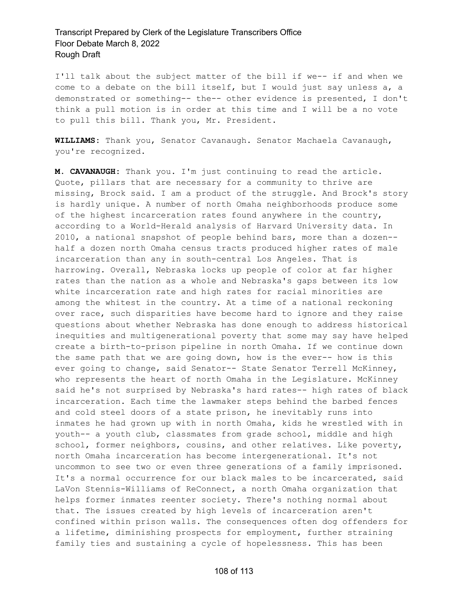I'll talk about the subject matter of the bill if we-- if and when we come to a debate on the bill itself, but I would just say unless a, a demonstrated or something-- the-- other evidence is presented, I don't think a pull motion is in order at this time and I will be a no vote to pull this bill. Thank you, Mr. President.

**WILLIAMS:** Thank you, Senator Cavanaugh. Senator Machaela Cavanaugh, you're recognized.

**M. CAVANAUGH:** Thank you. I'm just continuing to read the article. Quote, pillars that are necessary for a community to thrive are missing, Brock said. I am a product of the struggle. And Brock's story is hardly unique. A number of north Omaha neighborhoods produce some of the highest incarceration rates found anywhere in the country, according to a World-Herald analysis of Harvard University data. In 2010, a national snapshot of people behind bars, more than a dozen- half a dozen north Omaha census tracts produced higher rates of male incarceration than any in south-central Los Angeles. That is harrowing. Overall, Nebraska locks up people of color at far higher rates than the nation as a whole and Nebraska's gaps between its low white incarceration rate and high rates for racial minorities are among the whitest in the country. At a time of a national reckoning over race, such disparities have become hard to ignore and they raise questions about whether Nebraska has done enough to address historical inequities and multigenerational poverty that some may say have helped create a birth-to-prison pipeline in north Omaha. If we continue down the same path that we are going down, how is the ever-- how is this ever going to change, said Senator-- State Senator Terrell McKinney, who represents the heart of north Omaha in the Legislature. McKinney said he's not surprised by Nebraska's hard rates-- high rates of black incarceration. Each time the lawmaker steps behind the barbed fences and cold steel doors of a state prison, he inevitably runs into inmates he had grown up with in north Omaha, kids he wrestled with in youth-- a youth club, classmates from grade school, middle and high school, former neighbors, cousins, and other relatives. Like poverty, north Omaha incarceration has become intergenerational. It's not uncommon to see two or even three generations of a family imprisoned. It's a normal occurrence for our black males to be incarcerated, said LaVon Stennis-Williams of ReConnect, a north Omaha organization that helps former inmates reenter society. There's nothing normal about that. The issues created by high levels of incarceration aren't confined within prison walls. The consequences often dog offenders for a lifetime, diminishing prospects for employment, further straining family ties and sustaining a cycle of hopelessness. This has been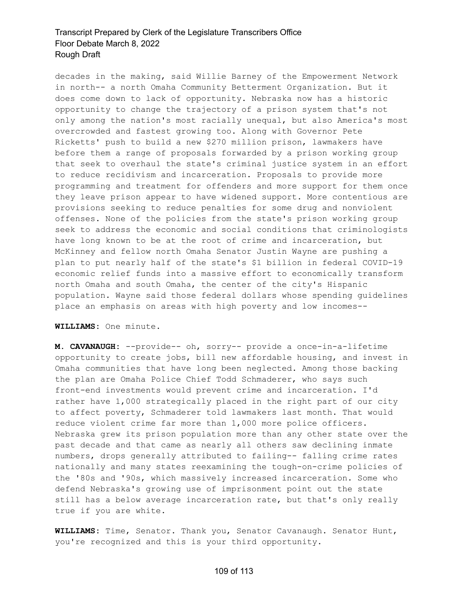decades in the making, said Willie Barney of the Empowerment Network in north-- a north Omaha Community Betterment Organization. But it does come down to lack of opportunity. Nebraska now has a historic opportunity to change the trajectory of a prison system that's not only among the nation's most racially unequal, but also America's most overcrowded and fastest growing too. Along with Governor Pete Ricketts' push to build a new \$270 million prison, lawmakers have before them a range of proposals forwarded by a prison working group that seek to overhaul the state's criminal justice system in an effort to reduce recidivism and incarceration. Proposals to provide more programming and treatment for offenders and more support for them once they leave prison appear to have widened support. More contentious are provisions seeking to reduce penalties for some drug and nonviolent offenses. None of the policies from the state's prison working group seek to address the economic and social conditions that criminologists have long known to be at the root of crime and incarceration, but McKinney and fellow north Omaha Senator Justin Wayne are pushing a plan to put nearly half of the state's \$1 billion in federal COVID-19 economic relief funds into a massive effort to economically transform north Omaha and south Omaha, the center of the city's Hispanic population. Wayne said those federal dollars whose spending guidelines place an emphasis on areas with high poverty and low incomes--

### **WILLIAMS:** One minute.

**M. CAVANAUGH:** --provide-- oh, sorry-- provide a once-in-a-lifetime opportunity to create jobs, bill new affordable housing, and invest in Omaha communities that have long been neglected. Among those backing the plan are Omaha Police Chief Todd Schmaderer, who says such front-end investments would prevent crime and incarceration. I'd rather have 1,000 strategically placed in the right part of our city to affect poverty, Schmaderer told lawmakers last month. That would reduce violent crime far more than 1,000 more police officers. Nebraska grew its prison population more than any other state over the past decade and that came as nearly all others saw declining inmate numbers, drops generally attributed to failing-- falling crime rates nationally and many states reexamining the tough-on-crime policies of the '80s and '90s, which massively increased incarceration. Some who defend Nebraska's growing use of imprisonment point out the state still has a below average incarceration rate, but that's only really true if you are white.

**WILLIAMS:** Time, Senator. Thank you, Senator Cavanaugh. Senator Hunt, you're recognized and this is your third opportunity.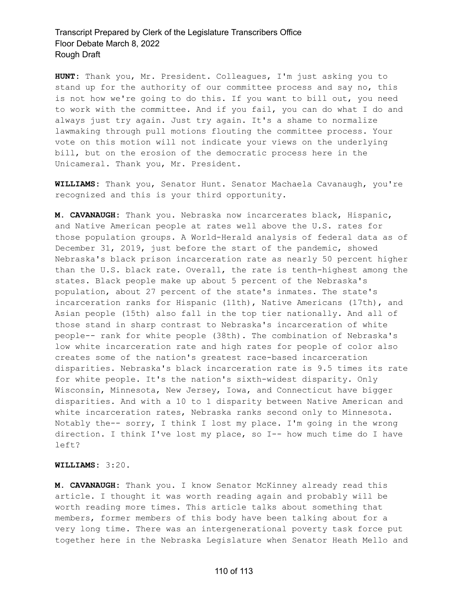**HUNT:** Thank you, Mr. President. Colleagues, I'm just asking you to stand up for the authority of our committee process and say no, this is not how we're going to do this. If you want to bill out, you need to work with the committee. And if you fail, you can do what I do and always just try again. Just try again. It's a shame to normalize lawmaking through pull motions flouting the committee process. Your vote on this motion will not indicate your views on the underlying bill, but on the erosion of the democratic process here in the Unicameral. Thank you, Mr. President.

**WILLIAMS:** Thank you, Senator Hunt. Senator Machaela Cavanaugh, you're recognized and this is your third opportunity.

**M. CAVANAUGH:** Thank you. Nebraska now incarcerates black, Hispanic, and Native American people at rates well above the U.S. rates for those population groups. A World-Herald analysis of federal data as of December 31, 2019, just before the start of the pandemic, showed Nebraska's black prison incarceration rate as nearly 50 percent higher than the U.S. black rate. Overall, the rate is tenth-highest among the states. Black people make up about 5 percent of the Nebraska's population, about 27 percent of the state's inmates. The state's incarceration ranks for Hispanic (11th), Native Americans (17th), and Asian people (15th) also fall in the top tier nationally. And all of those stand in sharp contrast to Nebraska's incarceration of white people-- rank for white people (38th). The combination of Nebraska's low white incarceration rate and high rates for people of color also creates some of the nation's greatest race-based incarceration disparities. Nebraska's black incarceration rate is 9.5 times its rate for white people. It's the nation's sixth-widest disparity. Only Wisconsin, Minnesota, New Jersey, Iowa, and Connecticut have bigger disparities. And with a 10 to 1 disparity between Native American and white incarceration rates, Nebraska ranks second only to Minnesota. Notably the-- sorry, I think I lost my place. I'm going in the wrong direction. I think I've lost my place, so I-- how much time do I have left?

### **WILLIAMS:** 3:20.

**M. CAVANAUGH:** Thank you. I know Senator McKinney already read this article. I thought it was worth reading again and probably will be worth reading more times. This article talks about something that members, former members of this body have been talking about for a very long time. There was an intergenerational poverty task force put together here in the Nebraska Legislature when Senator Heath Mello and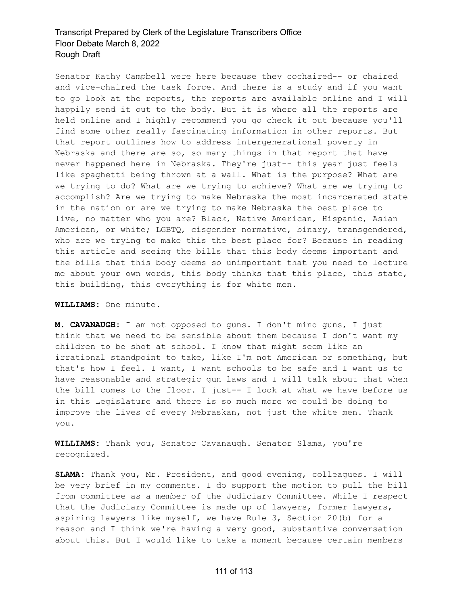Senator Kathy Campbell were here because they cochaired-- or chaired and vice-chaired the task force. And there is a study and if you want to go look at the reports, the reports are available online and I will happily send it out to the body. But it is where all the reports are held online and I highly recommend you go check it out because you'll find some other really fascinating information in other reports. But that report outlines how to address intergenerational poverty in Nebraska and there are so, so many things in that report that have never happened here in Nebraska. They're just-- this year just feels like spaghetti being thrown at a wall. What is the purpose? What are we trying to do? What are we trying to achieve? What are we trying to accomplish? Are we trying to make Nebraska the most incarcerated state in the nation or are we trying to make Nebraska the best place to live, no matter who you are? Black, Native American, Hispanic, Asian American, or white; LGBTQ, cisgender normative, binary, transgendered, who are we trying to make this the best place for? Because in reading this article and seeing the bills that this body deems important and the bills that this body deems so unimportant that you need to lecture me about your own words, this body thinks that this place, this state, this building, this everything is for white men.

#### **WILLIAMS:** One minute.

**M. CAVANAUGH:** I am not opposed to guns. I don't mind guns, I just think that we need to be sensible about them because I don't want my children to be shot at school. I know that might seem like an irrational standpoint to take, like I'm not American or something, but that's how I feel. I want, I want schools to be safe and I want us to have reasonable and strategic gun laws and I will talk about that when the bill comes to the floor. I just-- I look at what we have before us in this Legislature and there is so much more we could be doing to improve the lives of every Nebraskan, not just the white men. Thank you.

**WILLIAMS:** Thank you, Senator Cavanaugh. Senator Slama, you're recognized.

**SLAMA:** Thank you, Mr. President, and good evening, colleagues. I will be very brief in my comments. I do support the motion to pull the bill from committee as a member of the Judiciary Committee. While I respect that the Judiciary Committee is made up of lawyers, former lawyers, aspiring lawyers like myself, we have Rule 3, Section 20(b) for a reason and I think we're having a very good, substantive conversation about this. But I would like to take a moment because certain members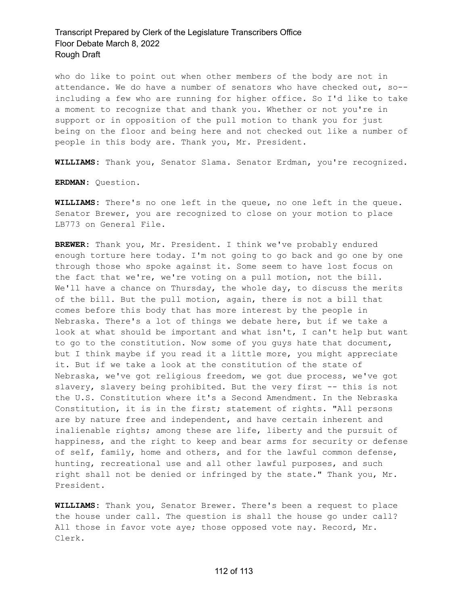who do like to point out when other members of the body are not in attendance. We do have a number of senators who have checked out, so- including a few who are running for higher office. So I'd like to take a moment to recognize that and thank you. Whether or not you're in support or in opposition of the pull motion to thank you for just being on the floor and being here and not checked out like a number of people in this body are. Thank you, Mr. President.

**WILLIAMS:** Thank you, Senator Slama. Senator Erdman, you're recognized.

**ERDMAN:** Question.

**WILLIAMS:** There's no one left in the queue, no one left in the queue. Senator Brewer, you are recognized to close on your motion to place LB773 on General File.

**BREWER:** Thank you, Mr. President. I think we've probably endured enough torture here today. I'm not going to go back and go one by one through those who spoke against it. Some seem to have lost focus on the fact that we're, we're voting on a pull motion, not the bill. We'll have a chance on Thursday, the whole day, to discuss the merits of the bill. But the pull motion, again, there is not a bill that comes before this body that has more interest by the people in Nebraska. There's a lot of things we debate here, but if we take a look at what should be important and what isn't, I can't help but want to go to the constitution. Now some of you guys hate that document, but I think maybe if you read it a little more, you might appreciate it. But if we take a look at the constitution of the state of Nebraska, we've got religious freedom, we got due process, we've got slavery, slavery being prohibited. But the very first -- this is not the U.S. Constitution where it's a Second Amendment. In the Nebraska Constitution, it is in the first; statement of rights. "All persons are by nature free and independent, and have certain inherent and inalienable rights; among these are life, liberty and the pursuit of happiness, and the right to keep and bear arms for security or defense of self, family, home and others, and for the lawful common defense, hunting, recreational use and all other lawful purposes, and such right shall not be denied or infringed by the state." Thank you, Mr. President.

**WILLIAMS:** Thank you, Senator Brewer. There's been a request to place the house under call. The question is shall the house go under call? All those in favor vote aye; those opposed vote nay. Record, Mr. Clerk.